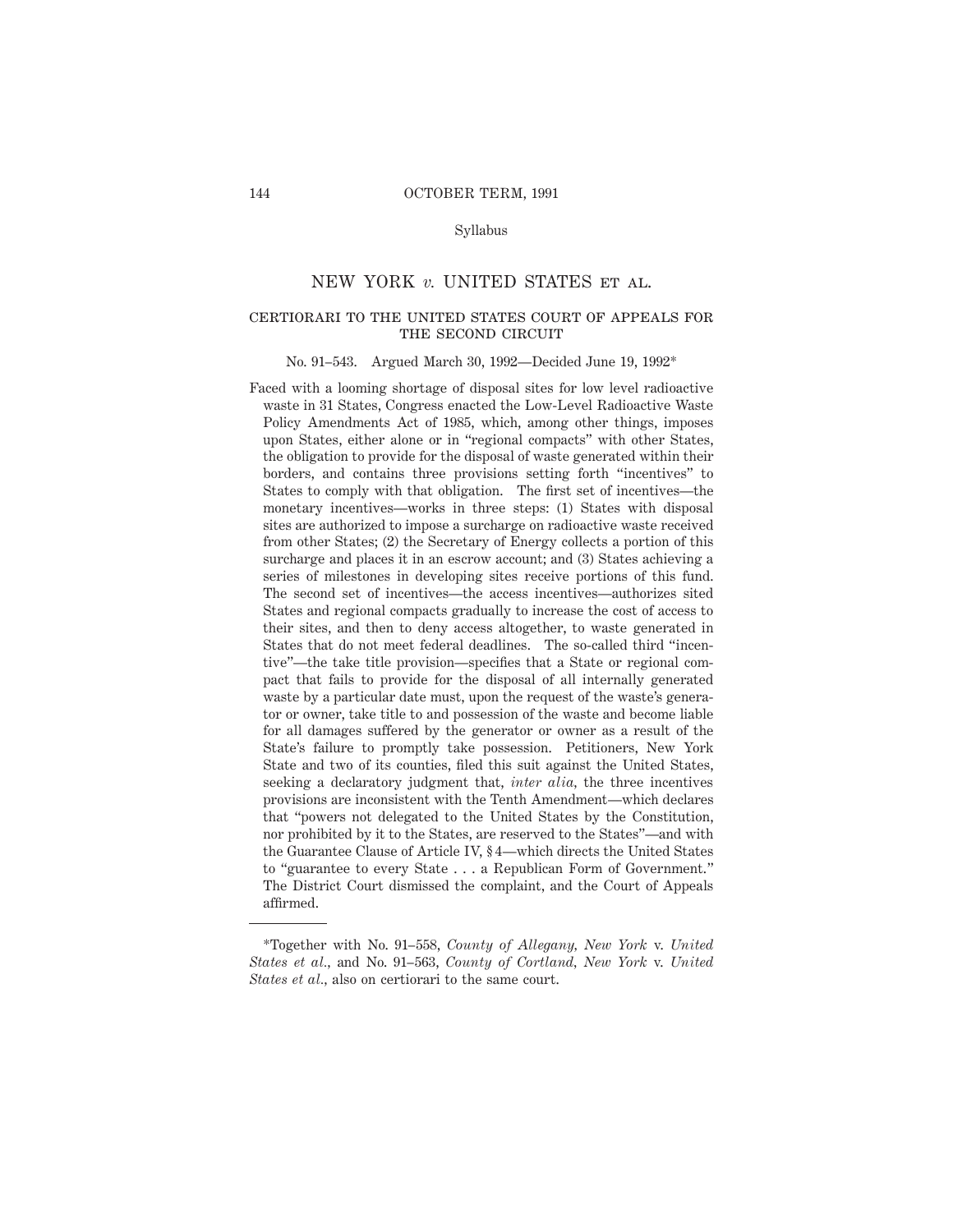## NEW YORK *v.* UNITED STATES et al.

## certiorari to the united states court of appeals for THE SECOND CIRCUIT

#### No. 91–543. Argued March 30, 1992—Decided June 19, 1992\*

Faced with a looming shortage of disposal sites for low level radioactive waste in 31 States, Congress enacted the Low-Level Radioactive Waste Policy Amendments Act of 1985, which, among other things, imposes upon States, either alone or in "regional compacts" with other States, the obligation to provide for the disposal of waste generated within their borders, and contains three provisions setting forth "incentives" to States to comply with that obligation. The first set of incentives—the monetary incentives—works in three steps: (1) States with disposal sites are authorized to impose a surcharge on radioactive waste received from other States; (2) the Secretary of Energy collects a portion of this surcharge and places it in an escrow account; and (3) States achieving a series of milestones in developing sites receive portions of this fund. The second set of incentives—the access incentives—authorizes sited States and regional compacts gradually to increase the cost of access to their sites, and then to deny access altogether, to waste generated in States that do not meet federal deadlines. The so-called third "incentive"—the take title provision—specifies that a State or regional compact that fails to provide for the disposal of all internally generated waste by a particular date must, upon the request of the waste's generator or owner, take title to and possession of the waste and become liable for all damages suffered by the generator or owner as a result of the State's failure to promptly take possession. Petitioners, New York State and two of its counties, filed this suit against the United States, seeking a declaratory judgment that, *inter alia,* the three incentives provisions are inconsistent with the Tenth Amendment—which declares that "powers not delegated to the United States by the Constitution, nor prohibited by it to the States, are reserved to the States"—and with the Guarantee Clause of Article IV, § 4—which directs the United States to "guarantee to every State...a Republican Form of Government." The District Court dismissed the complaint, and the Court of Appeals affirmed.

<sup>\*</sup>Together with No. 91–558, *County of Allegany, New York* v. *United States et al.,* and No. 91–563, *County of Cortland, New York* v. *United States et al.,* also on certiorari to the same court.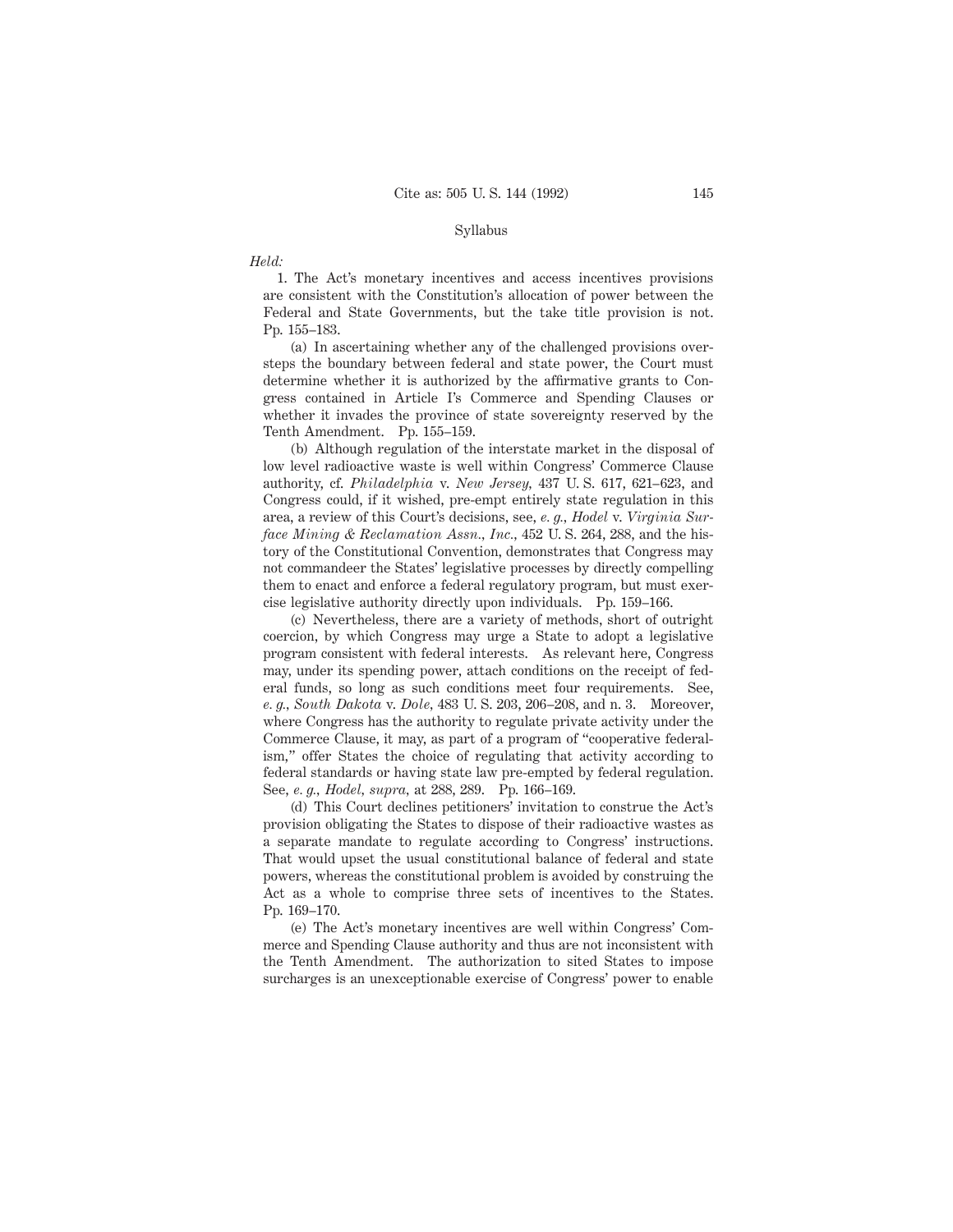*Held:*

1. The Act's monetary incentives and access incentives provisions are consistent with the Constitution's allocation of power between the Federal and State Governments, but the take title provision is not. Pp. 155–183.

(a) In ascertaining whether any of the challenged provisions oversteps the boundary between federal and state power, the Court must determine whether it is authorized by the affirmative grants to Congress contained in Article I's Commerce and Spending Clauses or whether it invades the province of state sovereignty reserved by the Tenth Amendment. Pp. 155–159.

(b) Although regulation of the interstate market in the disposal of low level radioactive waste is well within Congress' Commerce Clause authority, cf. *Philadelphia* v. *New Jersey,* 437 U. S. 617, 621–623, and Congress could, if it wished, pre-empt entirely state regulation in this area, a review of this Court's decisions, see, *e. g., Hodel* v. *Virginia Surface Mining & Reclamation Assn., Inc.,* 452 U. S. 264, 288, and the history of the Constitutional Convention, demonstrates that Congress may not commandeer the States' legislative processes by directly compelling them to enact and enforce a federal regulatory program, but must exercise legislative authority directly upon individuals. Pp. 159–166.

(c) Nevertheless, there are a variety of methods, short of outright coercion, by which Congress may urge a State to adopt a legislative program consistent with federal interests. As relevant here, Congress may, under its spending power, attach conditions on the receipt of federal funds, so long as such conditions meet four requirements. See, *e. g., South Dakota* v. *Dole,* 483 U. S. 203, 206–208, and n. 3. Moreover, where Congress has the authority to regulate private activity under the Commerce Clause, it may, as part of a program of "cooperative federalism," offer States the choice of regulating that activity according to federal standards or having state law pre-empted by federal regulation. See, *e. g., Hodel, supra,* at 288, 289. Pp. 166–169.

(d) This Court declines petitioners' invitation to construe the Act's provision obligating the States to dispose of their radioactive wastes as a separate mandate to regulate according to Congress' instructions. That would upset the usual constitutional balance of federal and state powers, whereas the constitutional problem is avoided by construing the Act as a whole to comprise three sets of incentives to the States. Pp. 169–170.

(e) The Act's monetary incentives are well within Congress' Commerce and Spending Clause authority and thus are not inconsistent with the Tenth Amendment. The authorization to sited States to impose surcharges is an unexceptionable exercise of Congress' power to enable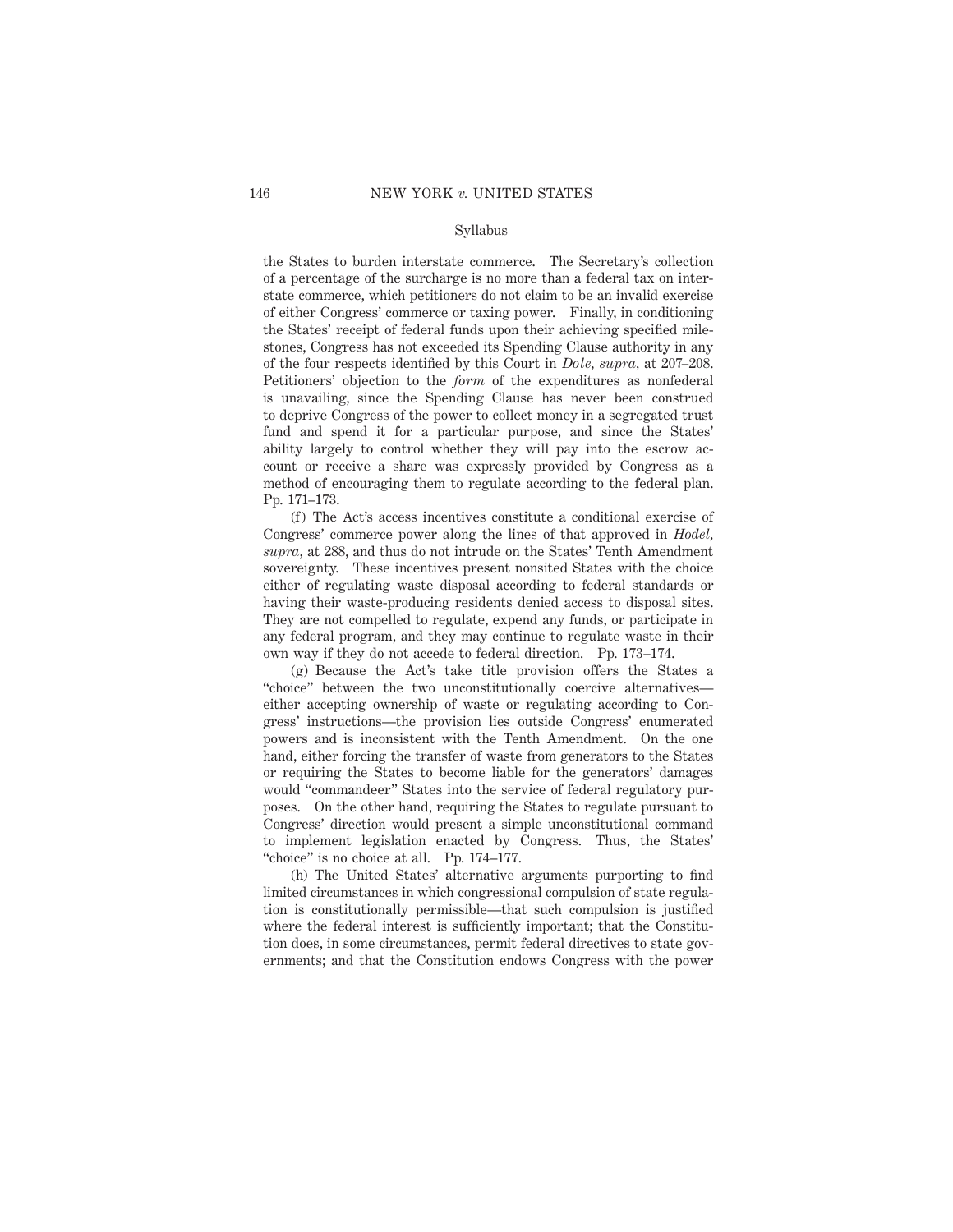the States to burden interstate commerce. The Secretary's collection of a percentage of the surcharge is no more than a federal tax on interstate commerce, which petitioners do not claim to be an invalid exercise of either Congress' commerce or taxing power. Finally, in conditioning the States' receipt of federal funds upon their achieving specified milestones, Congress has not exceeded its Spending Clause authority in any of the four respects identified by this Court in *Dole, supra,* at 207–208. Petitioners' objection to the *form* of the expenditures as nonfederal is unavailing, since the Spending Clause has never been construed to deprive Congress of the power to collect money in a segregated trust fund and spend it for a particular purpose, and since the States' ability largely to control whether they will pay into the escrow account or receive a share was expressly provided by Congress as a method of encouraging them to regulate according to the federal plan. Pp. 171–173.

(f) The Act's access incentives constitute a conditional exercise of Congress' commerce power along the lines of that approved in *Hodel, supra,* at 288, and thus do not intrude on the States' Tenth Amendment sovereignty. These incentives present nonsited States with the choice either of regulating waste disposal according to federal standards or having their waste-producing residents denied access to disposal sites. They are not compelled to regulate, expend any funds, or participate in any federal program, and they may continue to regulate waste in their own way if they do not accede to federal direction. Pp. 173–174.

(g) Because the Act's take title provision offers the States a "choice" between the two unconstitutionally coercive alternatives either accepting ownership of waste or regulating according to Congress' instructions—the provision lies outside Congress' enumerated powers and is inconsistent with the Tenth Amendment. On the one hand, either forcing the transfer of waste from generators to the States or requiring the States to become liable for the generators' damages would "commandeer" States into the service of federal regulatory purposes. On the other hand, requiring the States to regulate pursuant to Congress' direction would present a simple unconstitutional command to implement legislation enacted by Congress. Thus, the States' "choice" is no choice at all. Pp. 174–177.

(h) The United States' alternative arguments purporting to find limited circumstances in which congressional compulsion of state regulation is constitutionally permissible—that such compulsion is justified where the federal interest is sufficiently important; that the Constitution does, in some circumstances, permit federal directives to state governments; and that the Constitution endows Congress with the power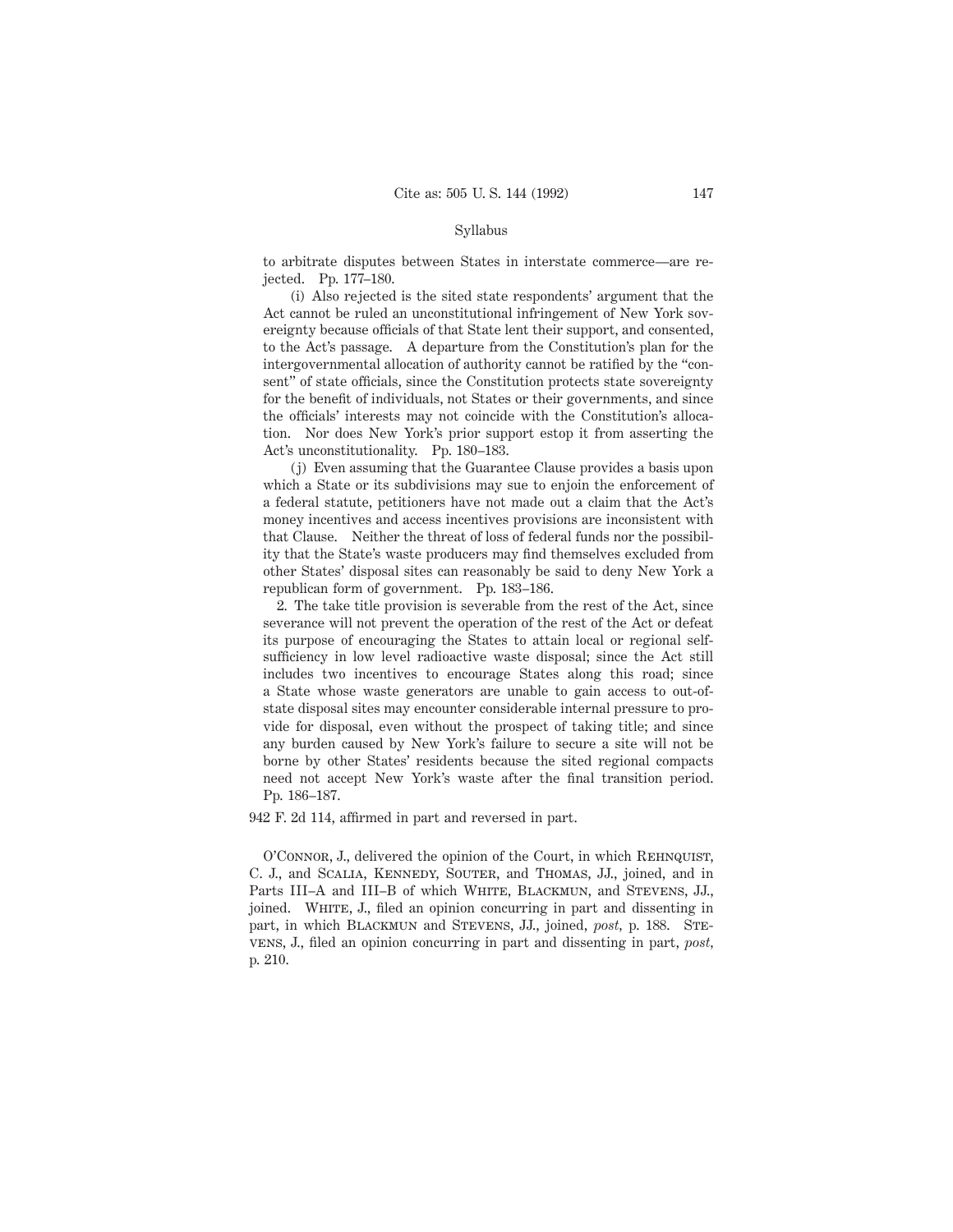to arbitrate disputes between States in interstate commerce—are rejected. Pp. 177–180.

(i) Also rejected is the sited state respondents' argument that the Act cannot be ruled an unconstitutional infringement of New York sovereignty because officials of that State lent their support, and consented, to the Act's passage. A departure from the Constitution's plan for the intergovernmental allocation of authority cannot be ratified by the "consent" of state officials, since the Constitution protects state sovereignty for the benefit of individuals, not States or their governments, and since the officials' interests may not coincide with the Constitution's allocation. Nor does New York's prior support estop it from asserting the Act's unconstitutionality. Pp. 180–183.

(j) Even assuming that the Guarantee Clause provides a basis upon which a State or its subdivisions may sue to enjoin the enforcement of a federal statute, petitioners have not made out a claim that the Act's money incentives and access incentives provisions are inconsistent with that Clause. Neither the threat of loss of federal funds nor the possibility that the State's waste producers may find themselves excluded from other States' disposal sites can reasonably be said to deny New York a republican form of government. Pp. 183–186.

2. The take title provision is severable from the rest of the Act, since severance will not prevent the operation of the rest of the Act or defeat its purpose of encouraging the States to attain local or regional selfsufficiency in low level radioactive waste disposal; since the Act still includes two incentives to encourage States along this road; since a State whose waste generators are unable to gain access to out-ofstate disposal sites may encounter considerable internal pressure to provide for disposal, even without the prospect of taking title; and since any burden caused by New York's failure to secure a site will not be borne by other States' residents because the sited regional compacts need not accept New York's waste after the final transition period. Pp. 186–187.

942 F. 2d 114, affirmed in part and reversed in part.

O'CONNOR, J., delivered the opinion of the Court, in which REHNQUIST, C. J., and Scalia, Kennedy, Souter, and Thomas, JJ., joined, and in Parts III–A and III–B of which WHITE, BLACKMUN, and STEVENS, JJ., joined. WHITE, J., filed an opinion concurring in part and dissenting in part, in which BLACKMUN and STEVENS, JJ., joined, *post*, p. 188. STEvens, J., filed an opinion concurring in part and dissenting in part, *post,* p. 210.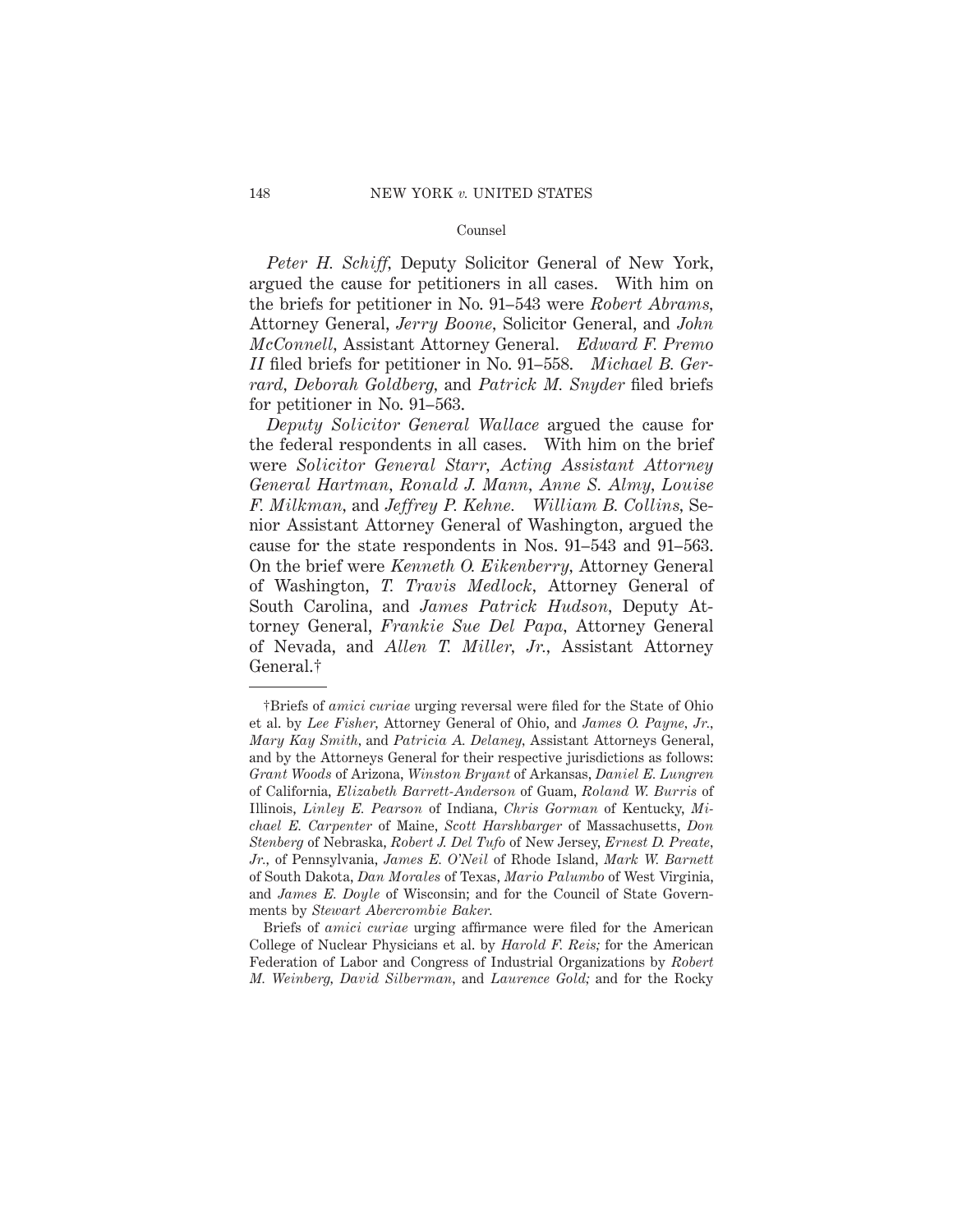### Counsel

*Peter H. Schiff,* Deputy Solicitor General of New York, argued the cause for petitioners in all cases. With him on the briefs for petitioner in No. 91–543 were *Robert Abrams,* Attorney General, *Jerry Boone,* Solicitor General, and *John McConnell,* Assistant Attorney General. *Edward F. Premo II* filed briefs for petitioner in No. 91–558. *Michael B. Gerrard, Deborah Goldberg,* and *Patrick M. Snyder* filed briefs for petitioner in No. 91–563.

*Deputy Solicitor General Wallace* argued the cause for the federal respondents in all cases. With him on the brief were *Solicitor General Starr, Acting Assistant Attorney General Hartman, Ronald J. Mann, Anne S. Almy, Louise F. Milkman,* and *Jeffrey P. Kehne. William B. Collins,* Senior Assistant Attorney General of Washington, argued the cause for the state respondents in Nos. 91–543 and 91–563. On the brief were *Kenneth O. Eikenberry,* Attorney General of Washington, *T. Travis Medlock,* Attorney General of South Carolina, and *James Patrick Hudson,* Deputy Attorney General, *Frankie Sue Del Papa,* Attorney General of Nevada, and *Allen T. Miller, Jr.,* Assistant Attorney General.†

<sup>†</sup>Briefs of *amici curiae* urging reversal were filed for the State of Ohio et al. by *Lee Fisher,* Attorney General of Ohio, and *James O. Payne, Jr., Mary Kay Smith,* and *Patricia A. Delaney,* Assistant Attorneys General, and by the Attorneys General for their respective jurisdictions as follows: *Grant Woods* of Arizona, *Winston Bryant* of Arkansas, *Daniel E. Lungren* of California, *Elizabeth Barrett-Anderson* of Guam, *Roland W. Burris* of Illinois, *Linley E. Pearson* of Indiana, *Chris Gorman* of Kentucky, *Michael E. Carpenter* of Maine, *Scott Harshbarger* of Massachusetts, *Don Stenberg* of Nebraska, *Robert J. Del Tufo* of New Jersey, *Ernest D. Preate, Jr.,* of Pennsylvania, *James E. O'Neil* of Rhode Island, *Mark W. Barnett* of South Dakota, *Dan Morales* of Texas, *Mario Palumbo* of West Virginia, and *James E. Doyle* of Wisconsin; and for the Council of State Governments by *Stewart Abercrombie Baker.*

Briefs of *amici curiae* urging affirmance were filed for the American College of Nuclear Physicians et al. by *Harold F. Reis;* for the American Federation of Labor and Congress of Industrial Organizations by *Robert M. Weinberg, David Silberman,* and *Laurence Gold;* and for the Rocky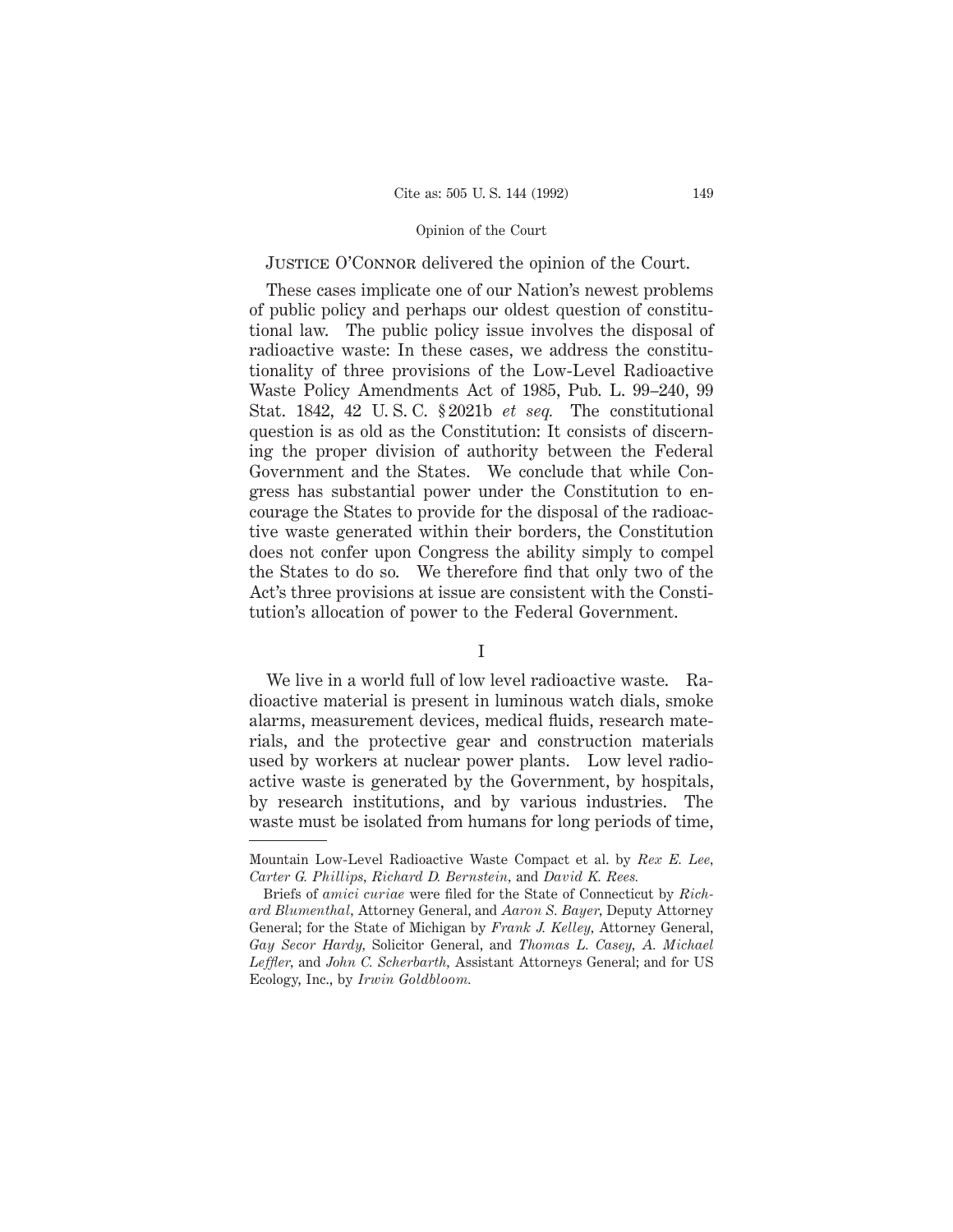# JUSTICE O'CONNOR delivered the opinion of the Court.

These cases implicate one of our Nation's newest problems of public policy and perhaps our oldest question of constitutional law. The public policy issue involves the disposal of radioactive waste: In these cases, we address the constitutionality of three provisions of the Low-Level Radioactive Waste Policy Amendments Act of 1985, Pub. L. 99–240, 99 Stat. 1842, 42 U. S. C. § 2021b *et seq.* The constitutional question is as old as the Constitution: It consists of discerning the proper division of authority between the Federal Government and the States. We conclude that while Congress has substantial power under the Constitution to encourage the States to provide for the disposal of the radioactive waste generated within their borders, the Constitution does not confer upon Congress the ability simply to compel the States to do so. We therefore find that only two of the Act's three provisions at issue are consistent with the Constitution's allocation of power to the Federal Government.

## I

We live in a world full of low level radioactive waste. Radioactive material is present in luminous watch dials, smoke alarms, measurement devices, medical fluids, research materials, and the protective gear and construction materials used by workers at nuclear power plants. Low level radioactive waste is generated by the Government, by hospitals, by research institutions, and by various industries. The waste must be isolated from humans for long periods of time,

Mountain Low-Level Radioactive Waste Compact et al. by *Rex E. Lee, Carter G. Phillips, Richard D. Bernstein,* and *David K. Rees.*

Briefs of *amici curiae* were filed for the State of Connecticut by *Richard Blumenthal,* Attorney General, and *Aaron S. Bayer,* Deputy Attorney General; for the State of Michigan by *Frank J. Kelley,* Attorney General, *Gay Secor Hardy,* Solicitor General, and *Thomas L. Casey, A. Michael Leffler,* and *John C. Scherbarth,* Assistant Attorneys General; and for US Ecology, Inc., by *Irwin Goldbloom.*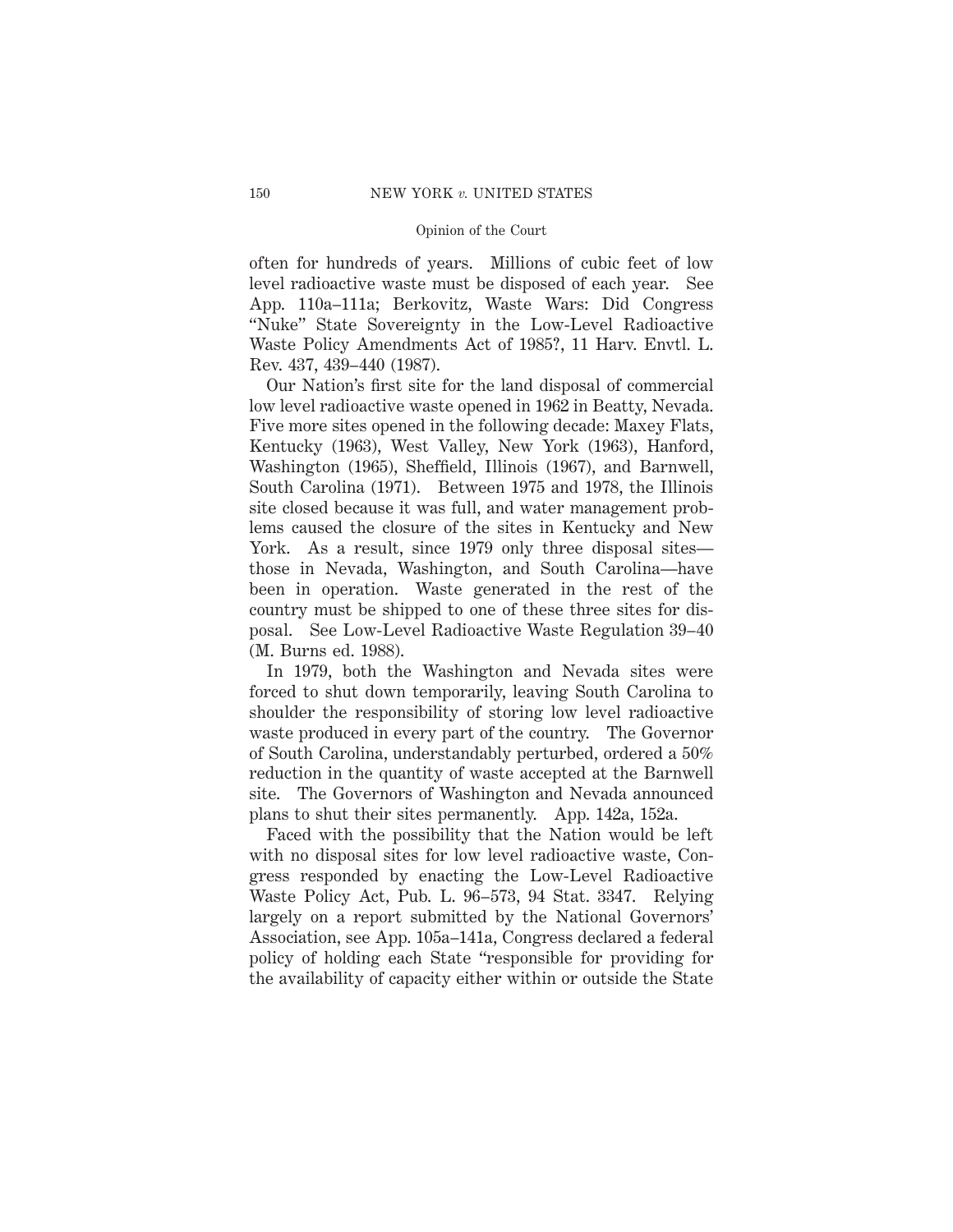often for hundreds of years. Millions of cubic feet of low level radioactive waste must be disposed of each year. See App. 110a–111a; Berkovitz, Waste Wars: Did Congress "Nuke" State Sovereignty in the Low-Level Radioactive Waste Policy Amendments Act of 1985?, 11 Harv. Envtl. L. Rev. 437, 439–440 (1987).

Our Nation's first site for the land disposal of commercial low level radioactive waste opened in 1962 in Beatty, Nevada. Five more sites opened in the following decade: Maxey Flats, Kentucky (1963), West Valley, New York (1963), Hanford, Washington (1965), Sheffield, Illinois (1967), and Barnwell, South Carolina (1971). Between 1975 and 1978, the Illinois site closed because it was full, and water management problems caused the closure of the sites in Kentucky and New York. As a result, since 1979 only three disposal sites those in Nevada, Washington, and South Carolina—have been in operation. Waste generated in the rest of the country must be shipped to one of these three sites for disposal. See Low-Level Radioactive Waste Regulation 39–40 (M. Burns ed. 1988).

In 1979, both the Washington and Nevada sites were forced to shut down temporarily, leaving South Carolina to shoulder the responsibility of storing low level radioactive waste produced in every part of the country. The Governor of South Carolina, understandably perturbed, ordered a 50% reduction in the quantity of waste accepted at the Barnwell site. The Governors of Washington and Nevada announced plans to shut their sites permanently. App. 142a, 152a.

Faced with the possibility that the Nation would be left with no disposal sites for low level radioactive waste, Congress responded by enacting the Low-Level Radioactive Waste Policy Act, Pub. L. 96–573, 94 Stat. 3347. Relying largely on a report submitted by the National Governors' Association, see App. 105a–141a, Congress declared a federal policy of holding each State "responsible for providing for the availability of capacity either within or outside the State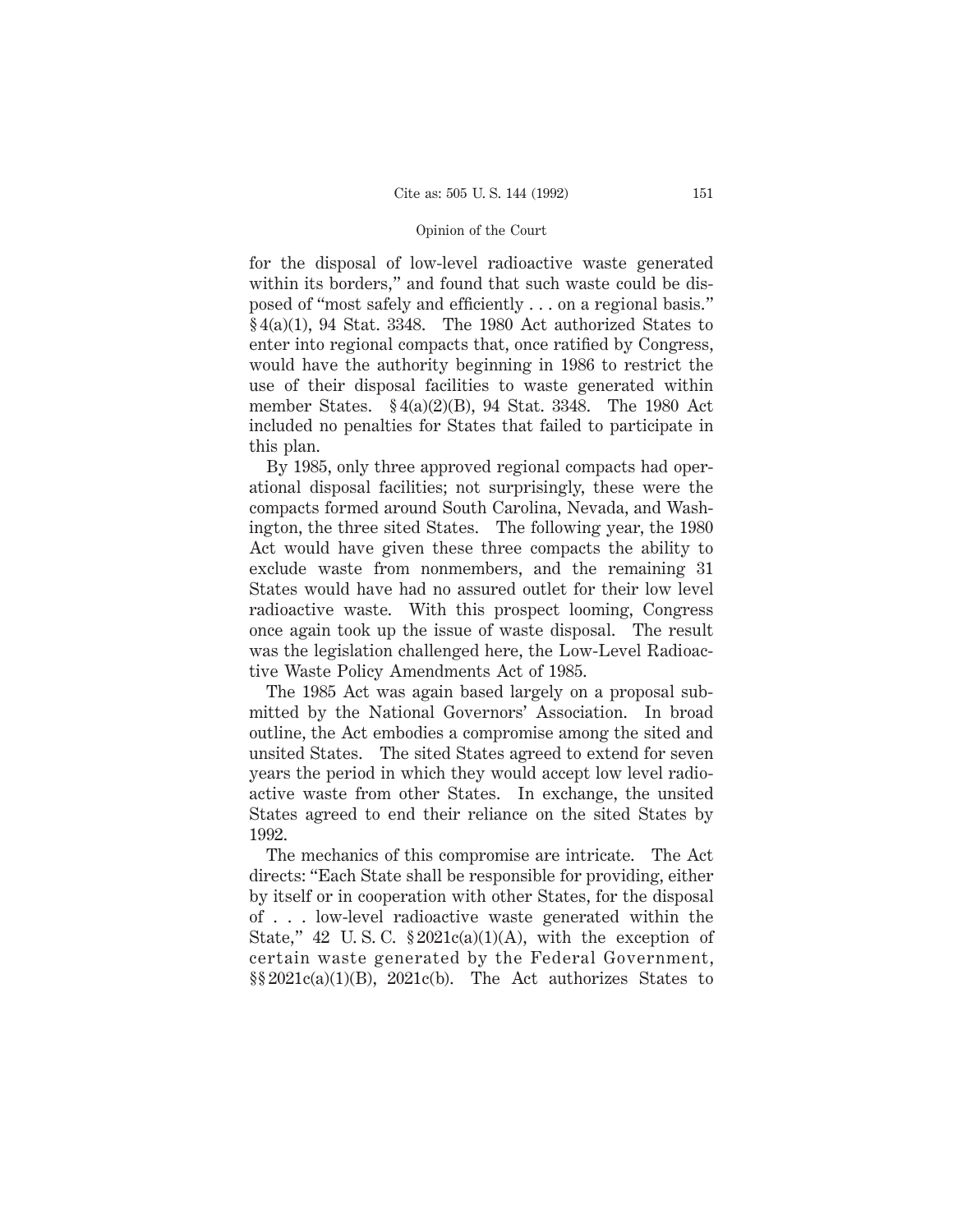for the disposal of low-level radioactive waste generated within its borders," and found that such waste could be disposed of "most safely and efficiently . . . on a regional basis."  $§4(a)(1)$ , 94 Stat. 3348. The 1980 Act authorized States to enter into regional compacts that, once ratified by Congress, would have the authority beginning in 1986 to restrict the use of their disposal facilities to waste generated within member States. § 4(a)(2)(B), 94 Stat. 3348. The 1980 Act included no penalties for States that failed to participate in this plan.

By 1985, only three approved regional compacts had operational disposal facilities; not surprisingly, these were the compacts formed around South Carolina, Nevada, and Washington, the three sited States. The following year, the 1980 Act would have given these three compacts the ability to exclude waste from nonmembers, and the remaining 31 States would have had no assured outlet for their low level radioactive waste. With this prospect looming, Congress once again took up the issue of waste disposal. The result was the legislation challenged here, the Low-Level Radioactive Waste Policy Amendments Act of 1985.

The 1985 Act was again based largely on a proposal submitted by the National Governors' Association. In broad outline, the Act embodies a compromise among the sited and unsited States. The sited States agreed to extend for seven years the period in which they would accept low level radioactive waste from other States. In exchange, the unsited States agreed to end their reliance on the sited States by 1992.

The mechanics of this compromise are intricate. The Act directs: "Each State shall be responsible for providing, either by itself or in cooperation with other States, for the disposal of . . . low-level radioactive waste generated within the State," 42 U.S.C.  $$2021c(a)(1)(A)$ , with the exception of certain waste generated by the Federal Government,  $\S\S 2021c(a)(1)(B)$ ,  $2021c(b)$ . The Act authorizes States to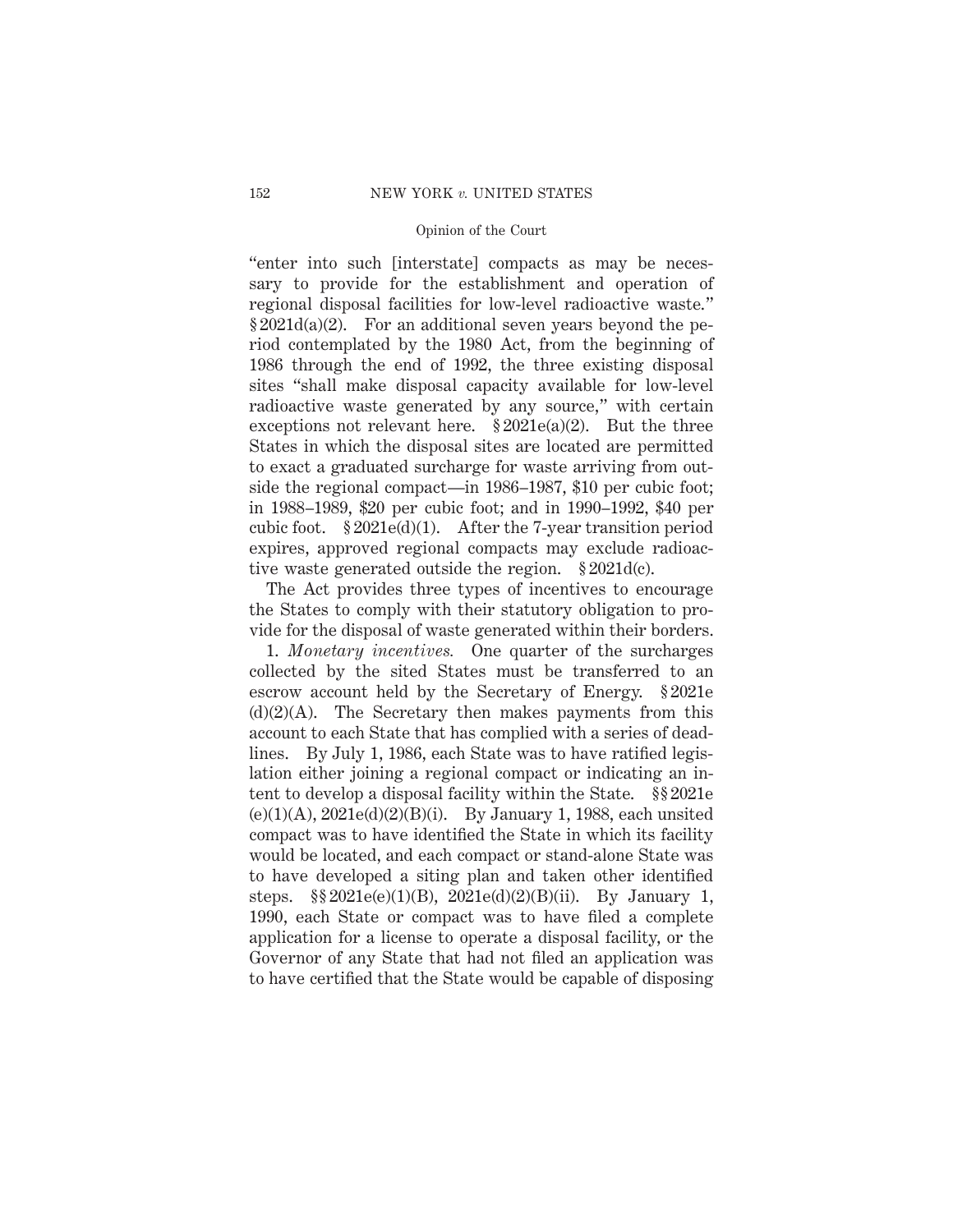"enter into such [interstate] compacts as may be necessary to provide for the establishment and operation of regional disposal facilities for low-level radioactive waste." § 2021d(a)(2). For an additional seven years beyond the period contemplated by the 1980 Act, from the beginning of 1986 through the end of 1992, the three existing disposal sites "shall make disposal capacity available for low-level radioactive waste generated by any source," with certain exceptions not relevant here.  $$2021e(a)(2)$ . But the three States in which the disposal sites are located are permitted to exact a graduated surcharge for waste arriving from outside the regional compact—in 1986–1987, \$10 per cubic foot; in 1988–1989, \$20 per cubic foot; and in 1990–1992, \$40 per cubic foot.  $$2021e(d)(1)$ . After the 7-year transition period expires, approved regional compacts may exclude radioactive waste generated outside the region. § 2021d(c).

The Act provides three types of incentives to encourage the States to comply with their statutory obligation to provide for the disposal of waste generated within their borders.

1. *Monetary incentives.* One quarter of the surcharges collected by the sited States must be transferred to an escrow account held by the Secretary of Energy. § 2021e  $(d)(2)(A)$ . The Secretary then makes payments from this account to each State that has complied with a series of deadlines. By July 1, 1986, each State was to have ratified legislation either joining a regional compact or indicating an intent to develop a disposal facility within the State. §§ 2021e (e)(1)(A),  $2021e(d)(2)(B)(i)$ . By January 1, 1988, each unsited compact was to have identified the State in which its facility would be located, and each compact or stand-alone State was to have developed a siting plan and taken other identified steps. §§ 2021e(e)(1)(B), 2021e(d)(2)(B)(ii). By January 1, 1990, each State or compact was to have filed a complete application for a license to operate a disposal facility, or the Governor of any State that had not filed an application was to have certified that the State would be capable of disposing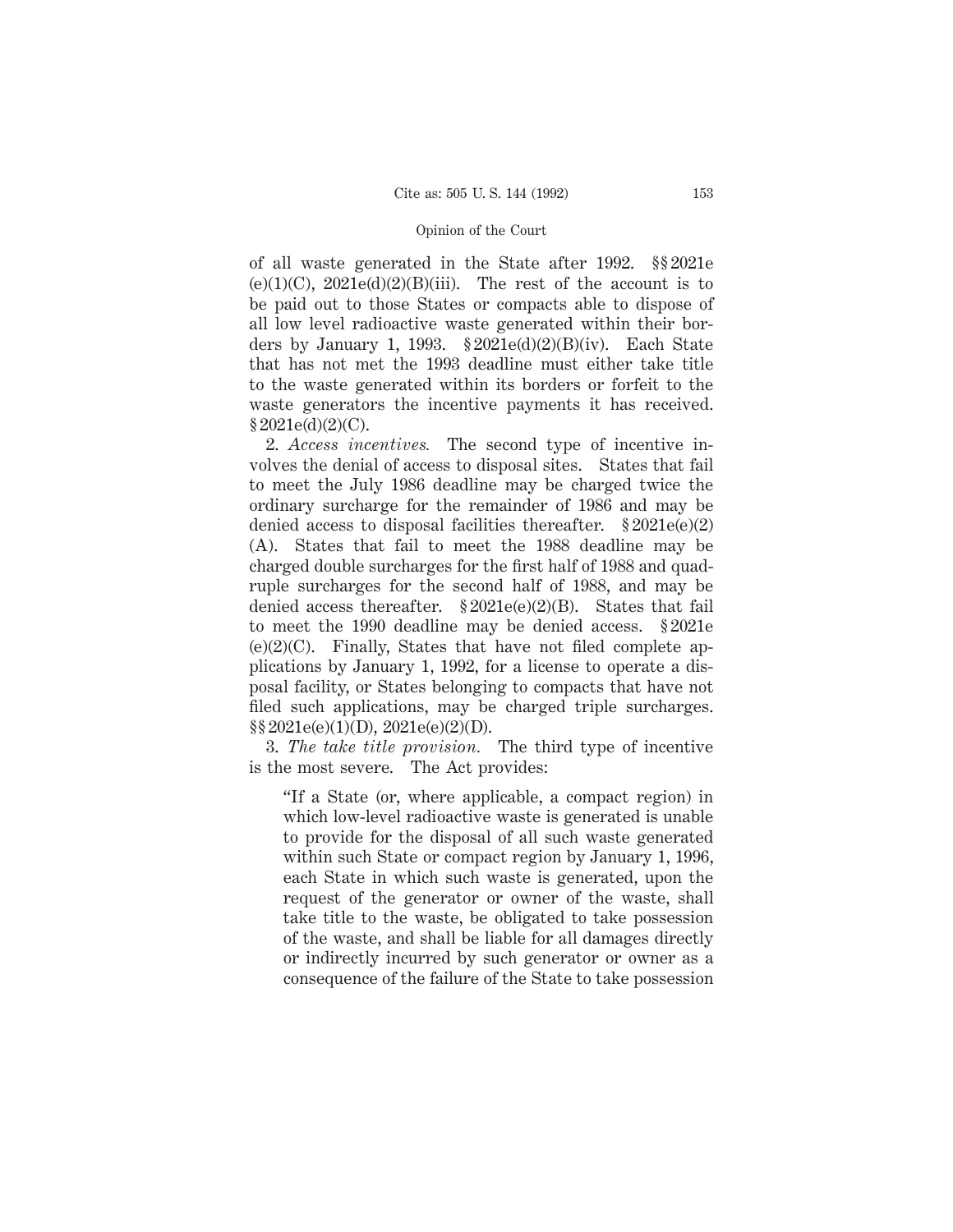of all waste generated in the State after 1992. §§ 2021e  $(e)(1)(C)$ ,  $2021e(d)(2)(B)(iii)$ . The rest of the account is to be paid out to those States or compacts able to dispose of all low level radioactive waste generated within their borders by January 1, 1993.  $$2021e(d)(2)(B)(iv)$ . Each State that has not met the 1993 deadline must either take title to the waste generated within its borders or forfeit to the waste generators the incentive payments it has received.  $§ 2021e(d)(2)(C).$ 

2. *Access incentives.* The second type of incentive involves the denial of access to disposal sites. States that fail to meet the July 1986 deadline may be charged twice the ordinary surcharge for the remainder of 1986 and may be denied access to disposal facilities thereafter.  $$2021e(e)(2)$ (A). States that fail to meet the 1988 deadline may be charged double surcharges for the first half of 1988 and quadruple surcharges for the second half of 1988, and may be denied access thereafter. § 2021e(e)(2)(B). States that fail to meet the 1990 deadline may be denied access. § 2021e  $(e)(2)(C)$ . Finally, States that have not filed complete applications by January 1, 1992, for a license to operate a disposal facility, or States belonging to compacts that have not filed such applications, may be charged triple surcharges. §§ 2021e(e)(1)(D), 2021e(e)(2)(D).

3. *The take title provision.* The third type of incentive is the most severe. The Act provides:

"If a State (or, where applicable, a compact region) in which low-level radioactive waste is generated is unable to provide for the disposal of all such waste generated within such State or compact region by January 1, 1996, each State in which such waste is generated, upon the request of the generator or owner of the waste, shall take title to the waste, be obligated to take possession of the waste, and shall be liable for all damages directly or indirectly incurred by such generator or owner as a consequence of the failure of the State to take possession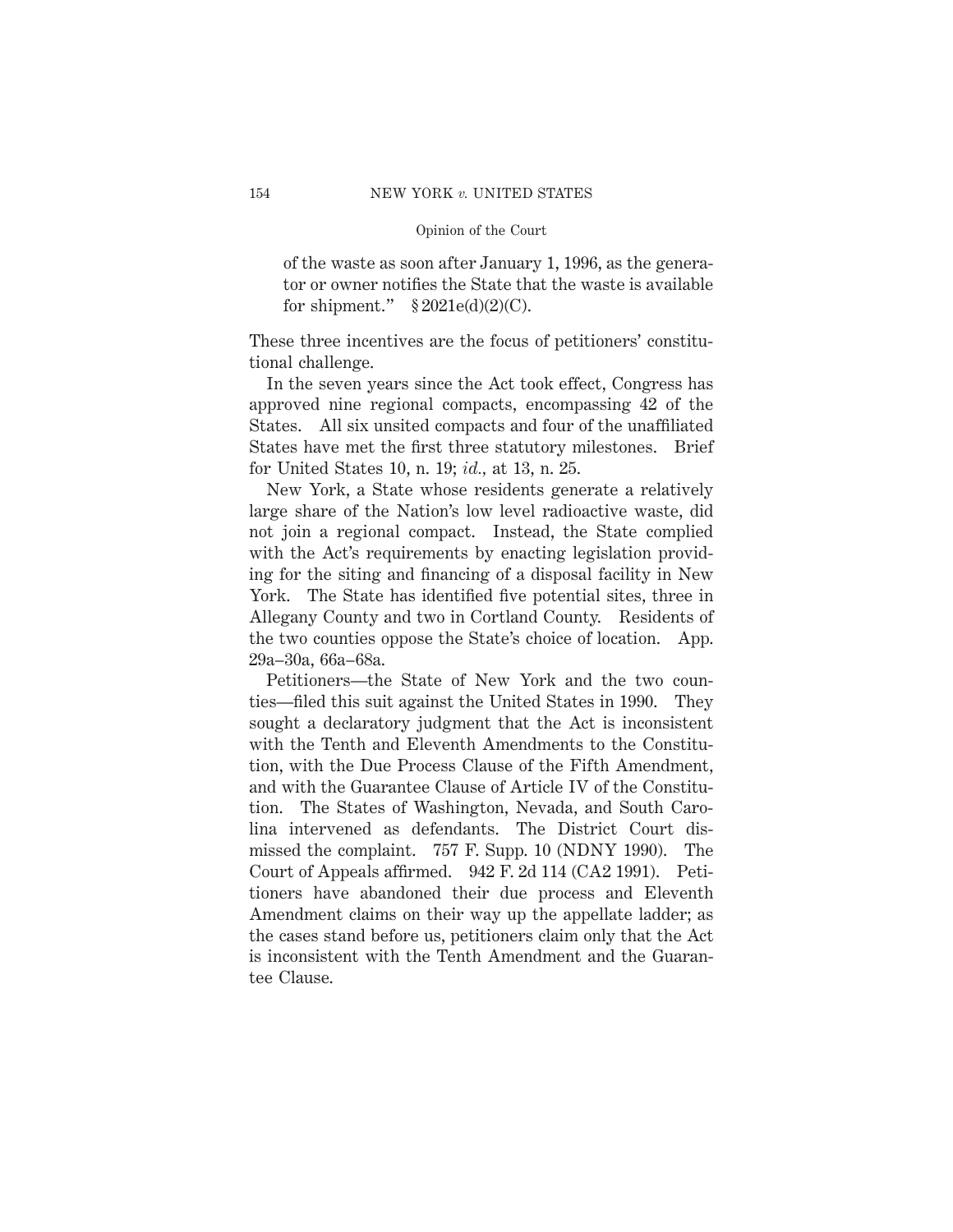of the waste as soon after January 1, 1996, as the generator or owner notifies the State that the waste is available for shipment."  $§ 2021e(d)(2)(C)$ .

These three incentives are the focus of petitioners' constitutional challenge.

In the seven years since the Act took effect, Congress has approved nine regional compacts, encompassing 42 of the States. All six unsited compacts and four of the unaffiliated States have met the first three statutory milestones. Brief for United States 10, n. 19; *id.,* at 13, n. 25.

New York, a State whose residents generate a relatively large share of the Nation's low level radioactive waste, did not join a regional compact. Instead, the State complied with the Act's requirements by enacting legislation providing for the siting and financing of a disposal facility in New York. The State has identified five potential sites, three in Allegany County and two in Cortland County. Residents of the two counties oppose the State's choice of location. App. 29a–30a, 66a–68a.

Petitioners—the State of New York and the two counties—filed this suit against the United States in 1990. They sought a declaratory judgment that the Act is inconsistent with the Tenth and Eleventh Amendments to the Constitution, with the Due Process Clause of the Fifth Amendment, and with the Guarantee Clause of Article IV of the Constitution. The States of Washington, Nevada, and South Carolina intervened as defendants. The District Court dismissed the complaint. 757 F. Supp. 10 (NDNY 1990). The Court of Appeals affirmed. 942 F. 2d 114 (CA2 1991). Petitioners have abandoned their due process and Eleventh Amendment claims on their way up the appellate ladder; as the cases stand before us, petitioners claim only that the Act is inconsistent with the Tenth Amendment and the Guarantee Clause.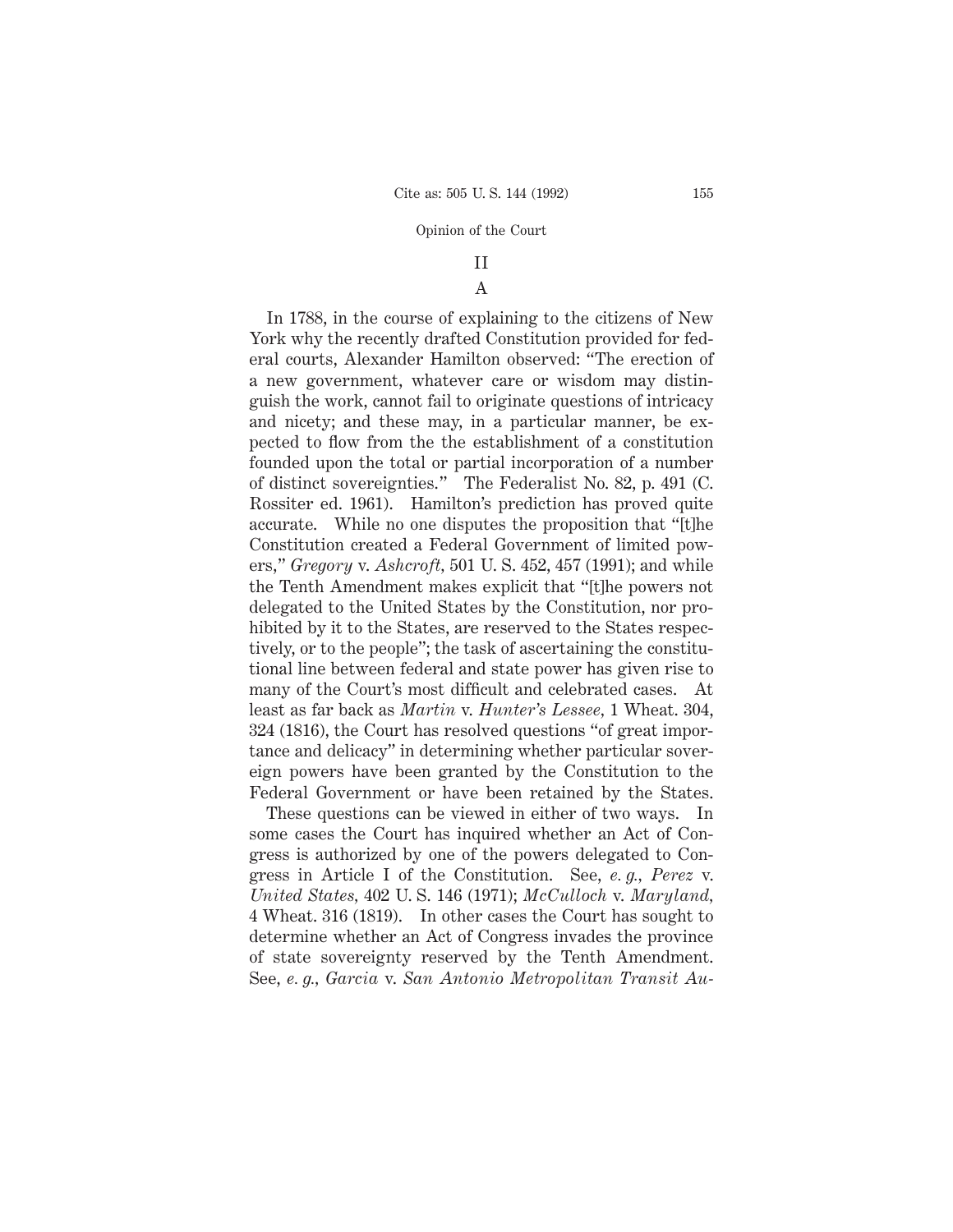## II A

In 1788, in the course of explaining to the citizens of New York why the recently drafted Constitution provided for federal courts, Alexander Hamilton observed: "The erection of a new government, whatever care or wisdom may distinguish the work, cannot fail to originate questions of intricacy and nicety; and these may, in a particular manner, be expected to flow from the the establishment of a constitution founded upon the total or partial incorporation of a number of distinct sovereignties." The Federalist No. 82, p. 491 (C. Rossiter ed. 1961). Hamilton's prediction has proved quite accurate. While no one disputes the proposition that "[t]he Constitution created a Federal Government of limited powers," *Gregory* v. *Ashcroft,* 501 U. S. 452, 457 (1991); and while the Tenth Amendment makes explicit that "[t]he powers not delegated to the United States by the Constitution, nor prohibited by it to the States, are reserved to the States respectively, or to the people"; the task of ascertaining the constitutional line between federal and state power has given rise to many of the Court's most difficult and celebrated cases. At least as far back as *Martin* v. *Hunter's Lessee,* 1 Wheat. 304, 324 (1816), the Court has resolved questions "of great importance and delicacy" in determining whether particular sovereign powers have been granted by the Constitution to the Federal Government or have been retained by the States.

These questions can be viewed in either of two ways. In some cases the Court has inquired whether an Act of Congress is authorized by one of the powers delegated to Congress in Article I of the Constitution. See, *e. g., Perez* v. *United States,* 402 U. S. 146 (1971); *McCulloch* v. *Maryland,* 4 Wheat. 316 (1819). In other cases the Court has sought to determine whether an Act of Congress invades the province of state sovereignty reserved by the Tenth Amendment. See, *e. g., Garcia* v. *San Antonio Metropolitan Transit Au-*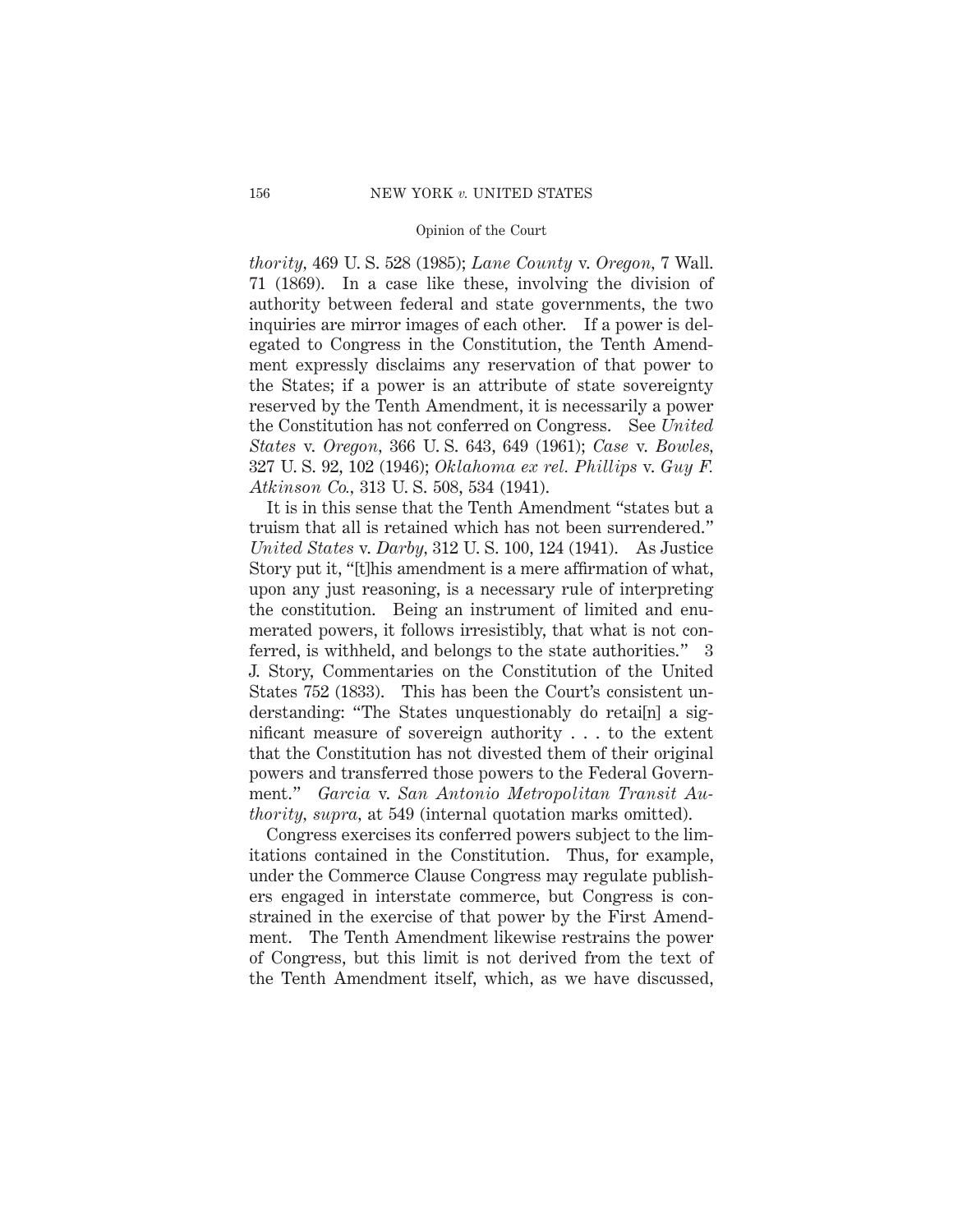*thority*, 469 U.S. 528 (1985); Lane County v. Oregon, 7 Wall. 71 (1869). In a case like these, involving the division of authority between federal and state governments, the two inquiries are mirror images of each other. If a power is delegated to Congress in the Constitution, the Tenth Amendment expressly disclaims any reservation of that power to the States; if a power is an attribute of state sovereignty reserved by the Tenth Amendment, it is necessarily a power the Constitution has not conferred on Congress. See United States v. Oregon, 366 U.S. 643, 649 (1961); Case v. Bowles, 327 U.S. 92, 102 (1946); Oklahoma ex rel. Phillips v. Guy F. Atkinson Co., 313 U.S. 508, 534 (1941).

It is in this sense that the Tenth Amendment "states but a truism that all is retained which has not been surrendered." United States v. Darby, 312 U.S.  $100$ , 124 (1941). As Justice Story put it, "[t] his amendment is a mere affirmation of what, upon any just reasoning, is a necessary rule of interpreting the constitution. Being an instrument of limited and enumerated powers, it follows irresistibly, that what is not conferred, is withheld, and belongs to the state authorities." 3 J. Story, Commentaries on the Constitution of the United States 752 (1833). This has been the Court's consistent understanding: "The States unquestionably do retail a significant measure of sovereign authority  $\dots$  to the extent that the Constitution has not divested them of their original powers and transferred those powers to the Federal Government." Garcia v. San Antonio Metropolitan Transit Au*thority, supra, at 549 (internal quotation marks omitted).* 

Congress exercises its conferred powers subject to the limitations contained in the Constitution. Thus, for example, under the Commerce Clause Congress may regulate publishers engaged in interstate commerce, but Congress is constrained in the exercise of that power by the First Amendment. The Tenth Amendment likewise restrains the power of Congress, but this limit is not derived from the text of the Tenth Amendment itself, which, as we have discussed,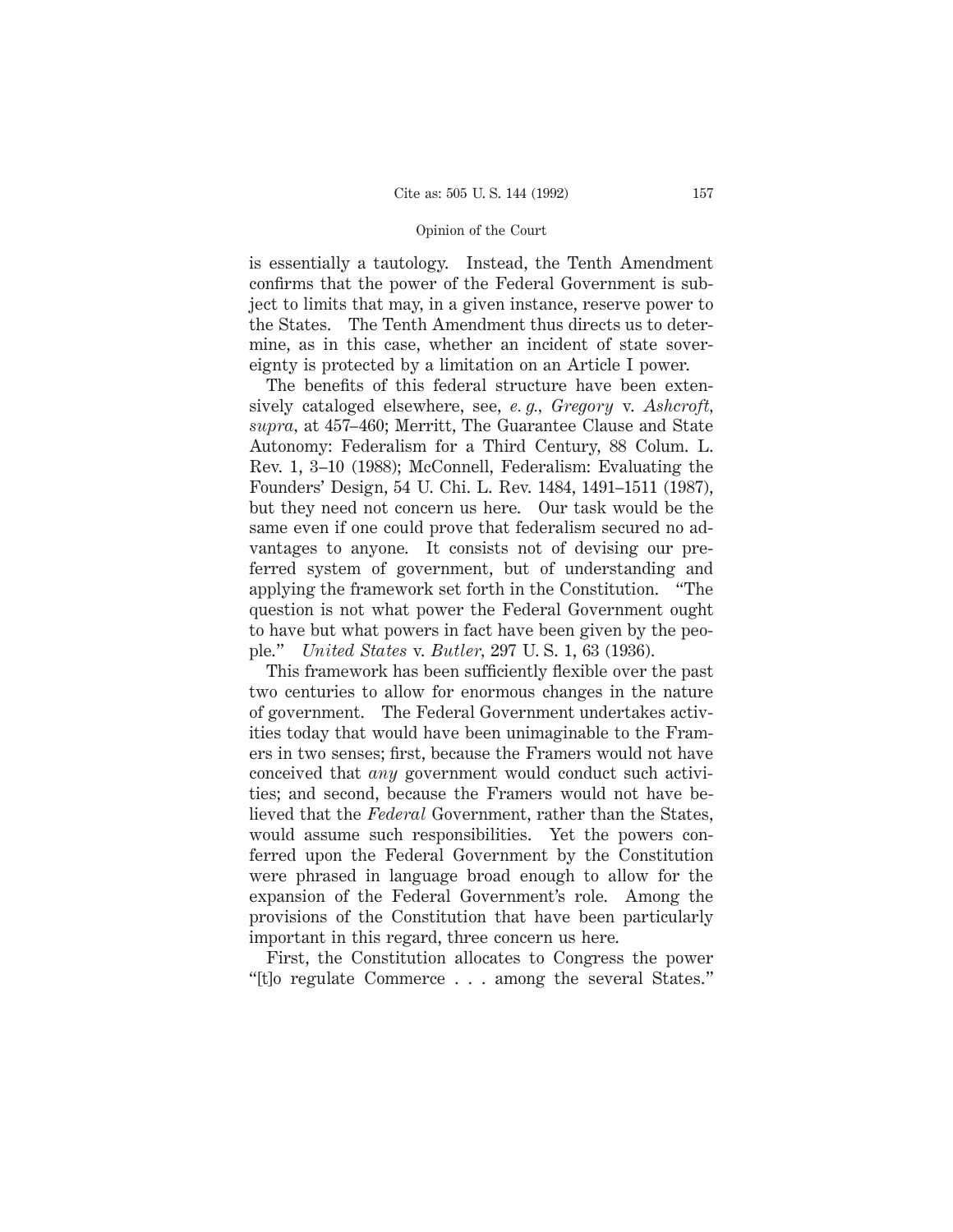is essentially a tautology. Instead, the Tenth Amendment confirms that the power of the Federal Government is subject to limits that may, in a given instance, reserve power to the States. The Tenth Amendment thus directs us to determine, as in this case, whether an incident of state sovereignty is protected by a limitation on an Article I power.

The benefits of this federal structure have been extensively cataloged elsewhere, see, e.g., Gregory v. Ashcroft, supra, at 457-460; Merritt, The Guarantee Clause and State Autonomy: Federalism for a Third Century, 88 Colum. L. Rev. 1, 3–10 (1988); McConnell, Federalism: Evaluating the Founders' Design, 54 U. Chi. L. Rev. 1484, 1491–1511 (1987), but they need not concern us here. Our task would be the same even if one could prove that federalism secured no advantages to anyone. It consists not of devising our preferred system of government, but of understanding and applying the framework set forth in the Constitution. "The question is not what power the Federal Government ought to have but what powers in fact have been given by the people." United States v. Butler, 297 U.S. 1, 63 (1936).

This framework has been sufficiently flexible over the past two centuries to allow for enormous changes in the nature of government. The Federal Government undertakes activities today that would have been unimaginable to the Framers in two senses; first, because the Framers would not have conceived that *any* government would conduct such activities; and second, because the Framers would not have believed that the Federal Government, rather than the States, would assume such responsibilities. Yet the powers conferred upon the Federal Government by the Constitution were phrased in language broad enough to allow for the expansion of the Federal Government's role. Among the provisions of the Constitution that have been particularly important in this regard, three concern us here.

First, the Constitution allocates to Congress the power "[t] o regulate Commerce . . . among the several States."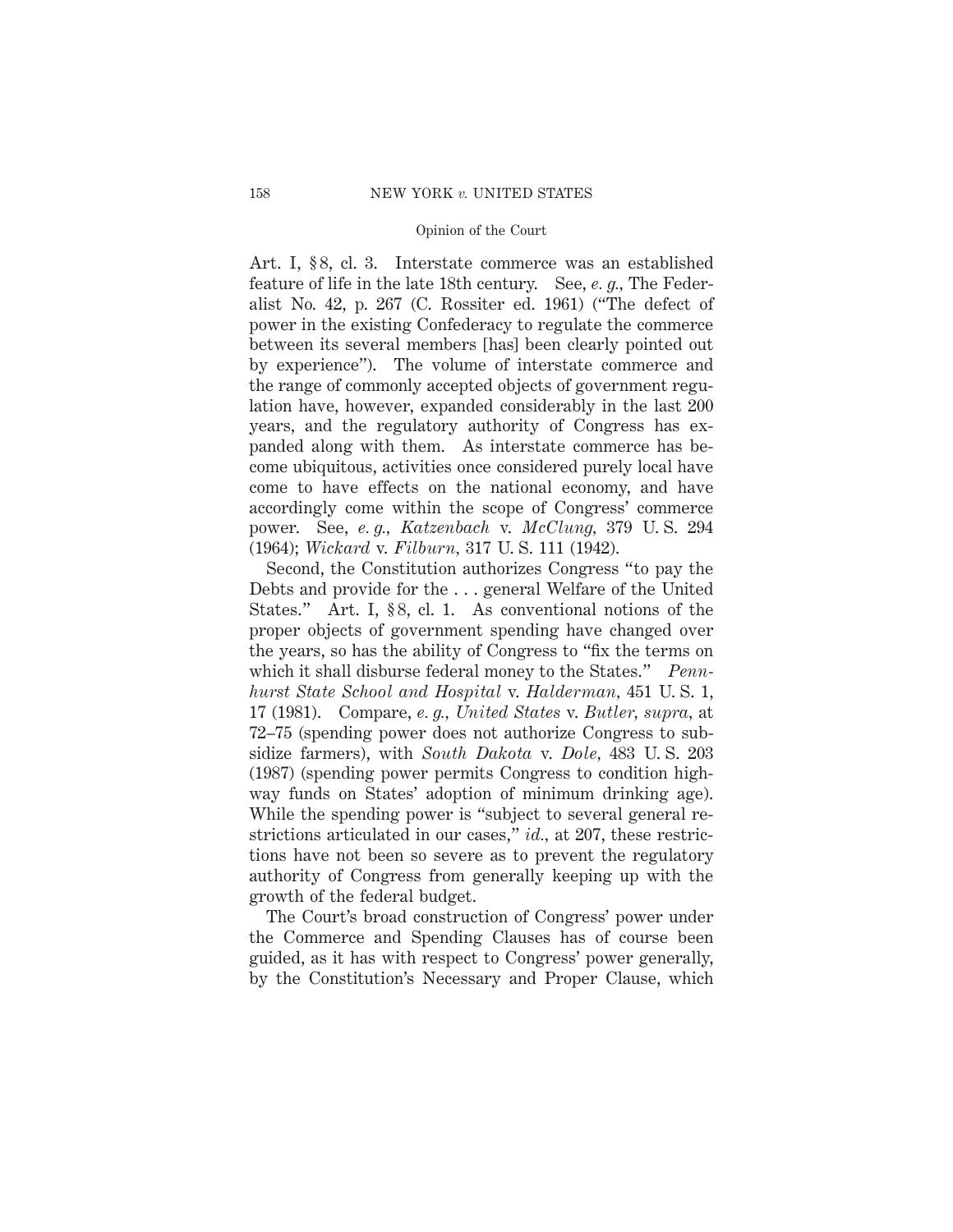Art. I, §8, cl. 3. Interstate commerce was an established feature of life in the late 18th century. See, e. q., The Federalist No. 42, p. 267 (C. Rossiter ed. 1961) ("The defect of power in the existing Confederacy to regulate the commerce between its several members [has] been clearly pointed out by experience"). The volume of interstate commerce and the range of commonly accepted objects of government regulation have, however, expanded considerably in the last 200 years, and the regulatory authority of Congress has expanded along with them. As interstate commerce has become ubiquitous, activities once considered purely local have come to have effects on the national economy, and have accordingly come within the scope of Congress' commerce power. See, e.g., Katzenbach v. McClung, 379 U.S. 294 (1964); *Wickard v. Filburn*, 317 U.S. 111 (1942).

Second, the Constitution authorizes Congress "to pay the Debts and provide for the ... general Welfare of the United States." Art. I, §8, cl. 1. As conventional notions of the proper objects of government spending have changed over the years, so has the ability of Congress to "fix the terms on which it shall disburse federal money to the States." Pennhurst State School and Hospital v. Halderman, 451 U.S. 1, 17 (1981). Compare, e.g., United States v. Butler, supra, at 72–75 (spending power does not authorize Congress to subsidize farmers), with South Dakota v. Dole, 483 U.S. 203 (1987) (spending power permits Congress to condition highway funds on States' adoption of minimum drinking age). While the spending power is "subject to several general restrictions articulated in our cases," id., at 207, these restrictions have not been so severe as to prevent the regulatory authority of Congress from generally keeping up with the growth of the federal budget.

The Court's broad construction of Congress' power under the Commerce and Spending Clauses has of course been guided, as it has with respect to Congress' power generally, by the Constitution's Necessary and Proper Clause, which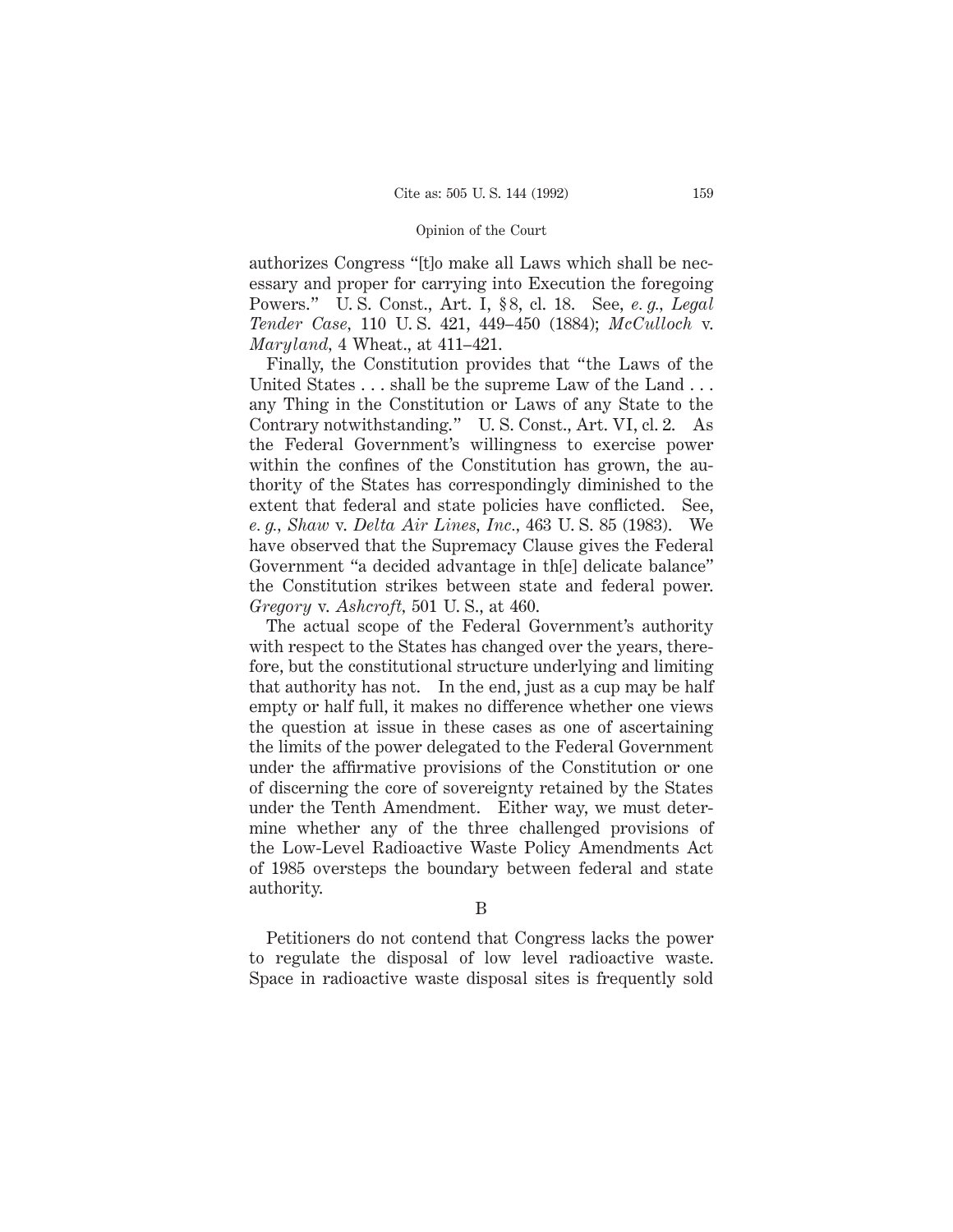authorizes Congress "[t]o make all Laws which shall be necessary and proper for carrying into Execution the foregoing Powers." U.S. Const., Art. I, §8, cl. 18. See, e.g., Legal Tender Case, 110 U.S. 421, 449–450 (1884); McCulloch v. *Maryland*, 4 Wheat., at  $411-421$ .

Finally, the Constitution provides that "the Laws of the United States . . . shall be the supreme Law of the Land . . . any Thing in the Constitution or Laws of any State to the Contrary notwithstanding." U.S. Const., Art. VI, cl. 2. As the Federal Government's willingness to exercise power within the confines of the Constitution has grown, the authority of the States has correspondingly diminished to the extent that federal and state policies have conflicted. See, e. g., Shaw v. Delta Air Lines, Inc., 463 U.S. 85 (1983). We have observed that the Supremacy Clause gives the Federal Government "a decided advantage in the delicate balance" the Constitution strikes between state and federal power. Gregory v. Ashcroft, 501 U.S., at 460.

The actual scope of the Federal Government's authority with respect to the States has changed over the years, therefore, but the constitutional structure underlying and limiting that authority has not. In the end, just as a cup may be half empty or half full, it makes no difference whether one views the question at issue in these cases as one of ascertaining the limits of the power delegated to the Federal Government under the affirmative provisions of the Constitution or one of discerning the core of sovereignty retained by the States under the Tenth Amendment. Either way, we must determine whether any of the three challenged provisions of the Low-Level Radioactive Waste Policy Amendments Act of 1985 oversteps the boundary between federal and state authority.

## B

Petitioners do not contend that Congress lacks the power to regulate the disposal of low level radioactive waste. Space in radioactive waste disposal sites is frequently sold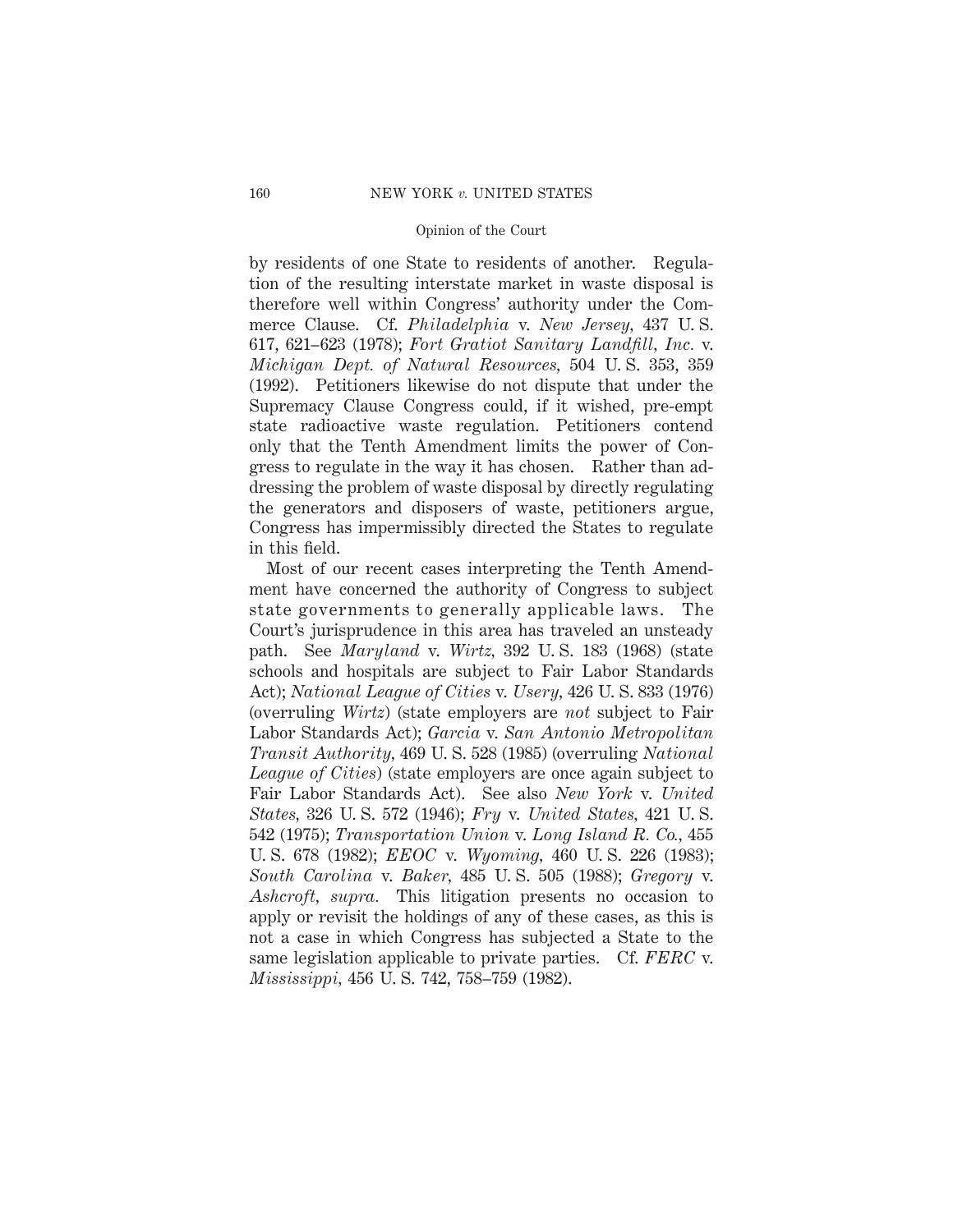by residents of one State to residents of another. Regulation of the resulting interstate market in waste disposal is therefore well within Congress' authority under the Commerce Clause. Cf. *Philadelphia* v. *New Jersey,* 437 U. S. 617, 621–623 (1978); *Fort Gratiot Sanitary Landfill, Inc.* v. *Michigan Dept. of Natural Resources,* 504 U. S. 353, 359 (1992). Petitioners likewise do not dispute that under the Supremacy Clause Congress could, if it wished, pre-empt state radioactive waste regulation. Petitioners contend only that the Tenth Amendment limits the power of Congress to regulate in the way it has chosen. Rather than addressing the problem of waste disposal by directly regulating the generators and disposers of waste, petitioners argue, Congress has impermissibly directed the States to regulate in this field.

Most of our recent cases interpreting the Tenth Amendment have concerned the authority of Congress to subject state governments to generally applicable laws. The Court's jurisprudence in this area has traveled an unsteady path. See *Maryland* v. *Wirtz,* 392 U. S. 183 (1968) (state schools and hospitals are subject to Fair Labor Standards Act); *National League of Cities* v. *Usery,* 426 U. S. 833 (1976) (overruling *Wirtz*) (state employers are *not* subject to Fair Labor Standards Act); *Garcia* v. *San Antonio Metropolitan Transit Authority,* 469 U. S. 528 (1985) (overruling *National League of Cities*) (state employers are once again subject to Fair Labor Standards Act). See also *New York* v. *United States,* 326 U. S. 572 (1946); *Fry* v. *United States,* 421 U. S. 542 (1975); *Transportation Union* v. *Long Island R. Co.,* 455 U. S. 678 (1982); *EEOC* v. *Wyoming,* 460 U. S. 226 (1983); *South Carolina* v. *Baker,* 485 U. S. 505 (1988); *Gregory* v. *Ashcroft, supra.* This litigation presents no occasion to apply or revisit the holdings of any of these cases, as this is not a case in which Congress has subjected a State to the same legislation applicable to private parties. Cf. *FERC* v. *Mississippi,* 456 U. S. 742, 758–759 (1982).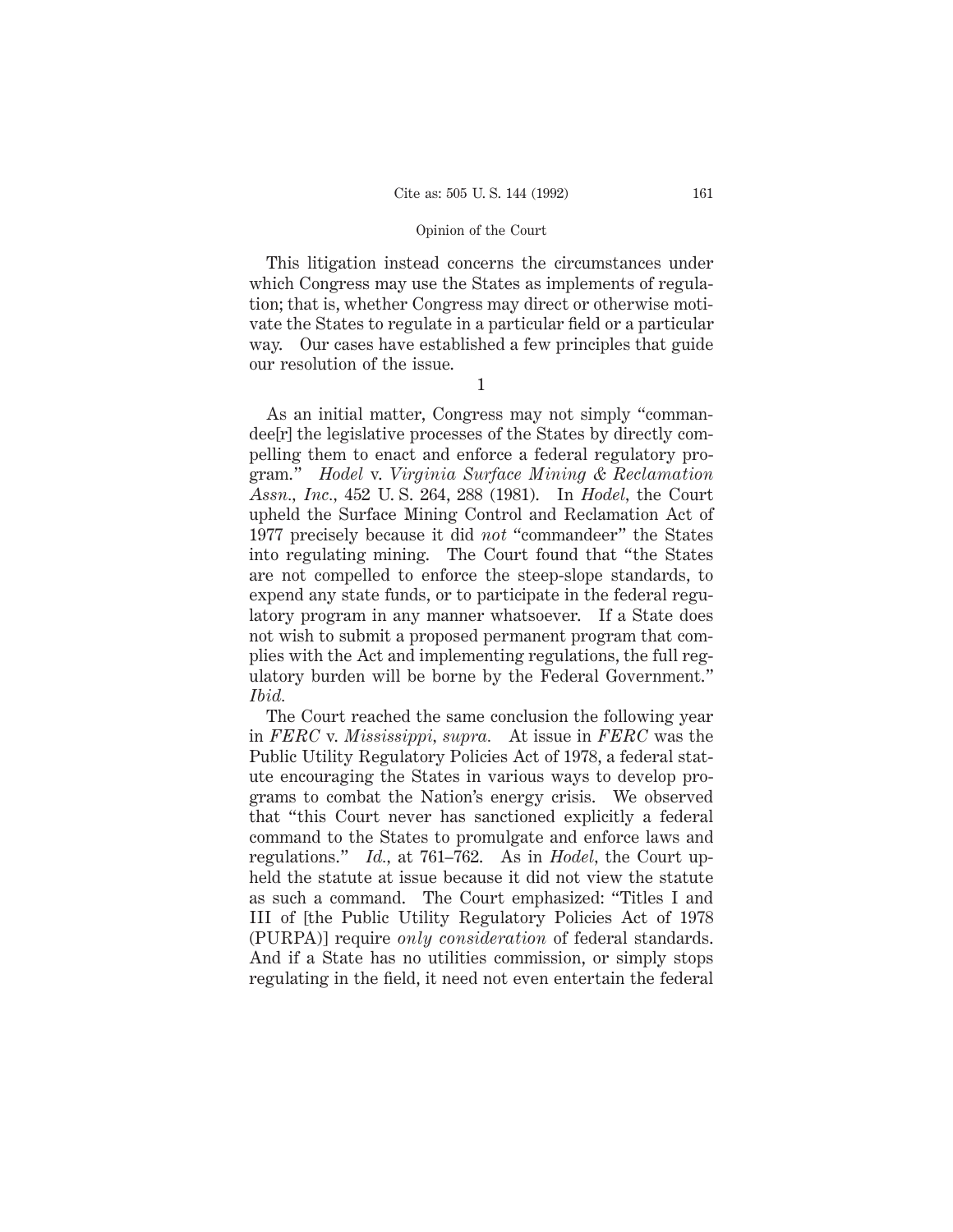This litigation instead concerns the circumstances under which Congress may use the States as implements of regulation; that is, whether Congress may direct or otherwise motivate the States to regulate in a particular field or a particular way. Our cases have established a few principles that guide our resolution of the issue.

1

As an initial matter, Congress may not simply "commandee[r] the legislative processes of the States by directly compelling them to enact and enforce a federal regulatory program." *Hodel* v. *Virginia Surface Mining & Reclamation Assn., Inc.,* 452 U. S. 264, 288 (1981). In *Hodel,* the Court upheld the Surface Mining Control and Reclamation Act of 1977 precisely because it did *not* "commandeer" the States into regulating mining. The Court found that "the States are not compelled to enforce the steep-slope standards, to expend any state funds, or to participate in the federal regulatory program in any manner whatsoever. If a State does not wish to submit a proposed permanent program that complies with the Act and implementing regulations, the full regulatory burden will be borne by the Federal Government." *Ibid.*

The Court reached the same conclusion the following year in *FERC* v. *Mississippi, supra.* At issue in *FERC* was the Public Utility Regulatory Policies Act of 1978, a federal statute encouraging the States in various ways to develop programs to combat the Nation's energy crisis. We observed that "this Court never has sanctioned explicitly a federal command to the States to promulgate and enforce laws and regulations." *Id.,* at 761–762. As in *Hodel,* the Court upheld the statute at issue because it did not view the statute as such a command. The Court emphasized: "Titles I and III of [the Public Utility Regulatory Policies Act of 1978 (PURPA)] require *only consideration* of federal standards. And if a State has no utilities commission, or simply stops regulating in the field, it need not even entertain the federal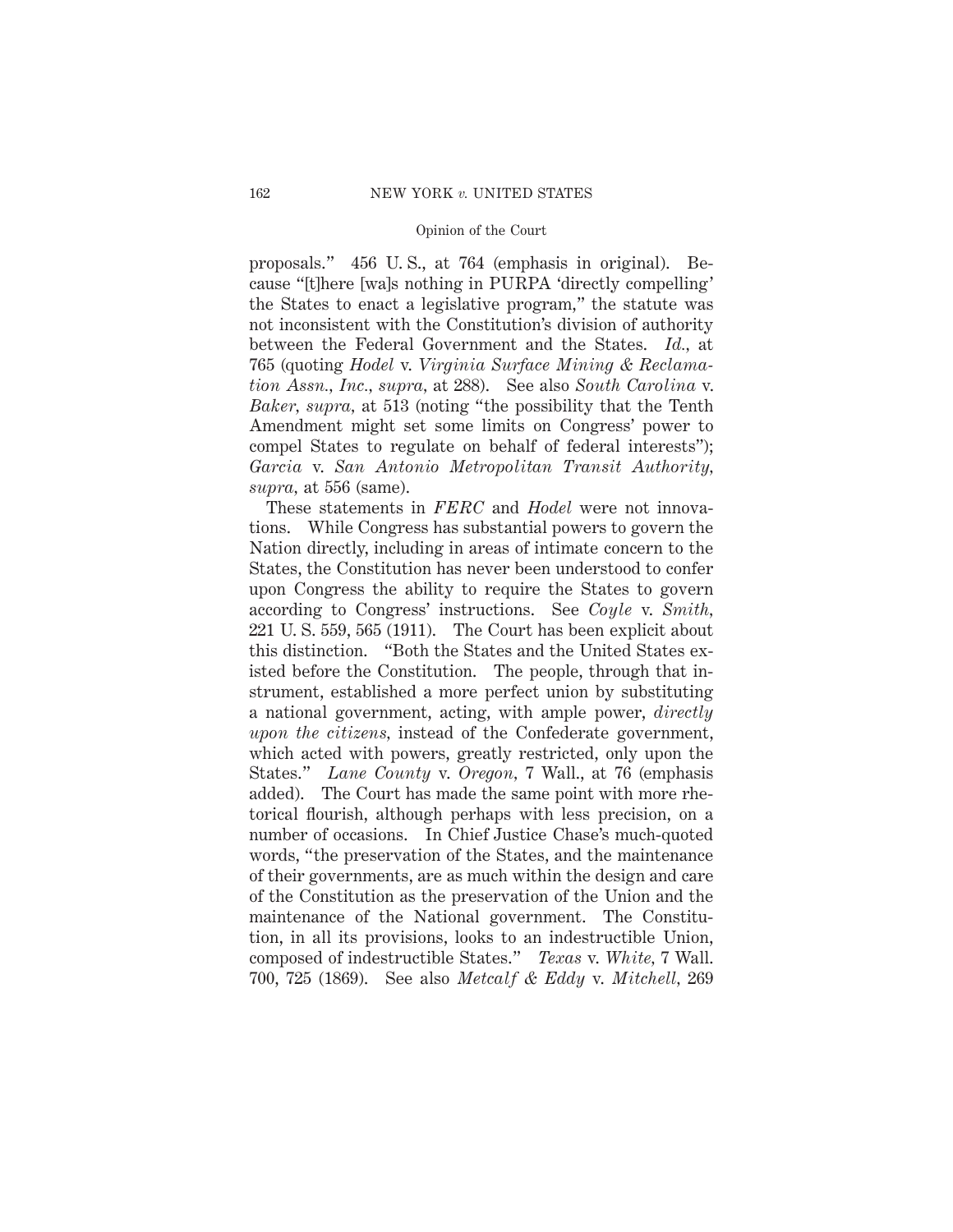proposals." 456 U.S., at 764 (emphasis in original). Because "[t] here [wa]s nothing in PURPA 'directly compelling' the States to enact a legislative program," the statute was not inconsistent with the Constitution's division of authority between the Federal Government and the States. Id., at 765 (quoting Hodel v. Virginia Surface Mining & Reclamation Assn., Inc., supra, at 288). See also South Carolina v. *Baker*, *supra*, at 513 (noting "the possibility that the Tenth Amendment might set some limits on Congress' power to compel States to regulate on behalf of federal interests"); Garcia v. San Antonio Metropolitan Transit Authority, supra, at 556 (same).

These statements in FERC and Hodel were not innovations. While Congress has substantial powers to govern the Nation directly, including in areas of intimate concern to the States, the Constitution has never been understood to confer upon Congress the ability to require the States to govern according to Congress' instructions. See Coyle v. Smith,  $221$  U.S. 559, 565 (1911). The Court has been explicit about this distinction. "Both the States and the United States existed before the Constitution. The people, through that instrument, established a more perfect union by substituting a national government, acting, with ample power, *directly* upon the citizens, instead of the Confederate government, which acted with powers, greatly restricted, only upon the States." Lane County v. Oregon, 7 Wall., at 76 (emphasis added). The Court has made the same point with more rhetorical flourish, although perhaps with less precision, on a number of occasions. In Chief Justice Chase's much-quoted words, "the preservation of the States, and the maintenance of their governments, are as much within the design and care of the Constitution as the preservation of the Union and the maintenance of the National government. The Constitution, in all its provisions, looks to an indestructible Union, composed of indestructible States." Texas v. White, 7 Wall. 700, 725 (1869). See also Metcalf & Eddy v. Mitchell, 269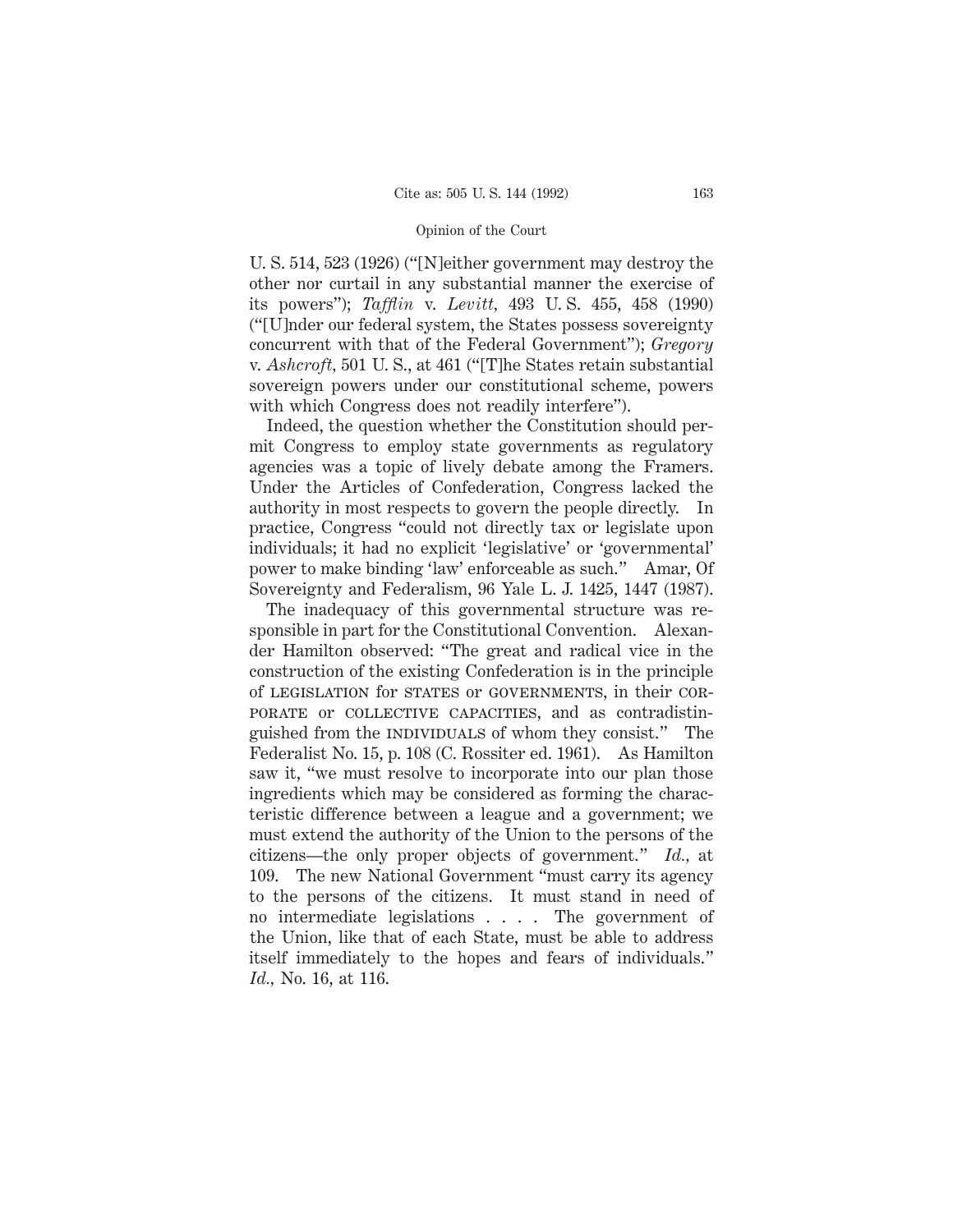U. S. 514, 523 (1926) ("[N]either government may destroy the other nor curtail in any substantial manner the exercise of its powers"); *Tafflin* v. *Levitt,* 493 U. S. 455, 458 (1990) ("[U]nder our federal system, the States possess sovereignty concurrent with that of the Federal Government"); *Gregory* v. *Ashcroft,* 501 U. S., at 461 ("[T]he States retain substantial sovereign powers under our constitutional scheme, powers with which Congress does not readily interfere".

Indeed, the question whether the Constitution should permit Congress to employ state governments as regulatory agencies was a topic of lively debate among the Framers. Under the Articles of Confederation, Congress lacked the authority in most respects to govern the people directly. In practice, Congress "could not directly tax or legislate upon individuals; it had no explicit 'legislative' or 'governmental' power to make binding 'law' enforceable as such." Amar, Of Sovereignty and Federalism, 96 Yale L. J. 1425, 1447 (1987).

The inadequacy of this governmental structure was responsible in part for the Constitutional Convention. Alexander Hamilton observed: "The great and radical vice in the construction of the existing Confederation is in the principle of legislation for states or governments, in their cor-PORATE OF COLLECTIVE CAPACITIES, and as contradistinguished from the individuals of whom they consist." The Federalist No. 15, p. 108 (C. Rossiter ed. 1961). As Hamilton saw it, "we must resolve to incorporate into our plan those ingredients which may be considered as forming the characteristic difference between a league and a government; we must extend the authority of the Union to the persons of the citizens—the only proper objects of government." *Id.,* at 109. The new National Government "must carry its agency to the persons of the citizens. It must stand in need of no intermediate legislations . . . . The government of the Union, like that of each State, must be able to address itself immediately to the hopes and fears of individuals." *Id.,* No. 16, at 116.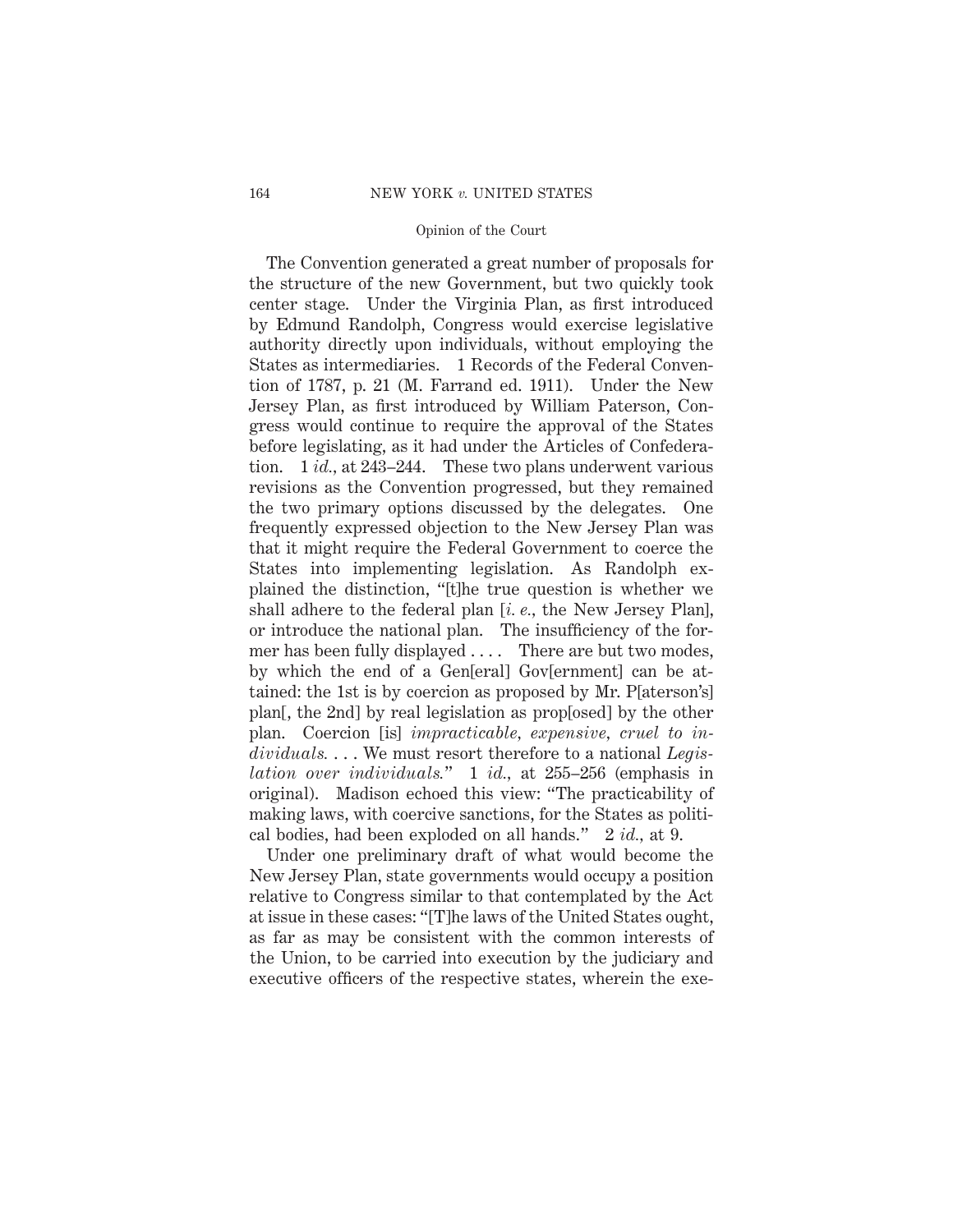The Convention generated a great number of proposals for the structure of the new Government, but two quickly took center stage. Under the Virginia Plan, as first introduced by Edmund Randolph, Congress would exercise legislative authority directly upon individuals, without employing the States as intermediaries. 1 Records of the Federal Convention of 1787, p. 21 (M. Farrand ed. 1911). Under the New Jersey Plan, as first introduced by William Paterson, Congress would continue to require the approval of the States before legislating, as it had under the Articles of Confederation. 1 *id.,* at 243–244. These two plans underwent various revisions as the Convention progressed, but they remained the two primary options discussed by the delegates. One frequently expressed objection to the New Jersey Plan was that it might require the Federal Government to coerce the States into implementing legislation. As Randolph explained the distinction, "[t]he true question is whether we shall adhere to the federal plan [*i. e.,* the New Jersey Plan], or introduce the national plan. The insufficiency of the former has been fully displayed.... There are but two modes, by which the end of a Gen[eral] Gov[ernment] can be attained: the 1st is by coercion as proposed by Mr. P[aterson's] plan[, the 2nd] by real legislation as prop[osed] by the other plan. Coercion [is] *impracticable, expensive, cruel to individuals.* . . . We must resort therefore to a national *Legislation over individuals.*" 1 *id.,* at 255–256 (emphasis in original). Madison echoed this view: "The practicability of making laws, with coercive sanctions, for the States as political bodies, had been exploded on all hands." 2 *id.,* at 9.

Under one preliminary draft of what would become the New Jersey Plan, state governments would occupy a position relative to Congress similar to that contemplated by the Act at issue in these cases: "[T]he laws of the United States ought, as far as may be consistent with the common interests of the Union, to be carried into execution by the judiciary and executive officers of the respective states, wherein the exe-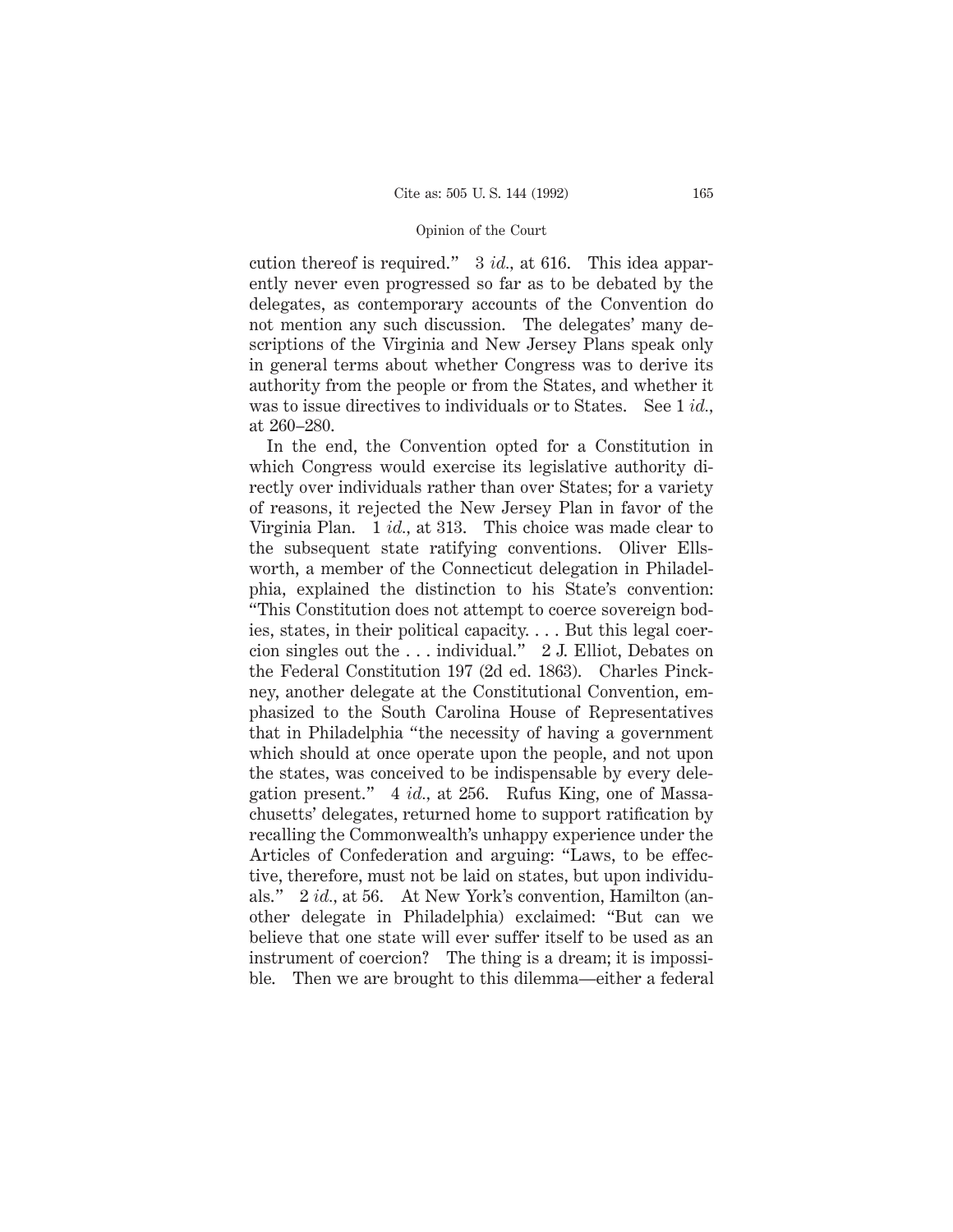cution thereof is required." 3 *id.,* at 616. This idea apparently never even progressed so far as to be debated by the delegates, as contemporary accounts of the Convention do not mention any such discussion. The delegates' many descriptions of the Virginia and New Jersey Plans speak only in general terms about whether Congress was to derive its authority from the people or from the States, and whether it was to issue directives to individuals or to States. See 1 *id.,* at 260–280.

In the end, the Convention opted for a Constitution in which Congress would exercise its legislative authority directly over individuals rather than over States; for a variety of reasons, it rejected the New Jersey Plan in favor of the Virginia Plan. 1 *id.,* at 313. This choice was made clear to the subsequent state ratifying conventions. Oliver Ellsworth, a member of the Connecticut delegation in Philadelphia, explained the distinction to his State's convention: "This Constitution does not attempt to coerce sovereign bodies, states, in their political capacity. . . . But this legal coercion singles out the . . . individual." 2 J. Elliot, Debates on the Federal Constitution 197 (2d ed. 1863). Charles Pinckney, another delegate at the Constitutional Convention, emphasized to the South Carolina House of Representatives that in Philadelphia "the necessity of having a government which should at once operate upon the people, and not upon the states, was conceived to be indispensable by every delegation present." 4 *id.,* at 256. Rufus King, one of Massachusetts' delegates, returned home to support ratification by recalling the Commonwealth's unhappy experience under the Articles of Confederation and arguing: "Laws, to be effective, therefore, must not be laid on states, but upon individuals." 2 *id.,* at 56. At New York's convention, Hamilton (another delegate in Philadelphia) exclaimed: "But can we believe that one state will ever suffer itself to be used as an instrument of coercion? The thing is a dream; it is impossible. Then we are brought to this dilemma—either a federal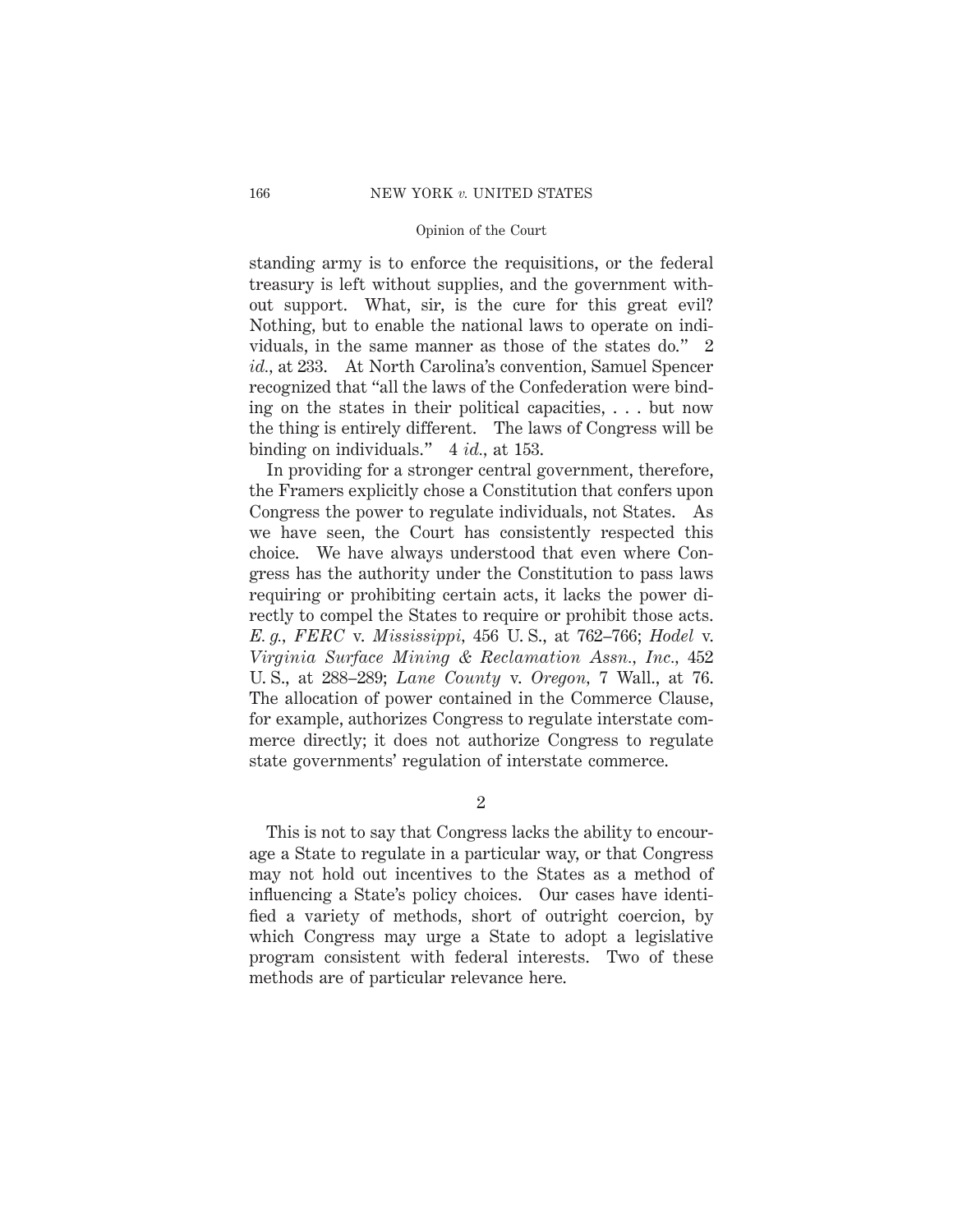standing army is to enforce the requisitions, or the federal treasury is left without supplies, and the government without support. What, sir, is the cure for this great evil? Nothing, but to enable the national laws to operate on individuals, in the same manner as those of the states do." 2 *id.,* at 233. At North Carolina's convention, Samuel Spencer recognized that "all the laws of the Confederation were binding on the states in their political capacities, . . . but now the thing is entirely different. The laws of Congress will be binding on individuals." 4 *id.,* at 153.

In providing for a stronger central government, therefore, the Framers explicitly chose a Constitution that confers upon Congress the power to regulate individuals, not States. As we have seen, the Court has consistently respected this choice. We have always understood that even where Congress has the authority under the Constitution to pass laws requiring or prohibiting certain acts, it lacks the power directly to compel the States to require or prohibit those acts. *E. g., FERC* v. *Mississippi,* 456 U. S., at 762–766; *Hodel* v. *Virginia Surface Mining & Reclamation Assn., Inc.,* 452 U. S., at 288–289; *Lane County* v. *Oregon,* 7 Wall., at 76. The allocation of power contained in the Commerce Clause, for example, authorizes Congress to regulate interstate commerce directly; it does not authorize Congress to regulate state governments' regulation of interstate commerce.

2

This is not to say that Congress lacks the ability to encourage a State to regulate in a particular way, or that Congress may not hold out incentives to the States as a method of influencing a State's policy choices. Our cases have identified a variety of methods, short of outright coercion, by which Congress may urge a State to adopt a legislative program consistent with federal interests. Two of these methods are of particular relevance here.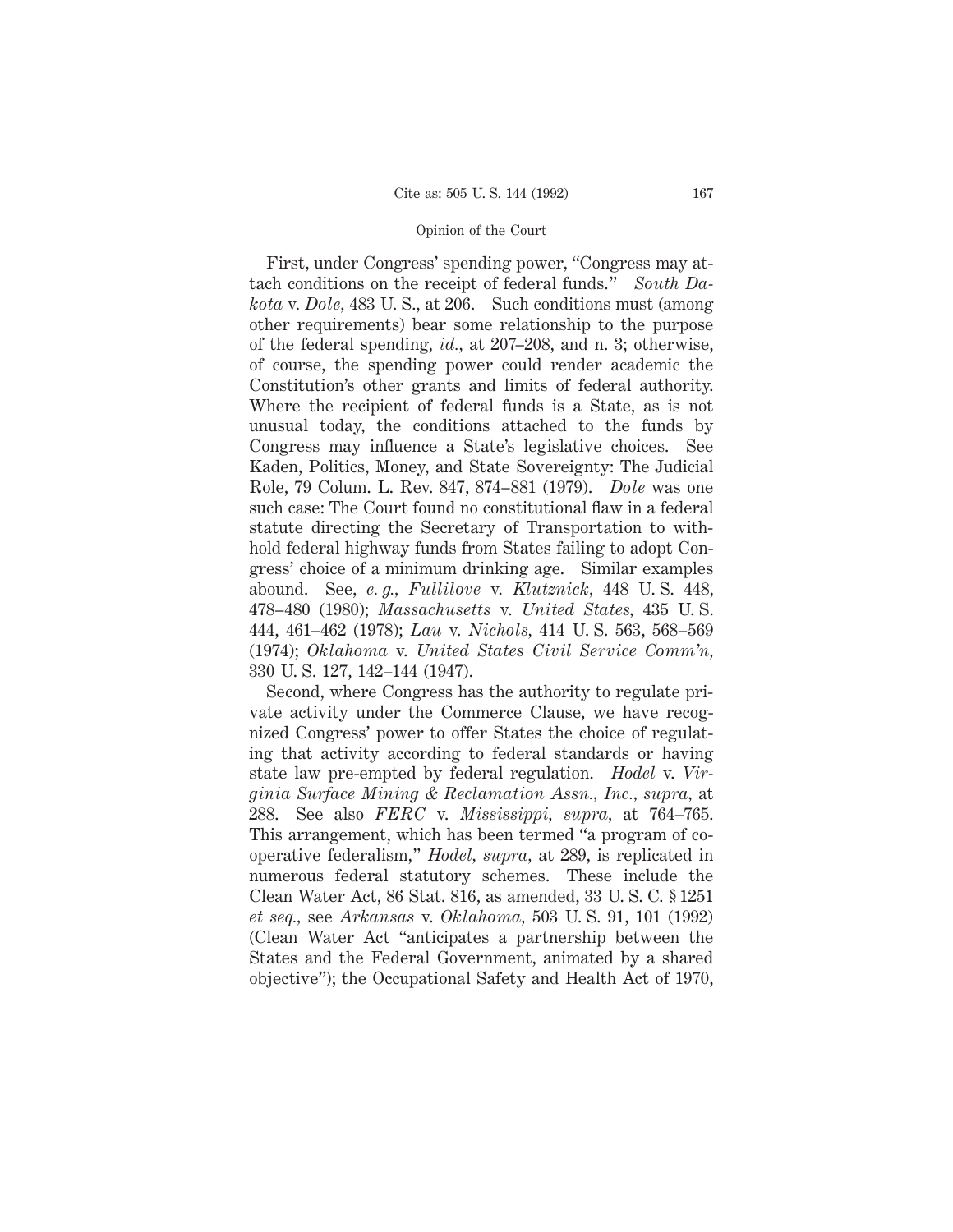First, under Congress' spending power, "Congress may attach conditions on the receipt of federal funds." *South Dakota* v. *Dole,* 483 U. S., at 206. Such conditions must (among other requirements) bear some relationship to the purpose of the federal spending, *id.,* at 207–208, and n. 3; otherwise, of course, the spending power could render academic the Constitution's other grants and limits of federal authority. Where the recipient of federal funds is a State, as is not unusual today, the conditions attached to the funds by Congress may influence a State's legislative choices. See Kaden, Politics, Money, and State Sovereignty: The Judicial Role, 79 Colum. L. Rev. 847, 874–881 (1979). *Dole* was one such case: The Court found no constitutional flaw in a federal statute directing the Secretary of Transportation to withhold federal highway funds from States failing to adopt Congress' choice of a minimum drinking age. Similar examples abound. See, *e. g., Fullilove* v. *Klutznick,* 448 U. S. 448, 478–480 (1980); *Massachusetts* v. *United States,* 435 U. S. 444, 461–462 (1978); *Lau* v. *Nichols,* 414 U. S. 563, 568–569 (1974); *Oklahoma* v. *United States Civil Service Comm'n,* 330 U. S. 127, 142–144 (1947).

Second, where Congress has the authority to regulate private activity under the Commerce Clause, we have recognized Congress' power to offer States the choice of regulating that activity according to federal standards or having state law pre-empted by federal regulation. *Hodel* v. *Virginia Surface Mining & Reclamation Assn., Inc., supra,* at 288. See also *FERC* v. *Mississippi, supra,* at 764–765. This arrangement, which has been termed "a program of cooperative federalism," *Hodel, supra,* at 289, is replicated in numerous federal statutory schemes. These include the Clean Water Act, 86 Stat. 816, as amended, 33 U. S. C. § 1251 *et seq.,* see *Arkansas* v. *Oklahoma,* 503 U. S. 91, 101 (1992) (Clean Water Act "anticipates a partnership between the States and the Federal Government, animated by a shared objective"); the Occupational Safety and Health Act of 1970,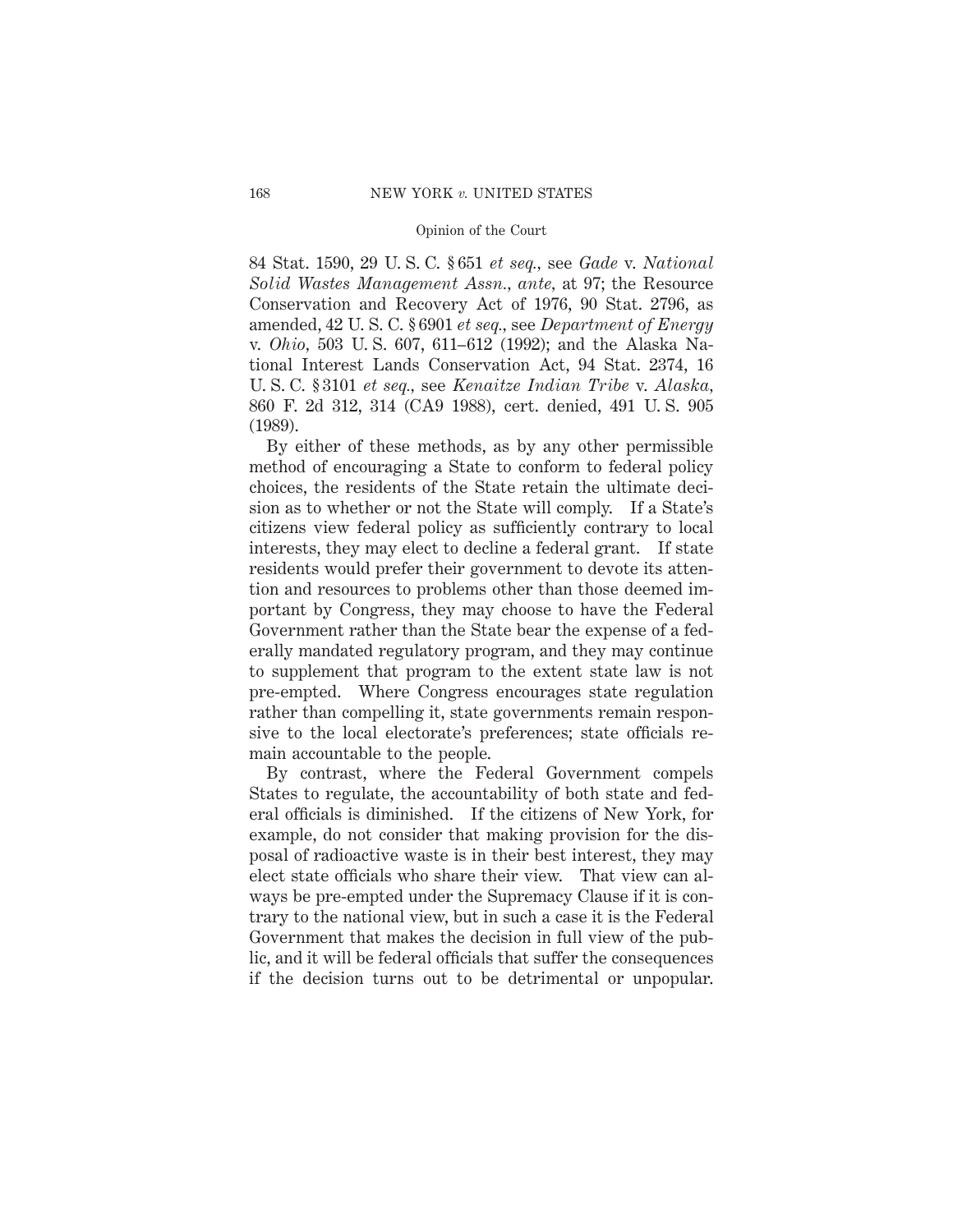84 Stat. 1590, 29 U.S.C. § 651 et seq., see Gade v. National Solid Wastes Management Assn., ante, at 97; the Resource Conservation and Recovery Act of 1976, 90 Stat. 2796, as amended, 42 U.S.C. § 6901 et seq., see Department of Energy v. *Ohio*, 503 U.S. 607, 611–612 (1992); and the Alaska National Interest Lands Conservation Act, 94 Stat. 2374, 16 U.S.C. § 3101 et seq., see Kenaitze Indian Tribe v. Alaska, 860 F. 2d 312, 314 (CA9 1988), cert. denied, 491 U.S. 905  $(1989).$ 

By either of these methods, as by any other permissible method of encouraging a State to conform to federal policy choices, the residents of the State retain the ultimate decision as to whether or not the State will comply. If a State's citizens view federal policy as sufficiently contrary to local interests, they may elect to decline a federal grant. If state residents would prefer their government to devote its attention and resources to problems other than those deemed important by Congress, they may choose to have the Federal Government rather than the State bear the expense of a federally mandated regulatory program, and they may continue to supplement that program to the extent state law is not pre-empted. Where Congress encourages state regulation rather than compelling it, state governments remain responsive to the local electorate's preferences; state officials remain accountable to the people.

By contrast, where the Federal Government compels States to regulate, the accountability of both state and federal officials is diminished. If the citizens of New York, for example, do not consider that making provision for the disposal of radioactive waste is in their best interest, they may elect state officials who share their view. That view can always be pre-empted under the Supremacy Clause if it is contrary to the national view, but in such a case it is the Federal Government that makes the decision in full view of the public, and it will be federal officials that suffer the consequences if the decision turns out to be detrimental or unpopular.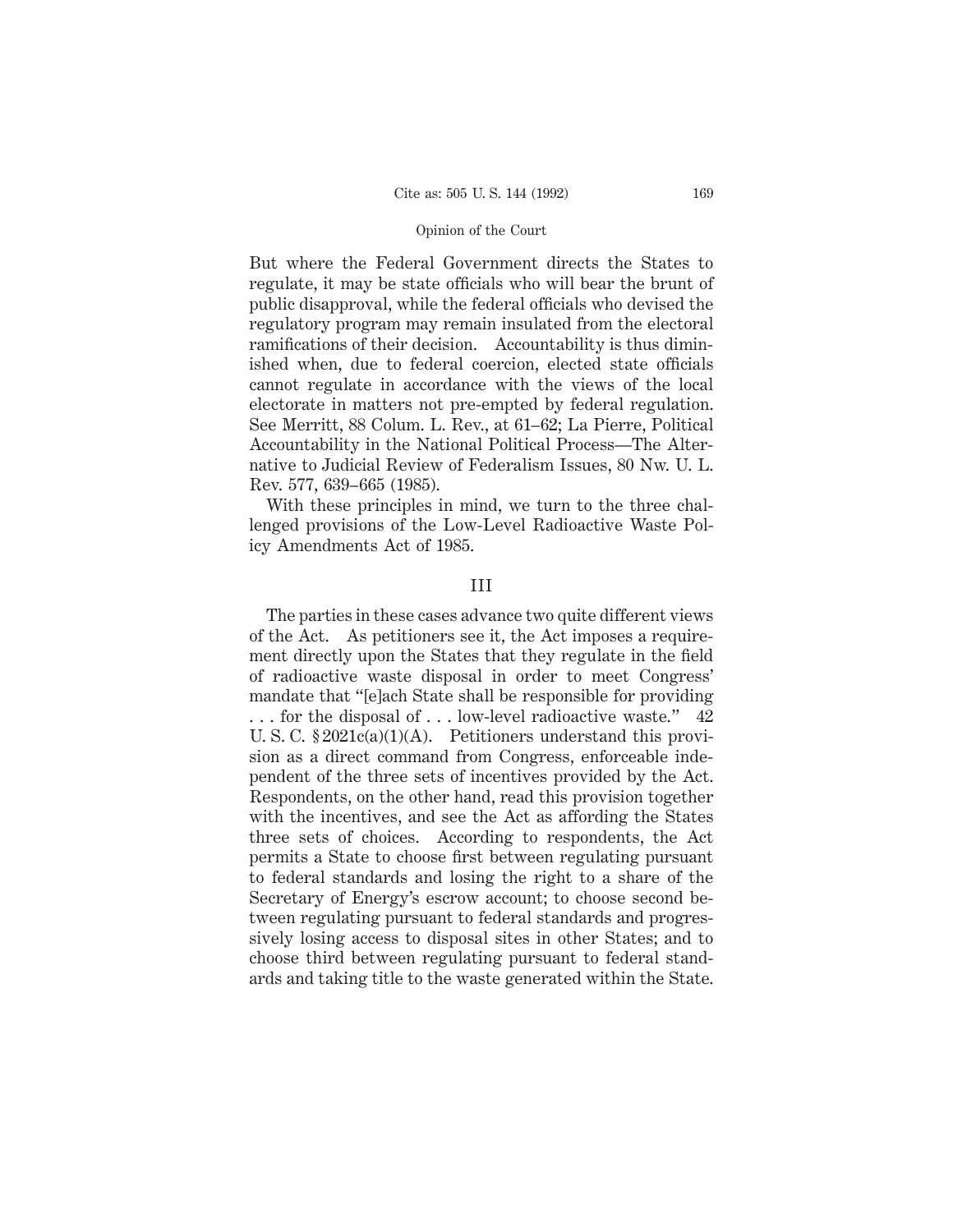But where the Federal Government directs the States to regulate, it may be state officials who will bear the brunt of public disapproval, while the federal officials who devised the regulatory program may remain insulated from the electoral ramifications of their decision. Accountability is thus diminished when, due to federal coercion, elected state officials cannot regulate in accordance with the views of the local electorate in matters not pre-empted by federal regulation. See Merritt, 88 Colum. L. Rev., at 61-62; La Pierre, Political Accountability in the National Political Process—The Alternative to Judicial Review of Federalism Issues, 80 Nw. U. L. Rev. 577, 639–665 (1985).

With these principles in mind, we turn to the three challenged provisions of the Low-Level Radioactive Waste Policy Amendments Act of 1985.

## **III**

The parties in these cases advance two quite different views of the Act. As petitioners see it, the Act imposes a requirement directly upon the States that they regulate in the field of radioactive waste disposal in order to meet Congress' mandate that "[e] ach State shall be responsible for providing ... for the disposal of ... low-level radioactive waste." 42 U.S.C.  $\S 2021c(a)(1)(A)$ . Petitioners understand this provision as a direct command from Congress, enforceable independent of the three sets of incentives provided by the Act. Respondents, on the other hand, read this provision together with the incentives, and see the Act as affording the States three sets of choices. According to respondents, the Act permits a State to choose first between regulating pursuant to federal standards and losing the right to a share of the Secretary of Energy's escrow account; to choose second between regulating pursuant to federal standards and progressively losing access to disposal sites in other States; and to choose third between regulating pursuant to federal standards and taking title to the waste generated within the State.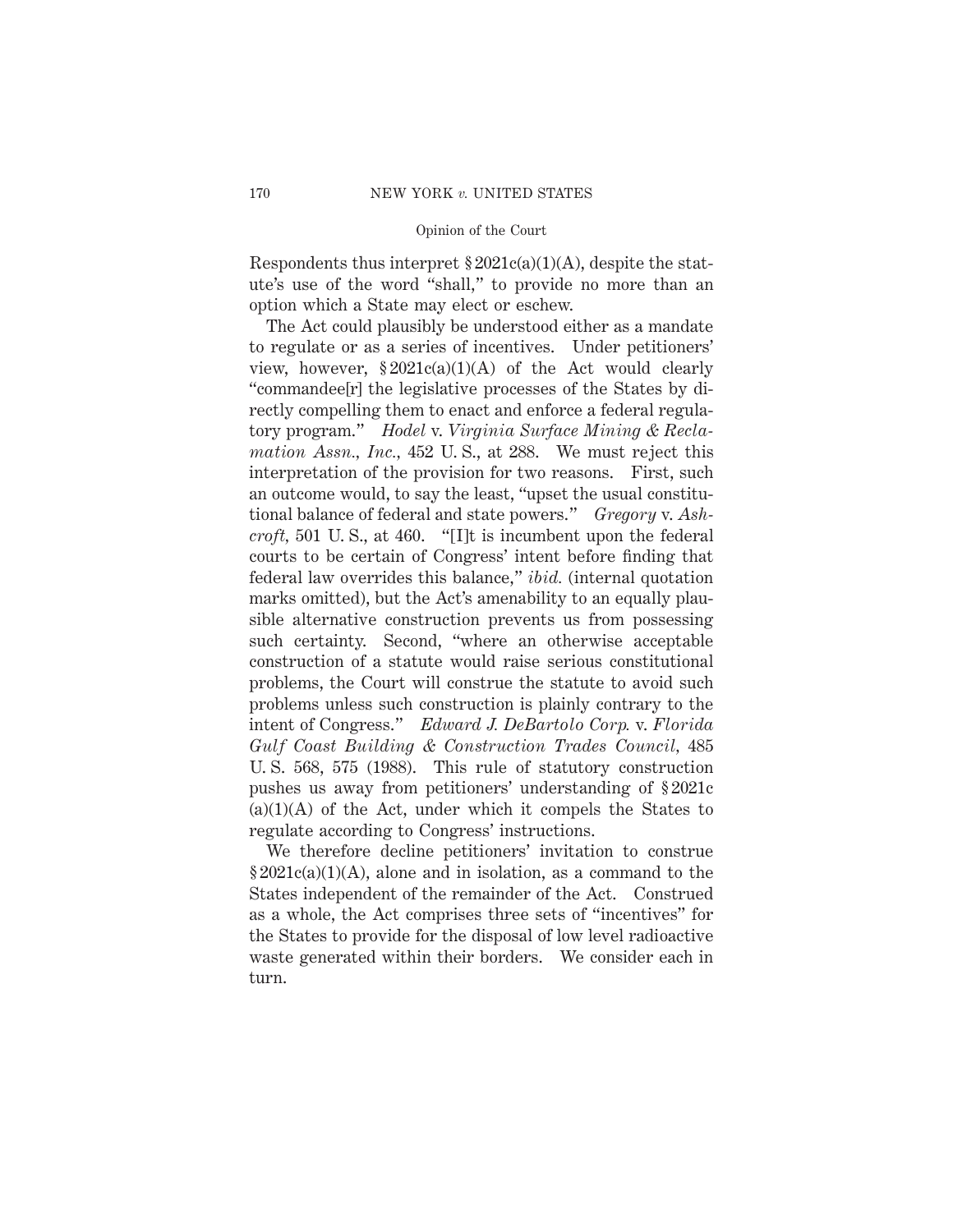Respondents thus interpret  $\S 2021c(a)(1)(A)$ , despite the statute's use of the word "shall," to provide no more than an option which a State may elect or eschew.

The Act could plausibly be understood either as a mandate to regulate or as a series of incentives. Under petitioners' view, however,  $\S 2021c(a)(1)(A)$  of the Act would clearly "commandee[r] the legislative processes of the States by directly compelling them to enact and enforce a federal regulatory program." *Hodel* v. *Virginia Surface Mining & Reclamation Assn., Inc.,* 452 U. S., at 288. We must reject this interpretation of the provision for two reasons. First, such an outcome would, to say the least, "upset the usual constitutional balance of federal and state powers." *Gregory* v. *Ashcroft,* 501 U. S., at 460. "[I]t is incumbent upon the federal courts to be certain of Congress' intent before finding that federal law overrides this balance," *ibid.* (internal quotation marks omitted), but the Act's amenability to an equally plausible alternative construction prevents us from possessing such certainty. Second, "where an otherwise acceptable construction of a statute would raise serious constitutional problems, the Court will construe the statute to avoid such problems unless such construction is plainly contrary to the intent of Congress." *Edward J. DeBartolo Corp.* v. *Florida Gulf Coast Building & Construction Trades Council,* 485 U. S. 568, 575 (1988). This rule of statutory construction pushes us away from petitioners' understanding of § 2021c  $(a)(1)(A)$  of the Act, under which it compels the States to regulate according to Congress' instructions.

We therefore decline petitioners' invitation to construe  $$2021c(a)(1)(A)$ , alone and in isolation, as a command to the States independent of the remainder of the Act. Construed as a whole, the Act comprises three sets of "incentives" for the States to provide for the disposal of low level radioactive waste generated within their borders. We consider each in turn.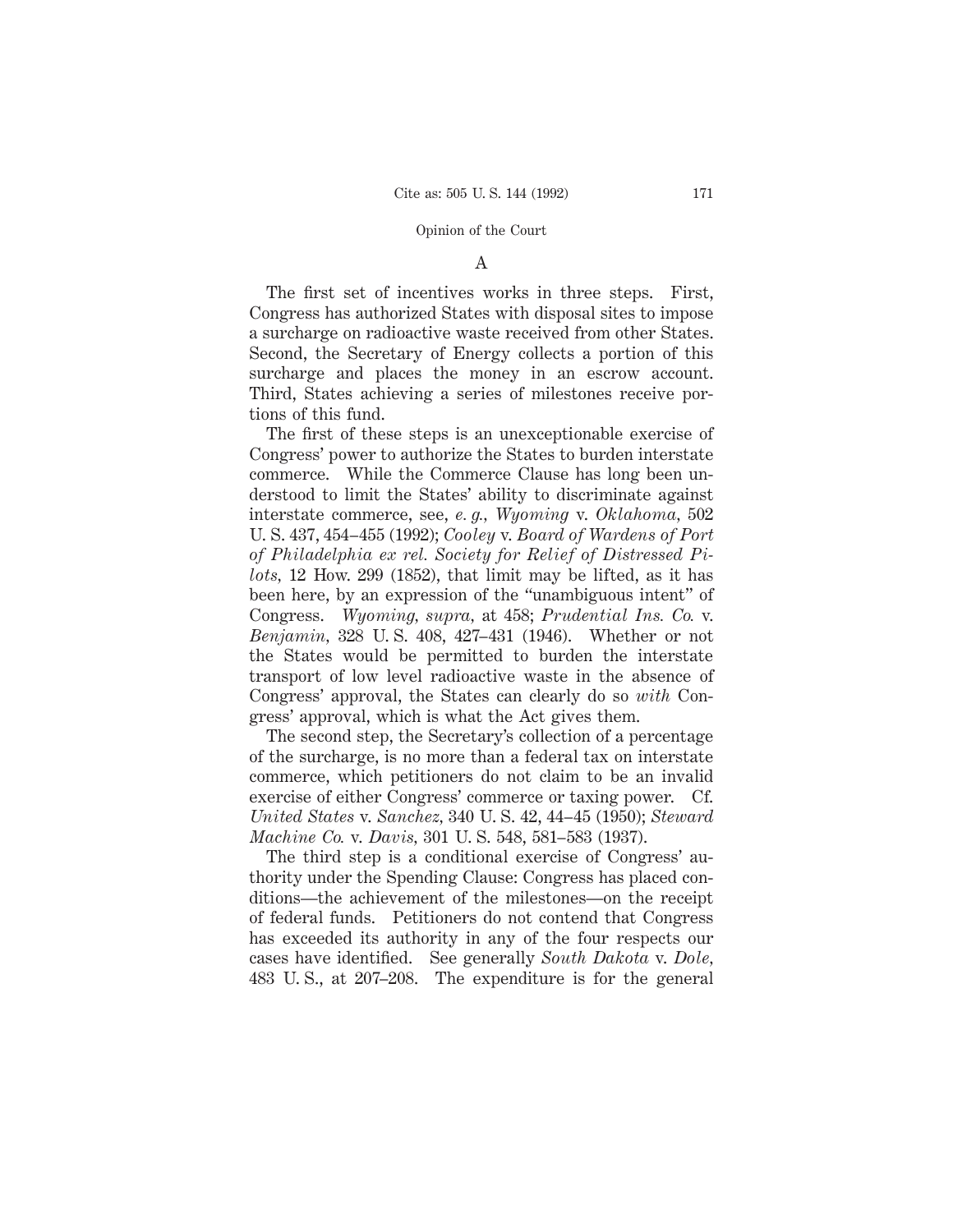## A

The first set of incentives works in three steps. First, Congress has authorized States with disposal sites to impose a surcharge on radioactive waste received from other States. Second, the Secretary of Energy collects a portion of this surcharge and places the money in an escrow account. Third, States achieving a series of milestones receive portions of this fund.

The first of these steps is an unexceptionable exercise of Congress' power to authorize the States to burden interstate commerce. While the Commerce Clause has long been understood to limit the States' ability to discriminate against interstate commerce, see, *e. g., Wyoming* v. *Oklahoma,* 502 U. S. 437, 454–455 (1992); *Cooley* v. *Board of Wardens of Port of Philadelphia ex rel. Society for Relief of Distressed Pilots,* 12 How. 299 (1852), that limit may be lifted, as it has been here, by an expression of the "unambiguous intent" of Congress. *Wyoming, supra,* at 458; *Prudential Ins. Co.* v. *Benjamin,* 328 U. S. 408, 427–431 (1946). Whether or not the States would be permitted to burden the interstate transport of low level radioactive waste in the absence of Congress' approval, the States can clearly do so *with* Congress' approval, which is what the Act gives them.

The second step, the Secretary's collection of a percentage of the surcharge, is no more than a federal tax on interstate commerce, which petitioners do not claim to be an invalid exercise of either Congress' commerce or taxing power. Cf. *United States* v. *Sanchez,* 340 U. S. 42, 44–45 (1950); *Steward Machine Co.* v. *Davis,* 301 U. S. 548, 581–583 (1937).

The third step is a conditional exercise of Congress' authority under the Spending Clause: Congress has placed conditions—the achievement of the milestones—on the receipt of federal funds. Petitioners do not contend that Congress has exceeded its authority in any of the four respects our cases have identified. See generally *South Dakota* v. *Dole,* 483 U. S., at 207–208. The expenditure is for the general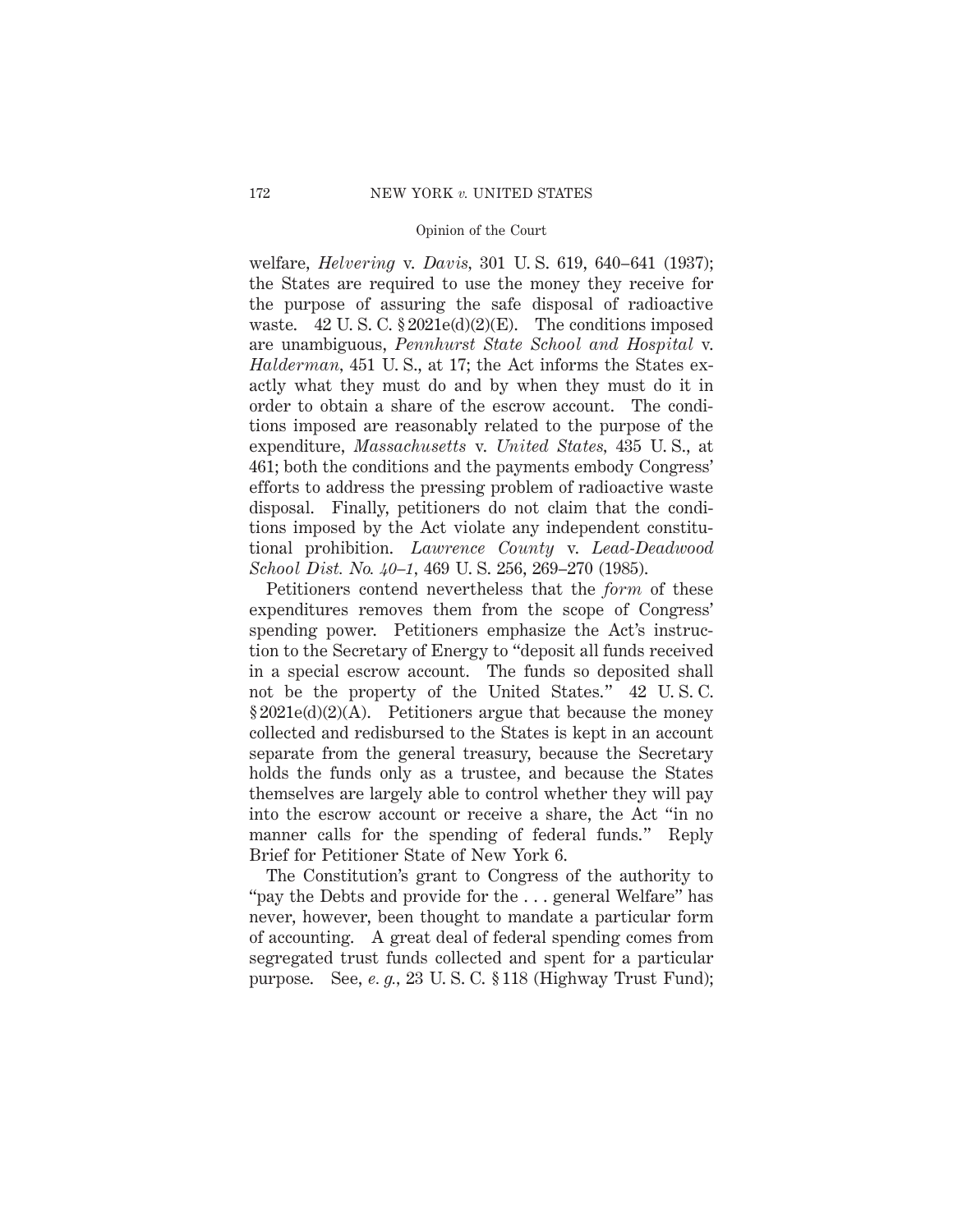welfare, *Helvering* v. *Davis,* 301 U. S. 619, 640–641 (1937); the States are required to use the money they receive for the purpose of assuring the safe disposal of radioactive waste. 42 U.S.C.  $2021e(d)(2)(E)$ . The conditions imposed are unambiguous, *Pennhurst State School and Hospital* v. *Halderman,* 451 U. S., at 17; the Act informs the States exactly what they must do and by when they must do it in order to obtain a share of the escrow account. The conditions imposed are reasonably related to the purpose of the expenditure, *Massachusetts* v. *United States,* 435 U. S., at 461; both the conditions and the payments embody Congress' efforts to address the pressing problem of radioactive waste disposal. Finally, petitioners do not claim that the conditions imposed by the Act violate any independent constitutional prohibition. *Lawrence County* v. *Lead-Deadwood School Dist. No. 40–1,* 469 U. S. 256, 269–270 (1985).

Petitioners contend nevertheless that the *form* of these expenditures removes them from the scope of Congress' spending power. Petitioners emphasize the Act's instruction to the Secretary of Energy to "deposit all funds received in a special escrow account. The funds so deposited shall not be the property of the United States." 42 U. S. C.  $§ 2021e(d)(2)(A)$ . Petitioners argue that because the money collected and redisbursed to the States is kept in an account separate from the general treasury, because the Secretary holds the funds only as a trustee, and because the States themselves are largely able to control whether they will pay into the escrow account or receive a share, the Act "in no manner calls for the spending of federal funds." Reply Brief for Petitioner State of New York 6.

The Constitution's grant to Congress of the authority to "pay the Debts and provide for the . . . general Welfare" has never, however, been thought to mandate a particular form of accounting. A great deal of federal spending comes from segregated trust funds collected and spent for a particular purpose. See, *e. g.,* 23 U. S. C. § 118 (Highway Trust Fund);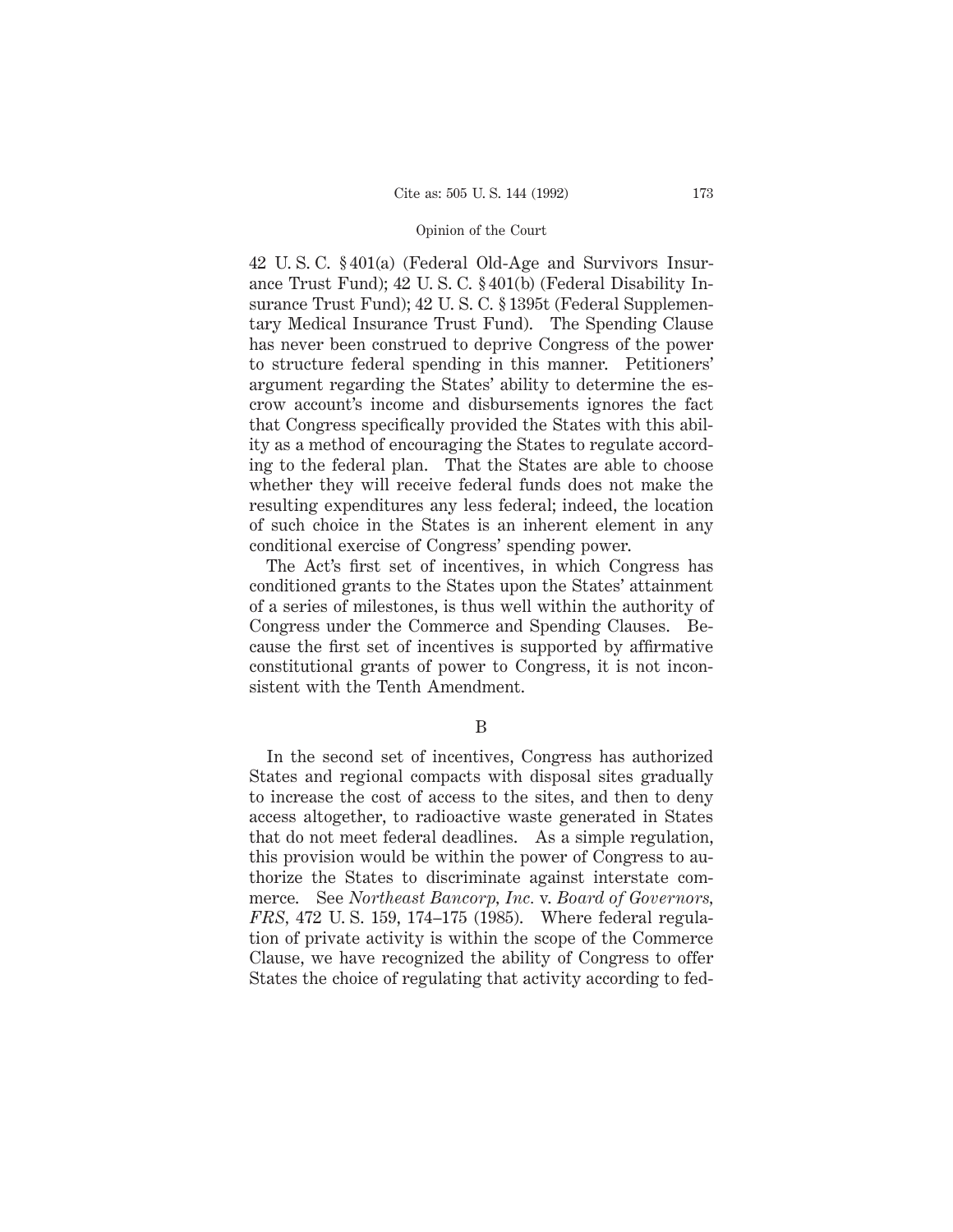42 U.S.C. §401(a) (Federal Old-Age and Survivors Insurance Trust Fund); 42 U.S.C. §401(b) (Federal Disability Insurance Trust Fund); 42 U.S.C. § 1395t (Federal Supplementary Medical Insurance Trust Fund). The Spending Clause has never been construed to deprive Congress of the power to structure federal spending in this manner. Petitioners' argument regarding the States' ability to determine the escrow account's income and disbursements ignores the fact that Congress specifically provided the States with this ability as a method of encouraging the States to regulate according to the federal plan. That the States are able to choose whether they will receive federal funds does not make the resulting expenditures any less federal; indeed, the location of such choice in the States is an inherent element in any conditional exercise of Congress' spending power.

The Act's first set of incentives, in which Congress has conditioned grants to the States upon the States' attainment of a series of milestones, is thus well within the authority of Congress under the Commerce and Spending Clauses. Because the first set of incentives is supported by affirmative constitutional grants of power to Congress, it is not inconsistent with the Tenth Amendment.

B

In the second set of incentives, Congress has authorized States and regional compacts with disposal sites gradually to increase the cost of access to the sites, and then to deny access altogether, to radioactive waste generated in States that do not meet federal deadlines. As a simple regulation, this provision would be within the power of Congress to authorize the States to discriminate against interstate commerce. See Northeast Bancorp, Inc. v. Board of Governors, *FRS*, 472 U.S. 159, 174–175 (1985). Where federal regulation of private activity is within the scope of the Commerce Clause, we have recognized the ability of Congress to offer States the choice of regulating that activity according to fed-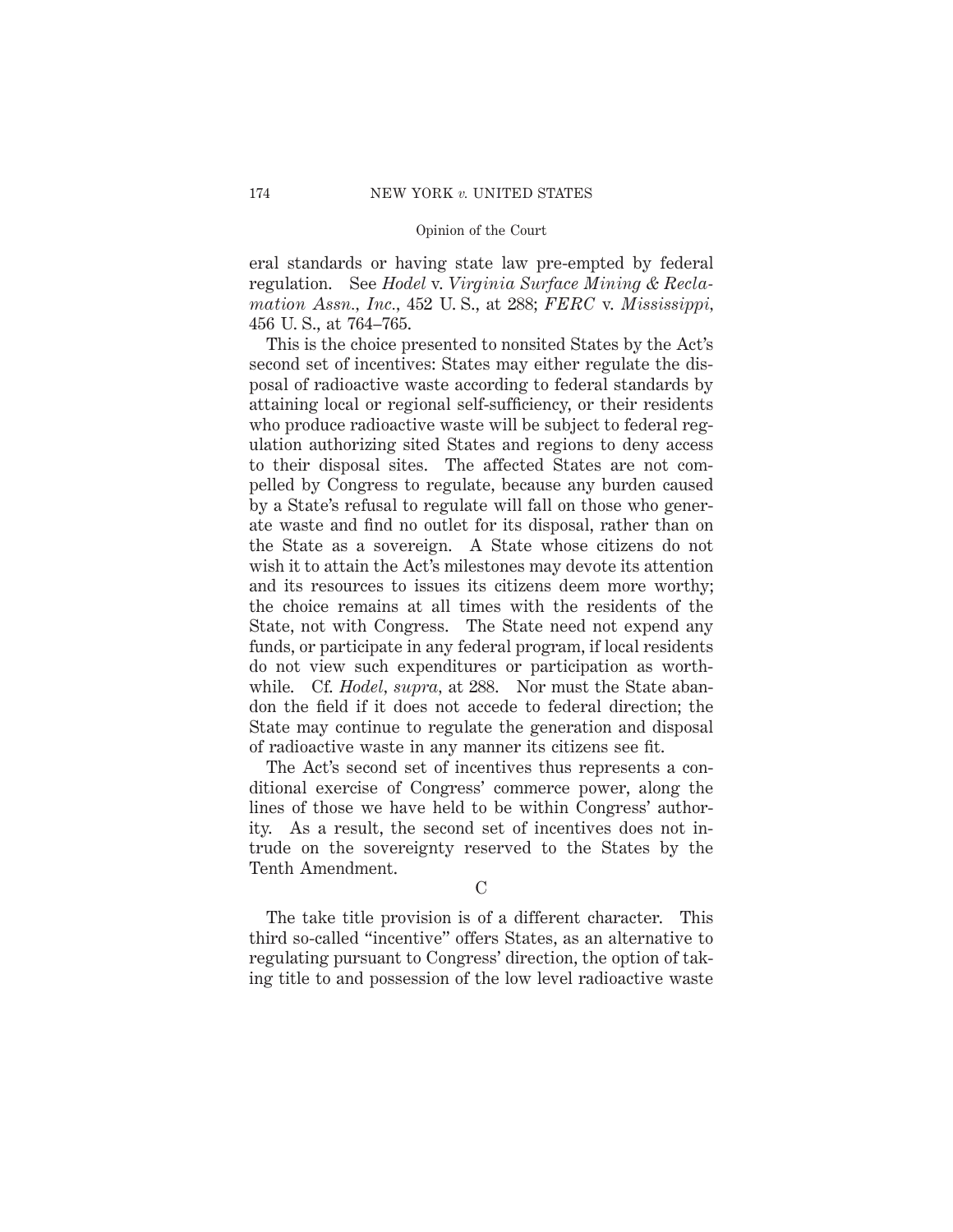eral standards or having state law pre-empted by federal regulation. See *Hodel* v. *Virginia Surface Mining & Reclamation Assn., Inc.,* 452 U. S., at 288; *FERC* v. *Mississippi,* 456 U. S., at 764–765.

This is the choice presented to nonsited States by the Act's second set of incentives: States may either regulate the disposal of radioactive waste according to federal standards by attaining local or regional self-sufficiency, or their residents who produce radioactive waste will be subject to federal regulation authorizing sited States and regions to deny access to their disposal sites. The affected States are not compelled by Congress to regulate, because any burden caused by a State's refusal to regulate will fall on those who generate waste and find no outlet for its disposal, rather than on the State as a sovereign. A State whose citizens do not wish it to attain the Act's milestones may devote its attention and its resources to issues its citizens deem more worthy; the choice remains at all times with the residents of the State, not with Congress. The State need not expend any funds, or participate in any federal program, if local residents do not view such expenditures or participation as worthwhile. Cf. *Hodel, supra,* at 288. Nor must the State abandon the field if it does not accede to federal direction; the State may continue to regulate the generation and disposal of radioactive waste in any manner its citizens see fit.

The Act's second set of incentives thus represents a conditional exercise of Congress' commerce power, along the lines of those we have held to be within Congress' authority. As a result, the second set of incentives does not intrude on the sovereignty reserved to the States by the Tenth Amendment.

 $\mathcal{C}$ 

The take title provision is of a different character. This third so-called "incentive" offers States, as an alternative to regulating pursuant to Congress' direction, the option of taking title to and possession of the low level radioactive waste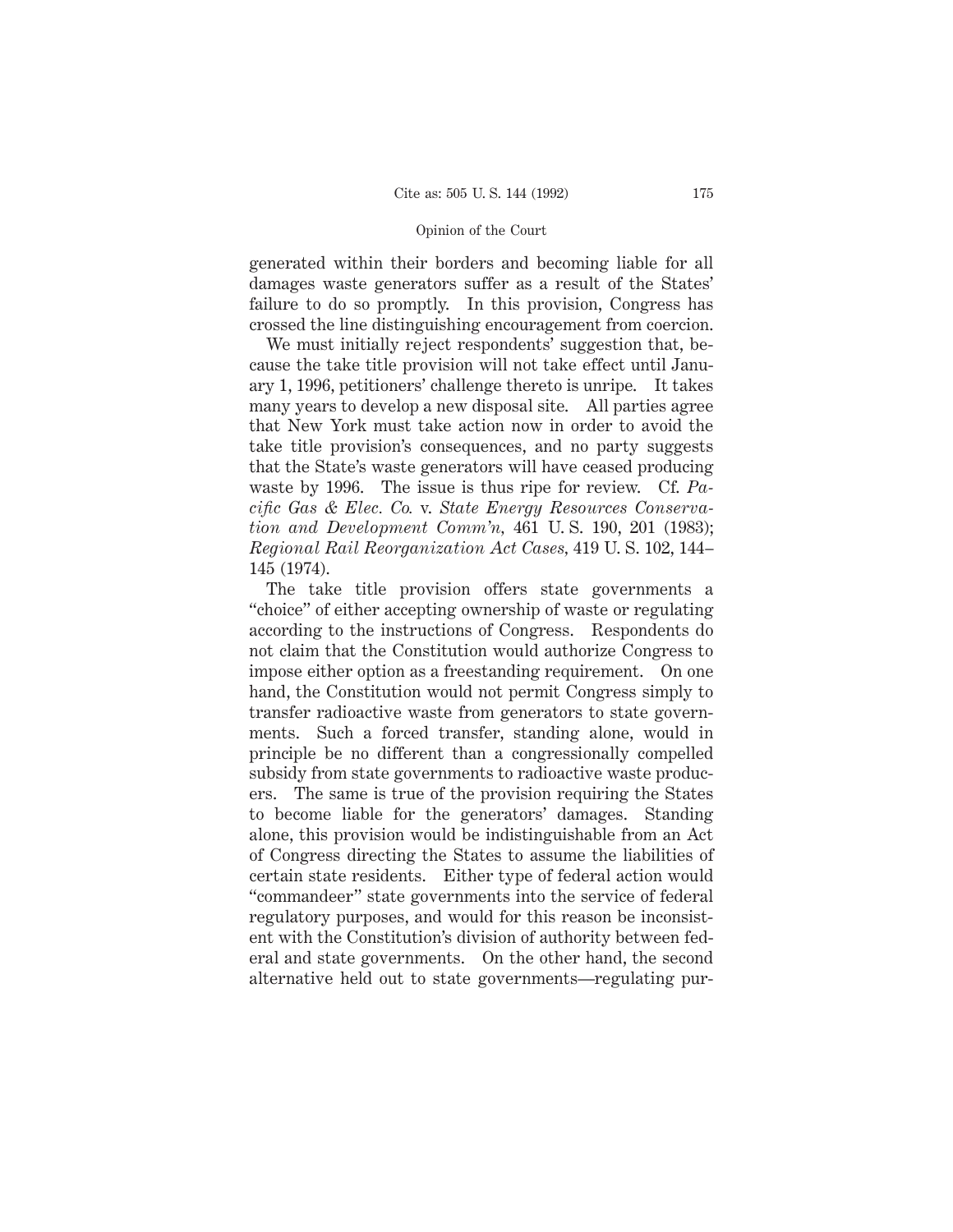generated within their borders and becoming liable for all damages waste generators suffer as a result of the States' failure to do so promptly. In this provision, Congress has crossed the line distinguishing encouragement from coercion.

We must initially reject respondents' suggestion that, because the take title provision will not take effect until January 1, 1996, petitioners' challenge thereto is unripe. It takes many years to develop a new disposal site. All parties agree that New York must take action now in order to avoid the take title provision's consequences, and no party suggests that the State's waste generators will have ceased producing waste by 1996. The issue is thus ripe for review. Cf. *Pacific Gas & Elec. Co.* v. *State Energy Resources Conservation and Development Comm'n,* 461 U. S. 190, 201 (1983); *Regional Rail Reorganization Act Cases,* 419 U. S. 102, 144– 145 (1974).

The take title provision offers state governments a "choice" of either accepting ownership of waste or regulating according to the instructions of Congress. Respondents do not claim that the Constitution would authorize Congress to impose either option as a freestanding requirement. On one hand, the Constitution would not permit Congress simply to transfer radioactive waste from generators to state governments. Such a forced transfer, standing alone, would in principle be no different than a congressionally compelled subsidy from state governments to radioactive waste producers. The same is true of the provision requiring the States to become liable for the generators' damages. Standing alone, this provision would be indistinguishable from an Act of Congress directing the States to assume the liabilities of certain state residents. Either type of federal action would "commandeer" state governments into the service of federal regulatory purposes, and would for this reason be inconsistent with the Constitution's division of authority between federal and state governments. On the other hand, the second alternative held out to state governments—regulating pur-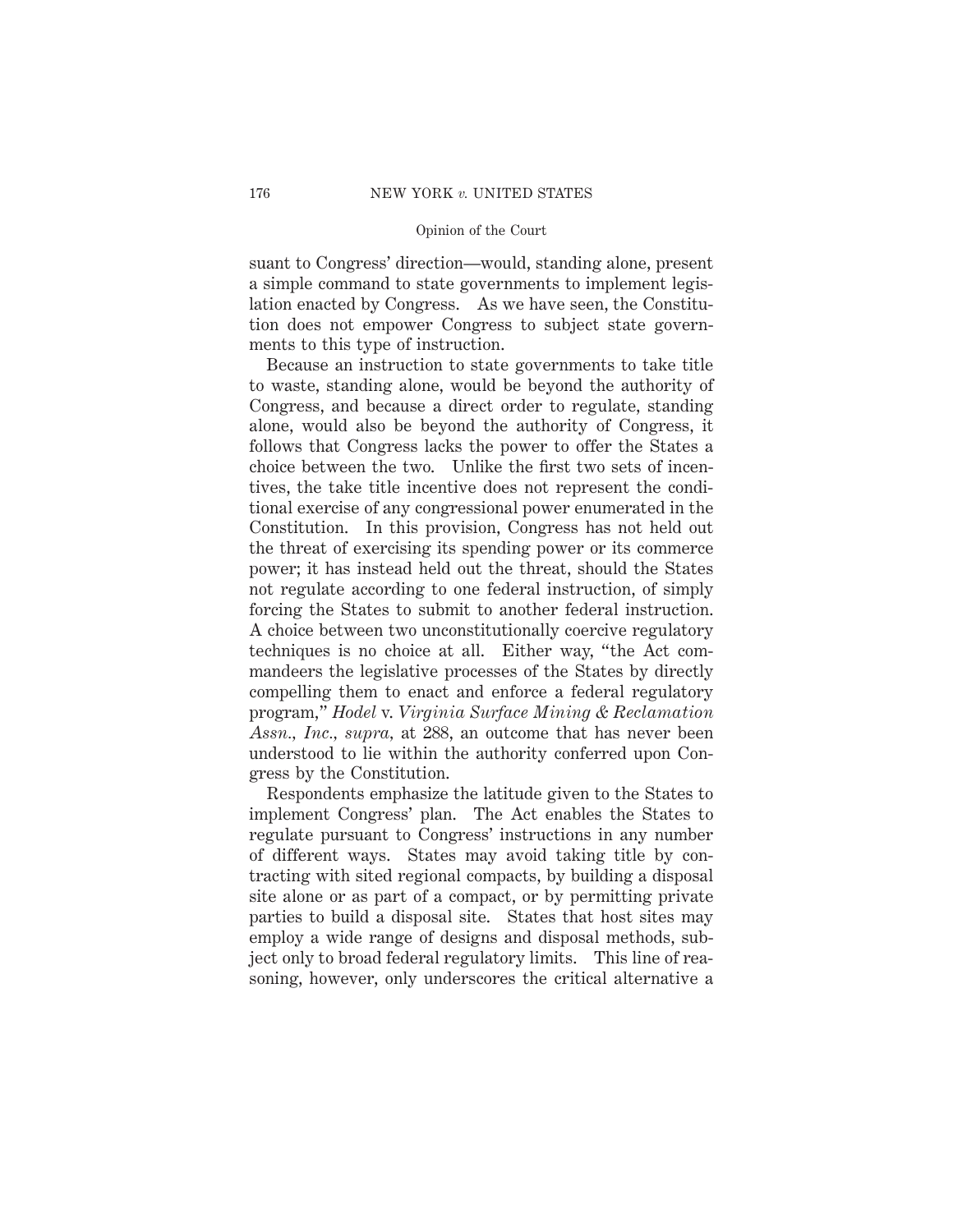suant to Congress' direction—would, standing alone, present a simple command to state governments to implement legislation enacted by Congress. As we have seen, the Constitution does not empower Congress to subject state governments to this type of instruction.

Because an instruction to state governments to take title to waste, standing alone, would be beyond the authority of Congress, and because a direct order to regulate, standing alone, would also be beyond the authority of Congress, it follows that Congress lacks the power to offer the States a choice between the two. Unlike the first two sets of incentives, the take title incentive does not represent the conditional exercise of any congressional power enumerated in the Constitution. In this provision, Congress has not held out the threat of exercising its spending power or its commerce power; it has instead held out the threat, should the States not regulate according to one federal instruction, of simply forcing the States to submit to another federal instruction. A choice between two unconstitutionally coercive regulatory techniques is no choice at all. Either way, "the Act commandeers the legislative processes of the States by directly compelling them to enact and enforce a federal regulatory program," *Hodel* v. *Virginia Surface Mining & Reclamation Assn., Inc., supra,* at 288, an outcome that has never been understood to lie within the authority conferred upon Congress by the Constitution.

Respondents emphasize the latitude given to the States to implement Congress' plan. The Act enables the States to regulate pursuant to Congress' instructions in any number of different ways. States may avoid taking title by contracting with sited regional compacts, by building a disposal site alone or as part of a compact, or by permitting private parties to build a disposal site. States that host sites may employ a wide range of designs and disposal methods, subject only to broad federal regulatory limits. This line of reasoning, however, only underscores the critical alternative a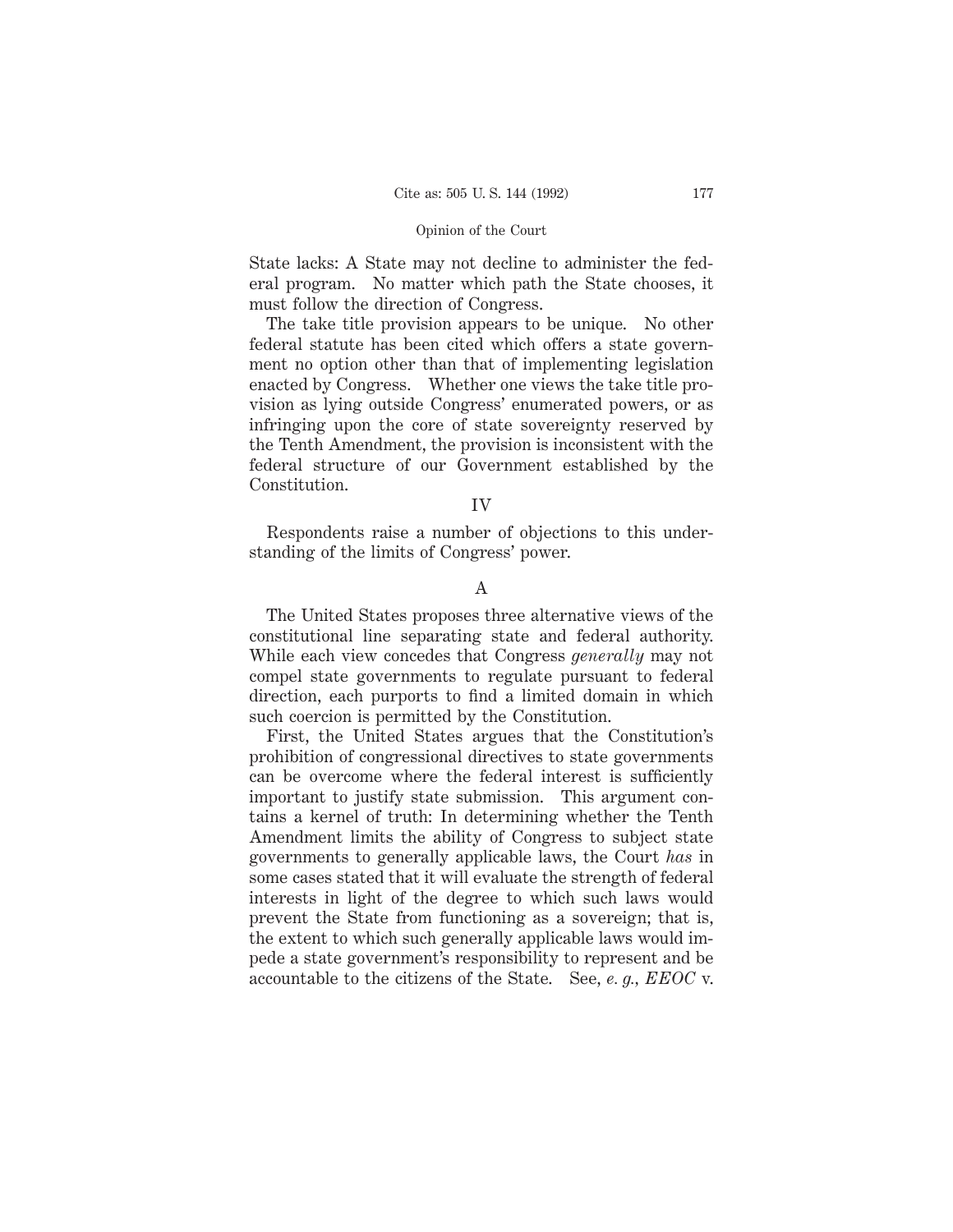State lacks: A State may not decline to administer the federal program. No matter which path the State chooses, it must follow the direction of Congress.

The take title provision appears to be unique. No other federal statute has been cited which offers a state government no option other than that of implementing legislation enacted by Congress. Whether one views the take title provision as lying outside Congress' enumerated powers, or as infringing upon the core of state sovereignty reserved by the Tenth Amendment, the provision is inconsistent with the federal structure of our Government established by the Constitution.

## IV

Respondents raise a number of objections to this understanding of the limits of Congress' power.

## A

The United States proposes three alternative views of the constitutional line separating state and federal authority. While each view concedes that Congress *generally* may not compel state governments to regulate pursuant to federal direction, each purports to find a limited domain in which such coercion is permitted by the Constitution.

First, the United States argues that the Constitution's prohibition of congressional directives to state governments can be overcome where the federal interest is sufficiently important to justify state submission. This argument contains a kernel of truth: In determining whether the Tenth Amendment limits the ability of Congress to subject state governments to generally applicable laws, the Court *has* in some cases stated that it will evaluate the strength of federal interests in light of the degree to which such laws would prevent the State from functioning as a sovereign; that is, the extent to which such generally applicable laws would impede a state government's responsibility to represent and be accountable to the citizens of the State. See, *e. g., EEOC* v.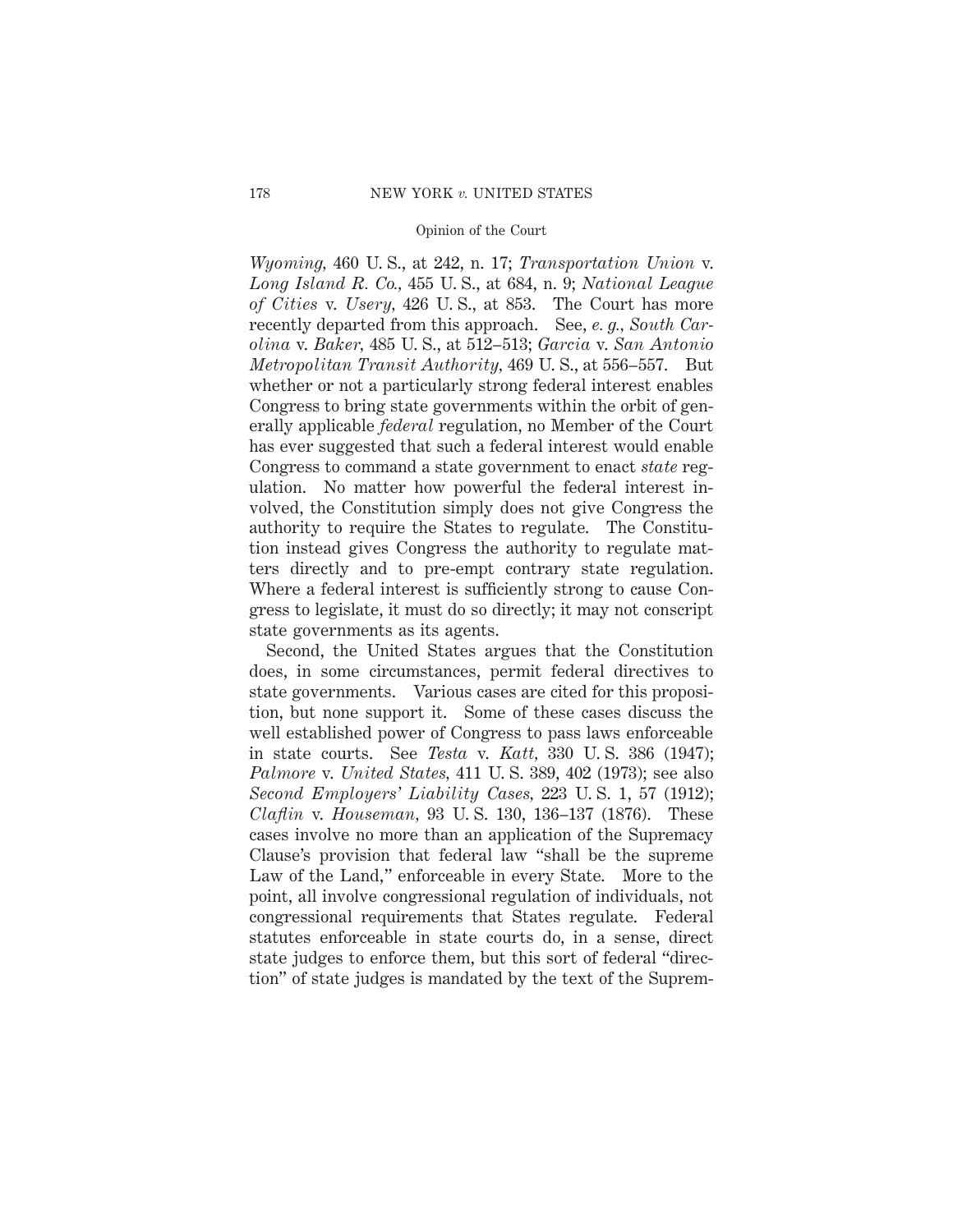*Wyoming,* 460 U. S., at 242, n. 17; *Transportation Union* v. *Long Island R. Co.,* 455 U. S., at 684, n. 9; *National League of Cities* v. *Usery,* 426 U. S., at 853. The Court has more recently departed from this approach. See, *e. g., South Carolina* v. *Baker,* 485 U. S., at 512–513; *Garcia* v. *San Antonio Metropolitan Transit Authority,* 469 U. S., at 556–557. But whether or not a particularly strong federal interest enables Congress to bring state governments within the orbit of generally applicable *federal* regulation, no Member of the Court has ever suggested that such a federal interest would enable Congress to command a state government to enact *state* regulation. No matter how powerful the federal interest involved, the Constitution simply does not give Congress the authority to require the States to regulate. The Constitution instead gives Congress the authority to regulate matters directly and to pre-empt contrary state regulation. Where a federal interest is sufficiently strong to cause Congress to legislate, it must do so directly; it may not conscript state governments as its agents.

Second, the United States argues that the Constitution does, in some circumstances, permit federal directives to state governments. Various cases are cited for this proposition, but none support it. Some of these cases discuss the well established power of Congress to pass laws enforceable in state courts. See *Testa* v. *Katt,* 330 U. S. 386 (1947); *Palmore* v. *United States,* 411 U. S. 389, 402 (1973); see also *Second Employers' Liability Cases,* 223 U. S. 1, 57 (1912); *Claflin* v. *Houseman,* 93 U. S. 130, 136–137 (1876). These cases involve no more than an application of the Supremacy Clause's provision that federal law "shall be the supreme Law of the Land," enforceable in every State. More to the point, all involve congressional regulation of individuals, not congressional requirements that States regulate. Federal statutes enforceable in state courts do, in a sense, direct state judges to enforce them, but this sort of federal "direction" of state judges is mandated by the text of the Suprem-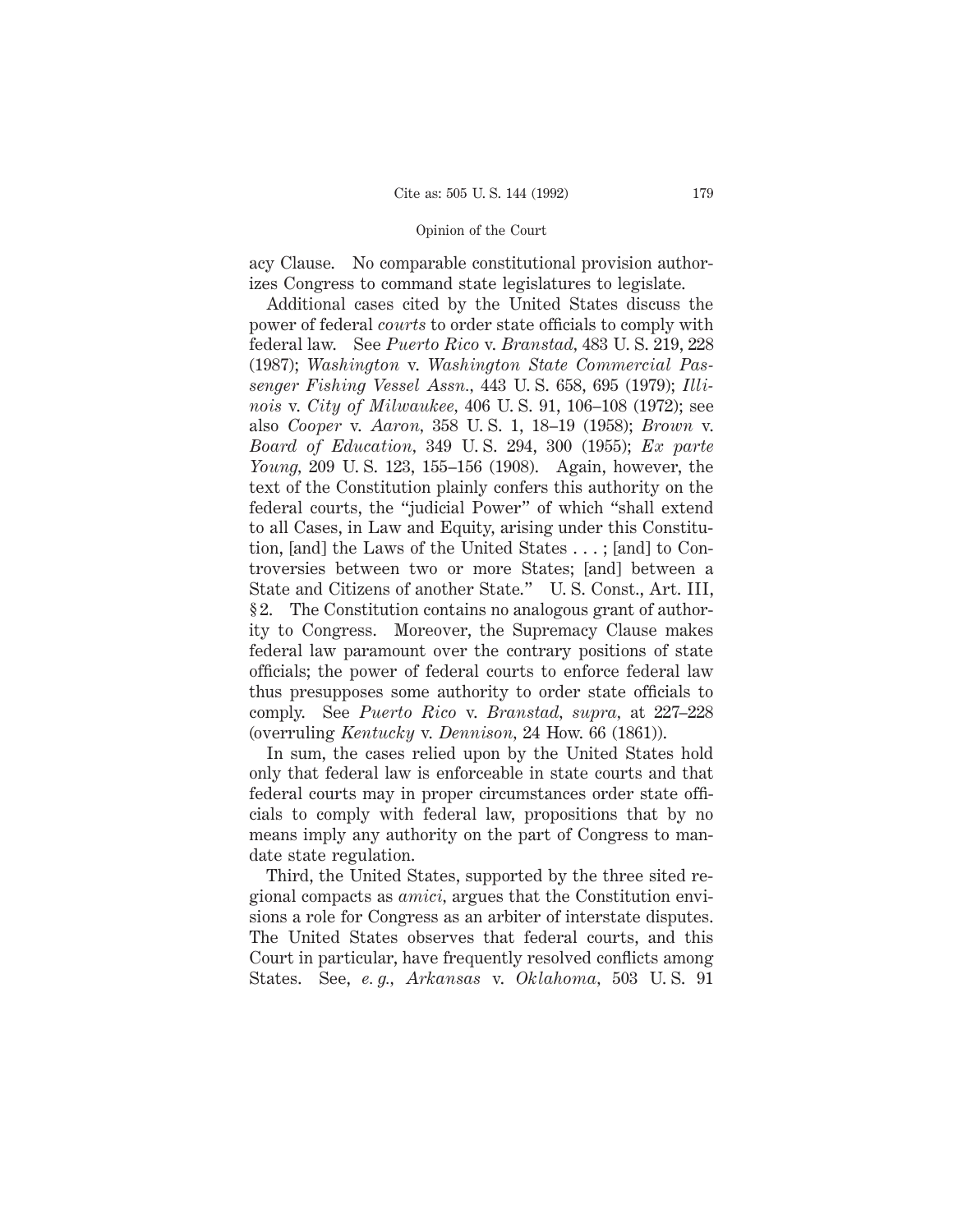acy Clause. No comparable constitutional provision authorizes Congress to command state legislatures to legislate.

Additional cases cited by the United States discuss the power of federal *courts* to order state officials to comply with federal law. See *Puerto Rico v. Branstad*, 483 U.S. 219, 228 (1987); Washington v. Washington State Commercial Passenger Fishing Vessel Assn., 443 U.S. 658, 695 (1979); Illinois v. City of Milwaukee, 406 U.S. 91, 106–108 (1972); see also Cooper v. Aaron, 358 U.S. 1, 18-19 (1958); Brown v. *Board of Education*, 349 U.S. 294, 300 (1955); *Ex parte Young*, 209 U.S. 123, 155–156 (1908). Again, however, the text of the Constitution plainly confers this authority on the federal courts, the "judicial Power" of which "shall extend to all Cases, in Law and Equity, arising under this Constitution, [and] the Laws of the United States  $\dots$ ; [and] to Controversies between two or more States; [and] between a State and Citizens of another State." U.S. Const., Art. III, §2. The Constitution contains no analogous grant of authority to Congress. Moreover, the Supremacy Clause makes federal law paramount over the contrary positions of state officials; the power of federal courts to enforce federal law thus presupposes some authority to order state officials to comply. See Puerto Rico v. Branstad, supra, at 227–228 (overruling Kentucky v. Dennison, 24 How. 66 (1861)).

In sum, the cases relied upon by the United States hold only that federal law is enforceable in state courts and that federal courts may in proper circumstances order state officials to comply with federal law, propositions that by no means imply any authority on the part of Congress to mandate state regulation.

Third, the United States, supported by the three sited regional compacts as *amici*, argues that the Constitution envisions a role for Congress as an arbiter of interstate disputes. The United States observes that federal courts, and this Court in particular, have frequently resolved conflicts among States. See, e.g., Arkansas v. Oklahoma, 503 U.S. 91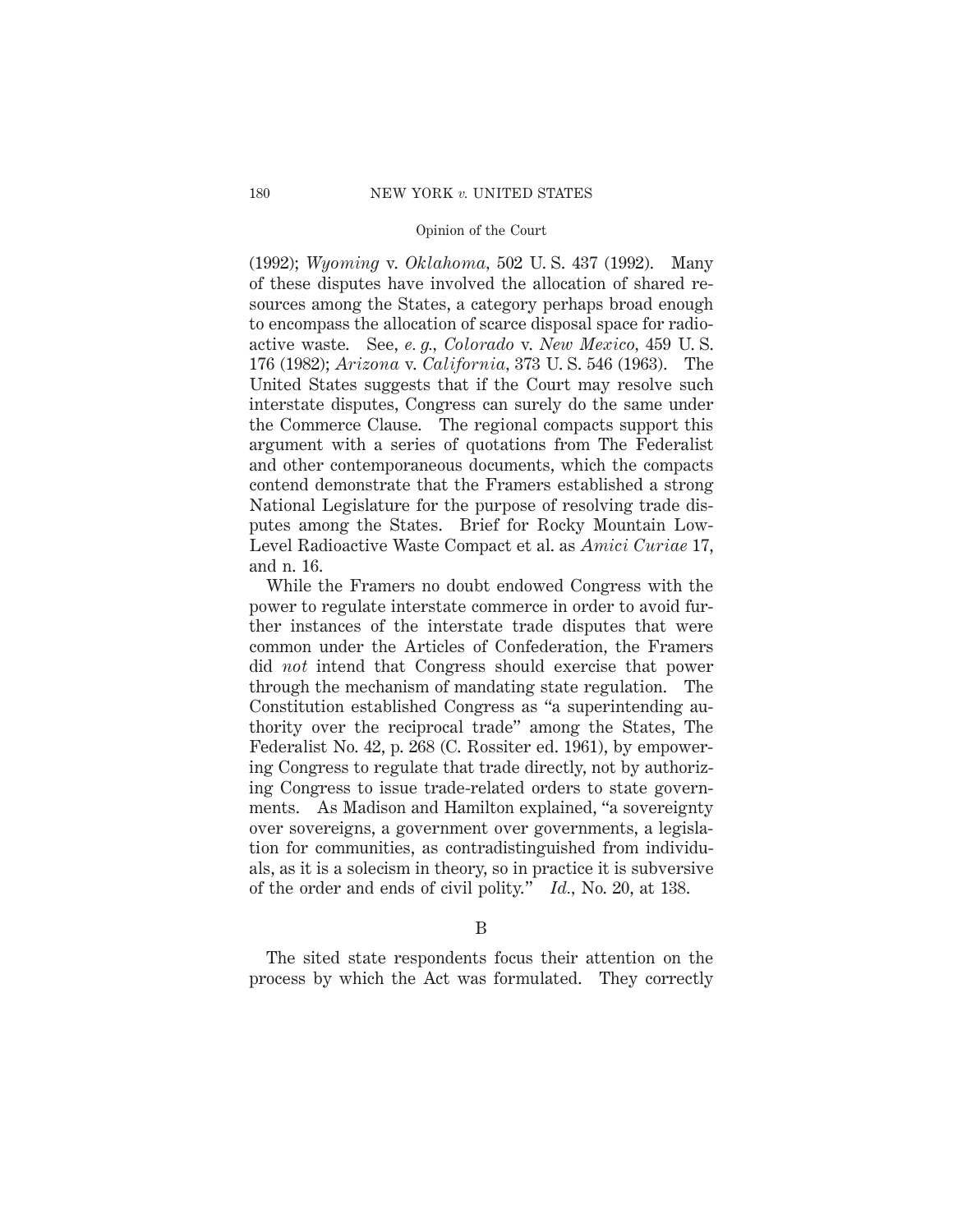(1992); Wyoming v. Oklahoma, 502 U.S. 437 (1992). Many of these disputes have involved the allocation of shared resources among the States, a category perhaps broad enough to encompass the allocation of scarce disposal space for radioactive waste. See, e.g., Colorado v. New Mexico, 459 U.S. 176 (1982); Arizona v. California, 373 U.S. 546 (1963). The United States suggests that if the Court may resolve such interstate disputes, Congress can surely do the same under the Commerce Clause. The regional compacts support this argument with a series of quotations from The Federalist and other contemporaneous documents, which the compacts contend demonstrate that the Framers established a strong National Legislature for the purpose of resolving trade disputes among the States. Brief for Rocky Mountain Low-Level Radioactive Waste Compact et al. as Amici Curiae 17, and n. 16.

While the Framers no doubt endowed Congress with the power to regulate interstate commerce in order to avoid further instances of the interstate trade disputes that were common under the Articles of Confederation, the Framers did not intend that Congress should exercise that power through the mechanism of mandating state regulation. The Constitution established Congress as "a superintending authority over the reciprocal trade" among the States, The Federalist No. 42, p. 268 (C. Rossiter ed. 1961), by empowering Congress to regulate that trade directly, not by authorizing Congress to issue trade-related orders to state governments. As Madison and Hamilton explained, "a sovereignty" over sovereigns, a government over governments, a legislation for communities, as contradistinguished from individuals, as it is a solecism in theory, so in practice it is subversive of the order and ends of civil polity." Id., No. 20, at 138.

B

The sited state respondents focus their attention on the process by which the Act was formulated. They correctly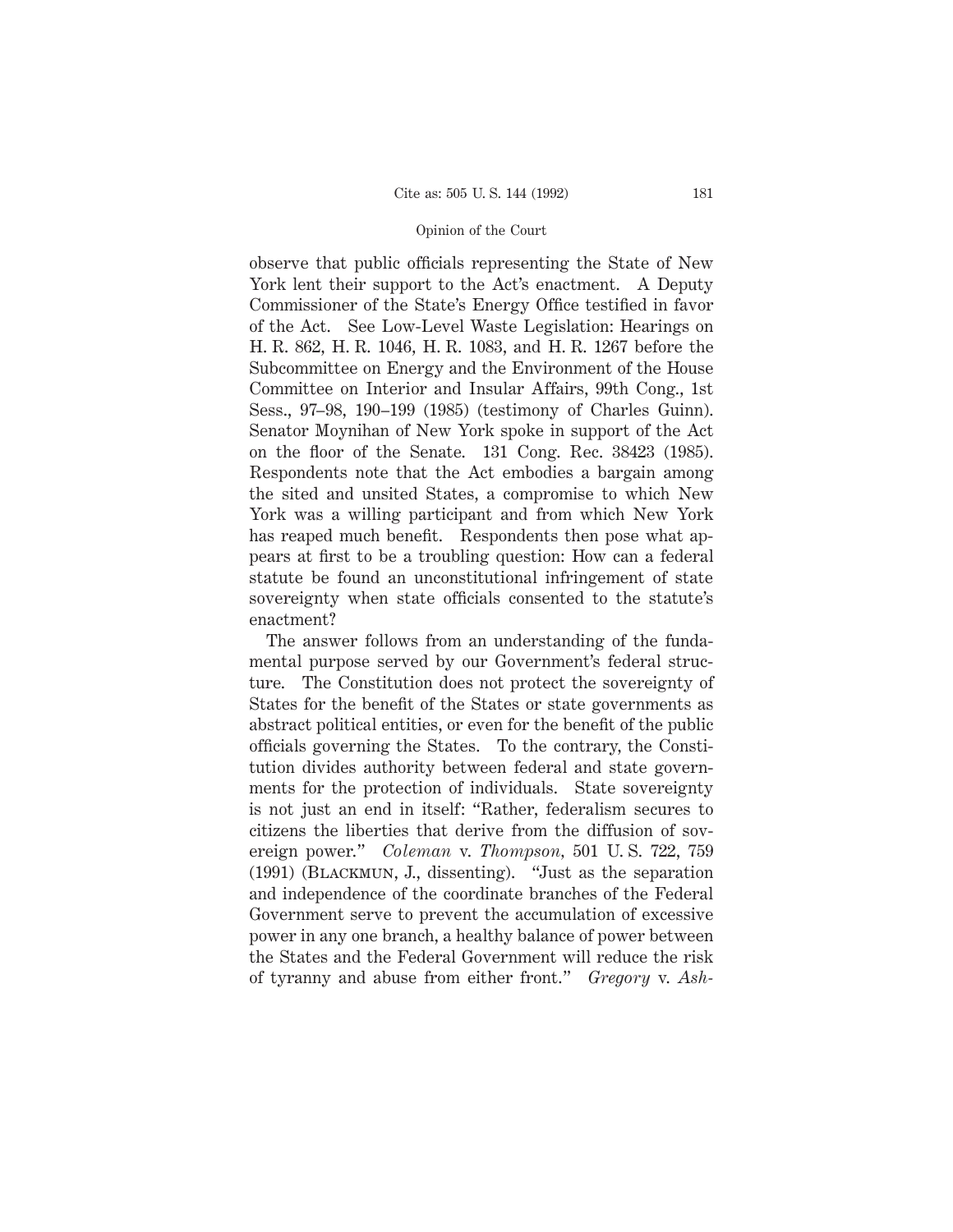observe that public officials representing the State of New York lent their support to the Act's enactment. A Deputy Commissioner of the State's Energy Office testified in favor of the Act. See Low-Level Waste Legislation: Hearings on H. R. 862, H. R. 1046, H. R. 1083, and H. R. 1267 before the Subcommittee on Energy and the Environment of the House Committee on Interior and Insular Affairs, 99th Cong., 1st Sess., 97–98, 190–199 (1985) (testimony of Charles Guinn). Senator Moynihan of New York spoke in support of the Act on the floor of the Senate. 131 Cong. Rec. 38423 (1985). Respondents note that the Act embodies a bargain among the sited and unsited States, a compromise to which New York was a willing participant and from which New York has reaped much benefit. Respondents then pose what appears at first to be a troubling question: How can a federal statute be found an unconstitutional infringement of state sovereignty when state officials consented to the statute's enactment?

The answer follows from an understanding of the fundamental purpose served by our Government's federal structure. The Constitution does not protect the sovereignty of States for the benefit of the States or state governments as abstract political entities, or even for the benefit of the public officials governing the States. To the contrary, the Constitution divides authority between federal and state governments for the protection of individuals. State sovereignty is not just an end in itself: "Rather, federalism secures to citizens the liberties that derive from the diffusion of sovereign power." *Coleman* v. *Thompson,* 501 U. S. 722, 759 (1991) (Blackmun, J., dissenting). "Just as the separation and independence of the coordinate branches of the Federal Government serve to prevent the accumulation of excessive power in any one branch, a healthy balance of power between the States and the Federal Government will reduce the risk of tyranny and abuse from either front." *Gregory* v. *Ash-*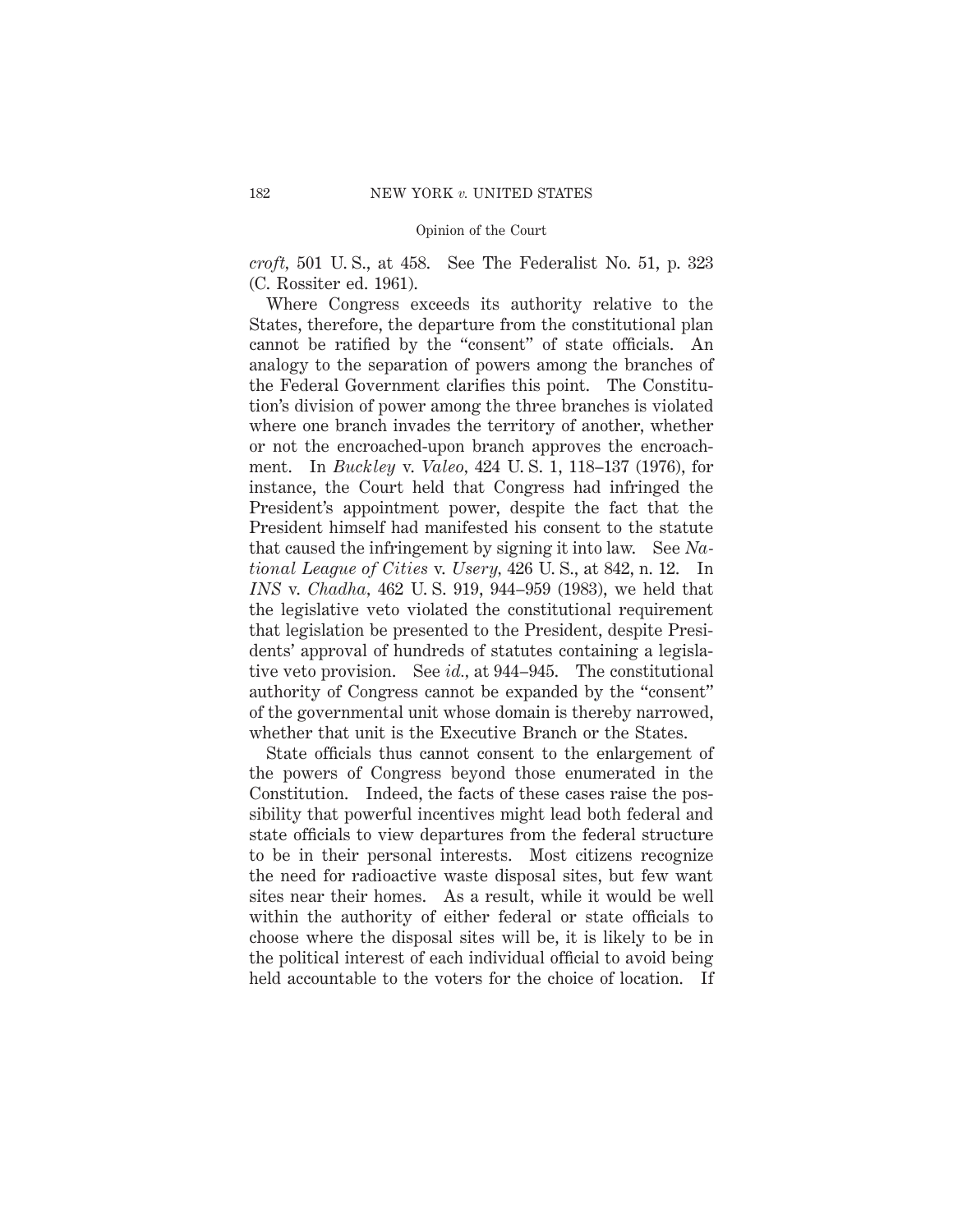*croft,* 501 U. S., at 458. See The Federalist No. 51, p. 323 (C. Rossiter ed. 1961).

Where Congress exceeds its authority relative to the States, therefore, the departure from the constitutional plan cannot be ratified by the "consent" of state officials. An analogy to the separation of powers among the branches of the Federal Government clarifies this point. The Constitution's division of power among the three branches is violated where one branch invades the territory of another, whether or not the encroached-upon branch approves the encroachment. In *Buckley* v. *Valeo,* 424 U. S. 1, 118–137 (1976), for instance, the Court held that Congress had infringed the President's appointment power, despite the fact that the President himself had manifested his consent to the statute that caused the infringement by signing it into law. See *National League of Cities* v. *Usery,* 426 U. S., at 842, n. 12. In *INS* v. *Chadha,* 462 U. S. 919, 944–959 (1983), we held that the legislative veto violated the constitutional requirement that legislation be presented to the President, despite Presidents' approval of hundreds of statutes containing a legislative veto provision. See *id.,* at 944–945. The constitutional authority of Congress cannot be expanded by the "consent" of the governmental unit whose domain is thereby narrowed, whether that unit is the Executive Branch or the States.

State officials thus cannot consent to the enlargement of the powers of Congress beyond those enumerated in the Constitution. Indeed, the facts of these cases raise the possibility that powerful incentives might lead both federal and state officials to view departures from the federal structure to be in their personal interests. Most citizens recognize the need for radioactive waste disposal sites, but few want sites near their homes. As a result, while it would be well within the authority of either federal or state officials to choose where the disposal sites will be, it is likely to be in the political interest of each individual official to avoid being held accountable to the voters for the choice of location. If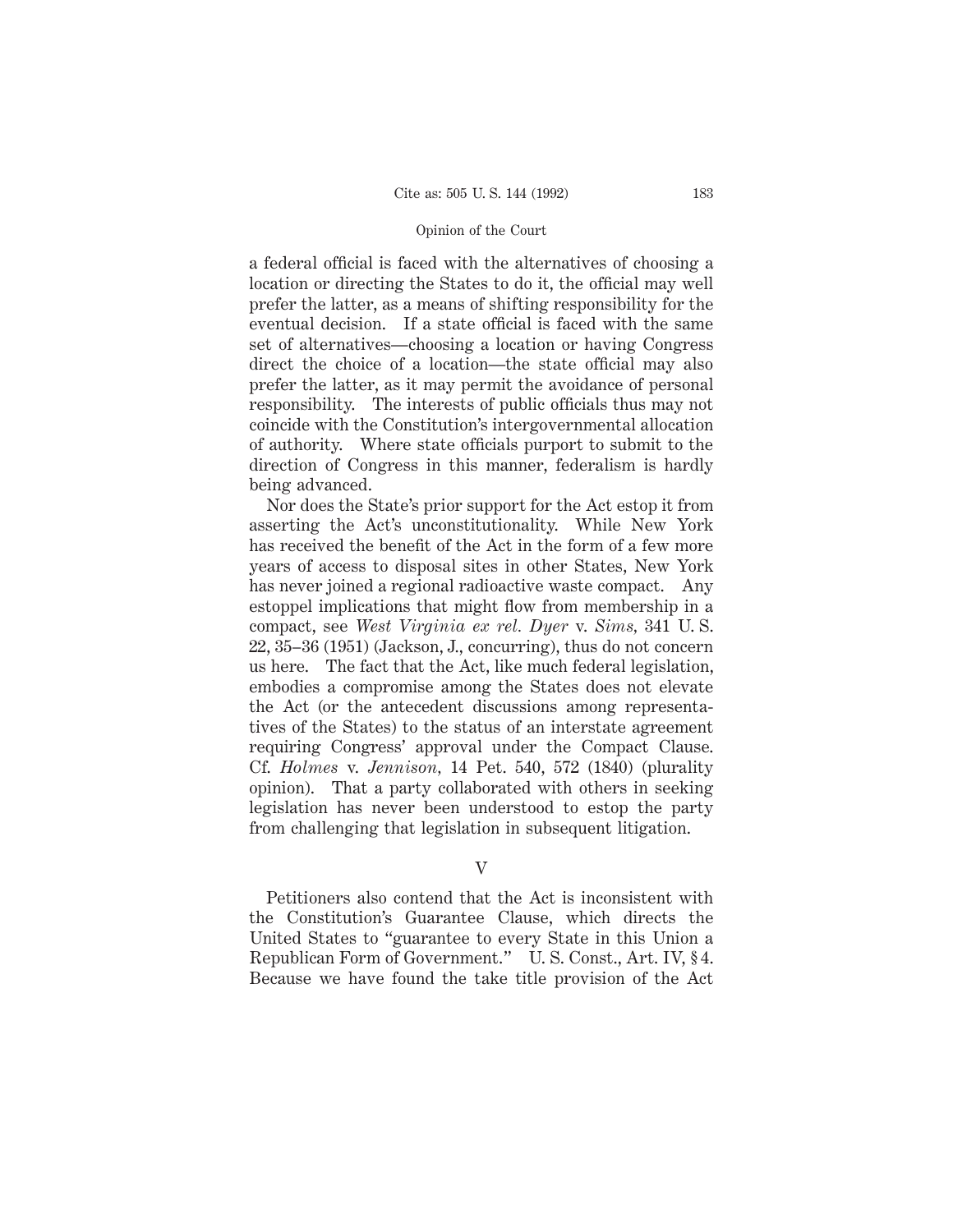a federal official is faced with the alternatives of choosing a location or directing the States to do it, the official may well prefer the latter, as a means of shifting responsibility for the eventual decision. If a state official is faced with the same set of alternatives—choosing a location or having Congress direct the choice of a location—the state official may also prefer the latter, as it may permit the avoidance of personal responsibility. The interests of public officials thus may not coincide with the Constitution's intergovernmental allocation of authority. Where state officials purport to submit to the direction of Congress in this manner, federalism is hardly being advanced.

Nor does the State's prior support for the Act estop it from asserting the Act's unconstitutionality. While New York has received the benefit of the Act in the form of a few more years of access to disposal sites in other States, New York has never joined a regional radioactive waste compact. Any estoppel implications that might flow from membership in a compact, see *West Virginia ex rel. Dyer* v. *Sims,* 341 U. S. 22, 35–36 (1951) (Jackson, J., concurring), thus do not concern us here. The fact that the Act, like much federal legislation, embodies a compromise among the States does not elevate the Act (or the antecedent discussions among representatives of the States) to the status of an interstate agreement requiring Congress' approval under the Compact Clause. Cf. *Holmes* v. *Jennison,* 14 Pet. 540, 572 (1840) (plurality opinion). That a party collaborated with others in seeking legislation has never been understood to estop the party from challenging that legislation in subsequent litigation.

V

Petitioners also contend that the Act is inconsistent with the Constitution's Guarantee Clause, which directs the United States to "guarantee to every State in this Union a Republican Form of Government." U. S. Const., Art. IV, § 4. Because we have found the take title provision of the Act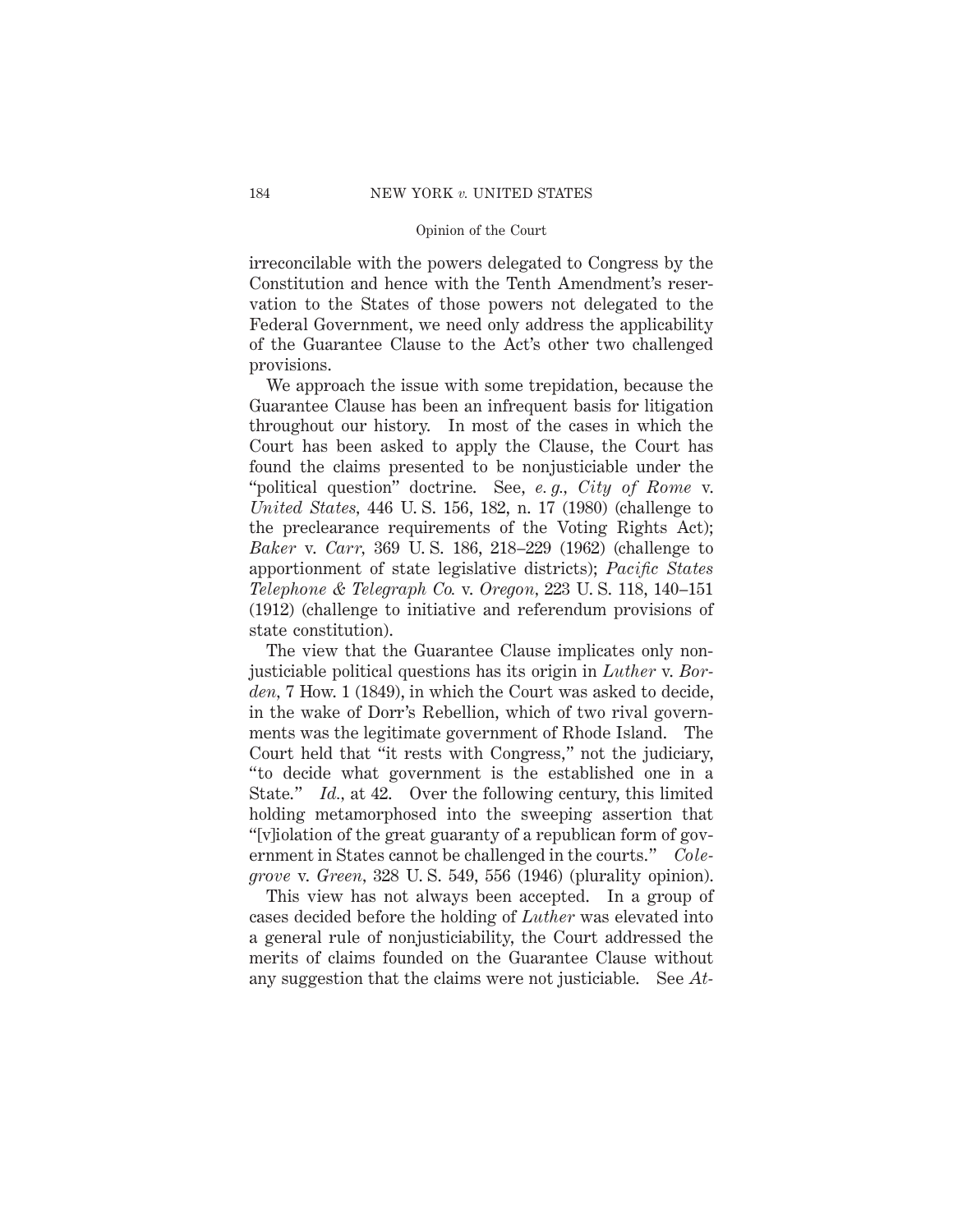irreconcilable with the powers delegated to Congress by the Constitution and hence with the Tenth Amendment's reservation to the States of those powers not delegated to the Federal Government, we need only address the applicability of the Guarantee Clause to the Act's other two challenged provisions.

We approach the issue with some trepidation, because the Guarantee Clause has been an infrequent basis for litigation throughout our history. In most of the cases in which the Court has been asked to apply the Clause, the Court has found the claims presented to be nonjusticiable under the "political question" doctrine. See, e.g., City of Rome v. United States, 446 U.S. 156, 182, n. 17 (1980) (challenge to the preclearance requirements of the Voting Rights Act); Baker v. Carr, 369 U.S. 186, 218–229 (1962) (challenge to apportionment of state legislative districts); Pacific States Telephone & Telegraph Co. v. Oregon, 223 U.S. 118, 140-151 (1912) (challenge to initiative and referendum provisions of state constitution).

The view that the Guarantee Clause implicates only nonjusticiable political questions has its origin in *Luther* v. Borden, 7 How. 1 (1849), in which the Court was asked to decide, in the wake of Dorr's Rebellion, which of two rival governments was the legitimate government of Rhode Island. The Court held that "it rests with Congress," not the judiciary, "to decide what government is the established one in a State." Id., at 42. Over the following century, this limited holding metamorphosed into the sweeping assertion that "[v] iolation of the great guaranty of a republican form of government in States cannot be challenged in the courts." Cole*grove* v. *Green*,  $328$  U.S.  $549$ ,  $556$  ( $1946$ ) (plurality opinion).

This view has not always been accepted. In a group of cases decided before the holding of *Luther* was elevated into a general rule of nonjusticiability, the Court addressed the merits of claims founded on the Guarantee Clause without any suggestion that the claims were not justiciable. See  $At$ -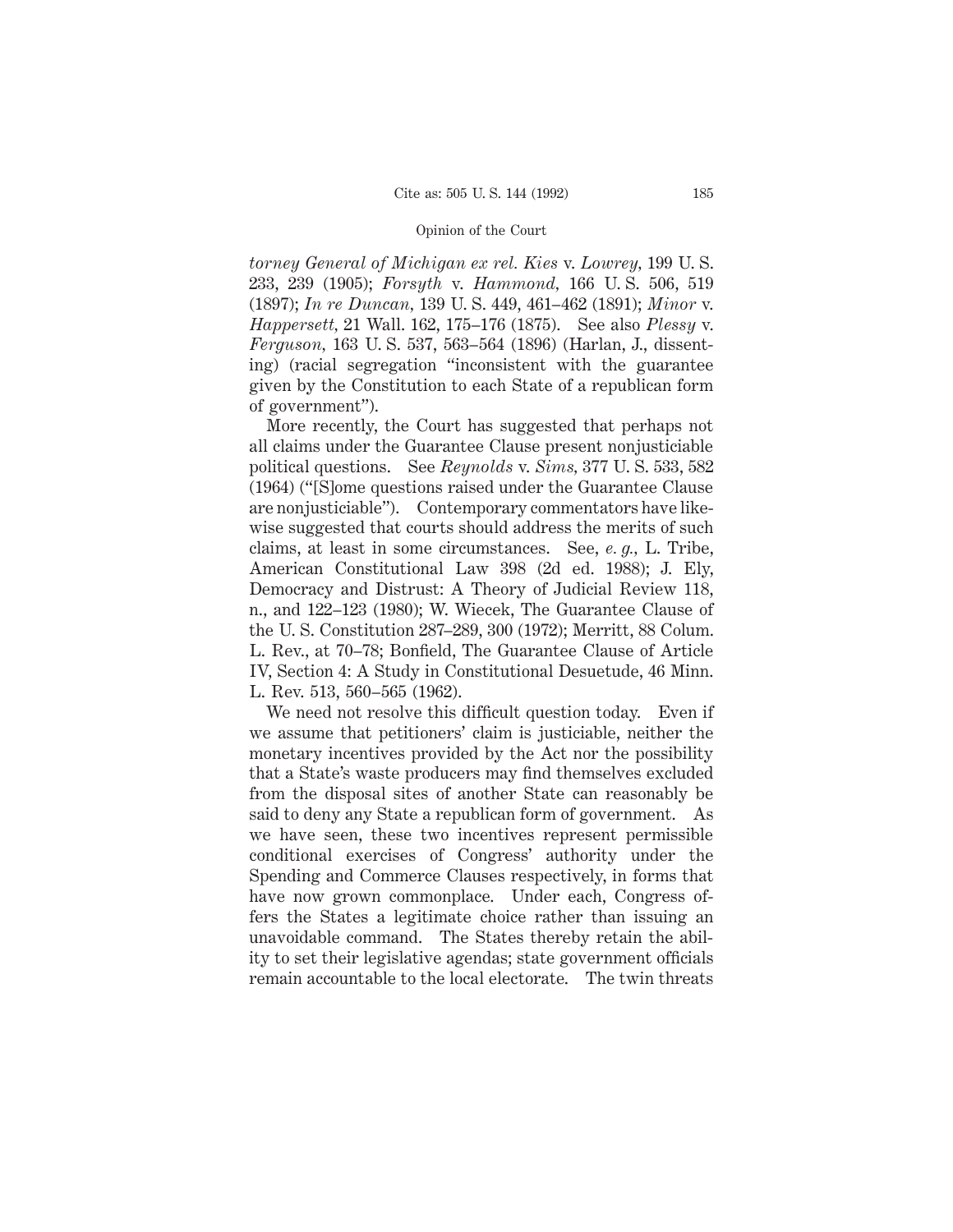torney General of Michigan ex rel. Kies v. Lowrey, 199 U.S. 233, 239 (1905); Forsyth v. Hammond, 166 U.S. 506, 519 (1897); In re Duncan, 139 U.S. 449, 461–462 (1891); Minor v. *Happersett*, 21 Wall. 162, 175–176 (1875). See also *Plessy* v. *Ferguson*, 163 U.S. 537, 563–564 (1896) (Harlan, J., dissenting) (racial segregation "inconsistent with the guarantee given by the Constitution to each State of a republican form of government").

More recently, the Court has suggested that perhaps not all claims under the Guarantee Clause present nonjusticiable political questions. See Reynolds v. Sims, 377 U.S. 533, 582 (1964) ("Some questions raised under the Guarantee Clause are nonjusticiable"). Contemporary commentators have likewise suggested that courts should address the merits of such claims, at least in some circumstances. See,  $e$ ,  $q$ , L. Tribe, American Constitutional Law 398 (2d ed. 1988); J. Ely, Democracy and Distrust: A Theory of Judicial Review 118, n., and 122–123 (1980); W. Wiecek, The Guarantee Clause of the U.S. Constitution 287-289, 300 (1972); Merritt, 88 Colum. L. Rev., at 70–78; Bonfield, The Guarantee Clause of Article IV, Section 4: A Study in Constitutional Desuetude, 46 Minn. L. Rev. 513, 560-565 (1962).

We need not resolve this difficult question today. Even if we assume that petitioners' claim is justiciable, neither the monetary incentives provided by the Act nor the possibility that a State's waste producers may find themselves excluded from the disposal sites of another State can reasonably be said to deny any State a republican form of government. As we have seen, these two incentives represent permissible conditional exercises of Congress' authority under the Spending and Commerce Clauses respectively, in forms that have now grown commonplace. Under each, Congress offers the States a legitimate choice rather than issuing an unavoidable command. The States thereby retain the ability to set their legislative agendas; state government officials remain accountable to the local electorate. The twin threats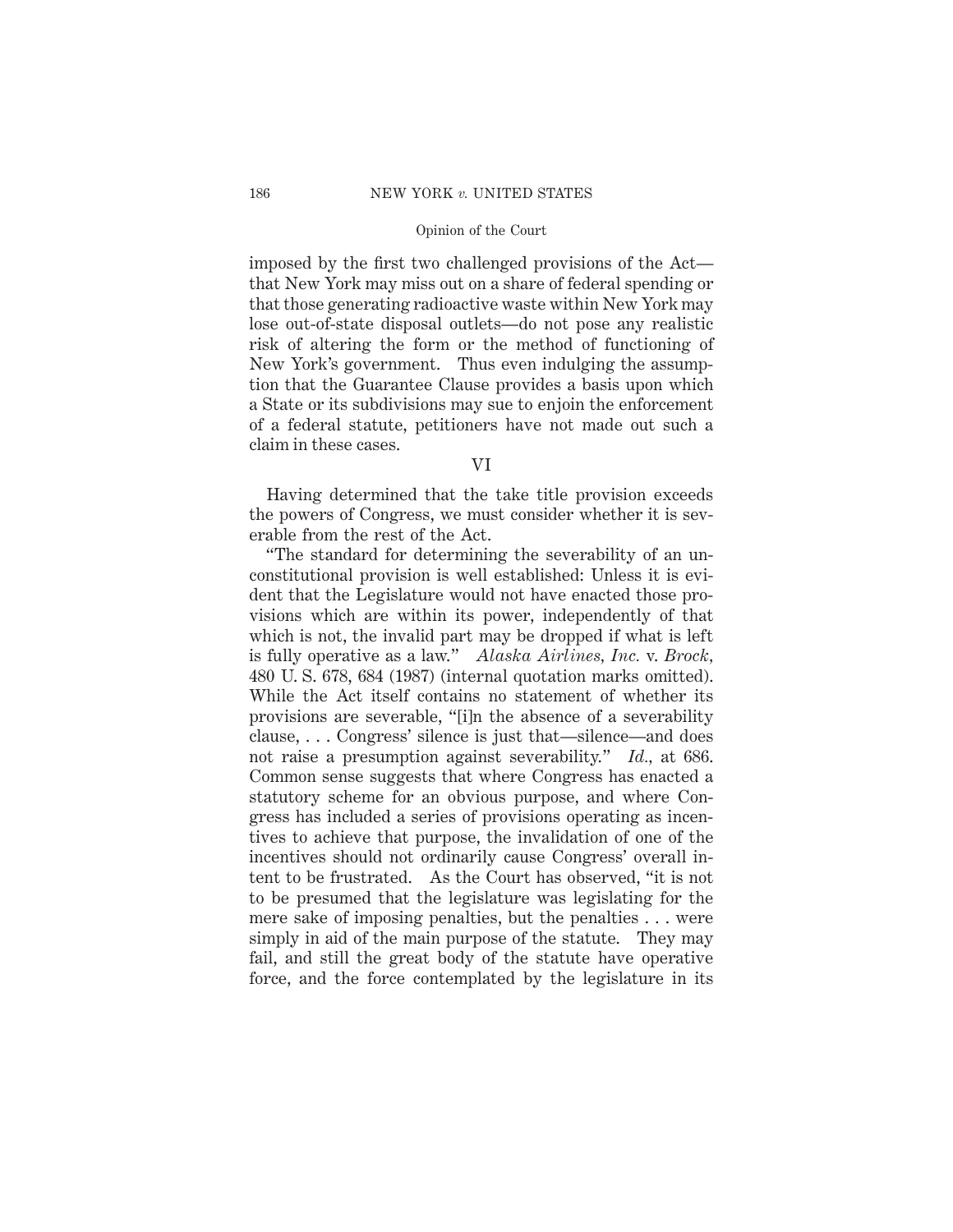imposed by the first two challenged provisions of the Act that New York may miss out on a share of federal spending or that those generating radioactive waste within New York may lose out-of-state disposal outlets—do not pose any realistic risk of altering the form or the method of functioning of New York's government. Thus even indulging the assumption that the Guarantee Clause provides a basis upon which a State or its subdivisions may sue to enjoin the enforcement of a federal statute, petitioners have not made out such a claim in these cases.

## VI

Having determined that the take title provision exceeds the powers of Congress, we must consider whether it is severable from the rest of the Act.

"The standard for determining the severability of an unconstitutional provision is well established: Unless it is evident that the Legislature would not have enacted those provisions which are within its power, independently of that which is not, the invalid part may be dropped if what is left is fully operative as a law." *Alaska Airlines, Inc.* v. *Brock,* 480 U. S. 678, 684 (1987) (internal quotation marks omitted). While the Act itself contains no statement of whether its provisions are severable, "[i]n the absence of a severability clause,... Congress' silence is just that—silence—and does not raise a presumption against severability." *Id.,* at 686. Common sense suggests that where Congress has enacted a statutory scheme for an obvious purpose, and where Congress has included a series of provisions operating as incentives to achieve that purpose, the invalidation of one of the incentives should not ordinarily cause Congress' overall intent to be frustrated. As the Court has observed, "it is not to be presumed that the legislature was legislating for the mere sake of imposing penalties, but the penalties... were simply in aid of the main purpose of the statute. They may fail, and still the great body of the statute have operative force, and the force contemplated by the legislature in its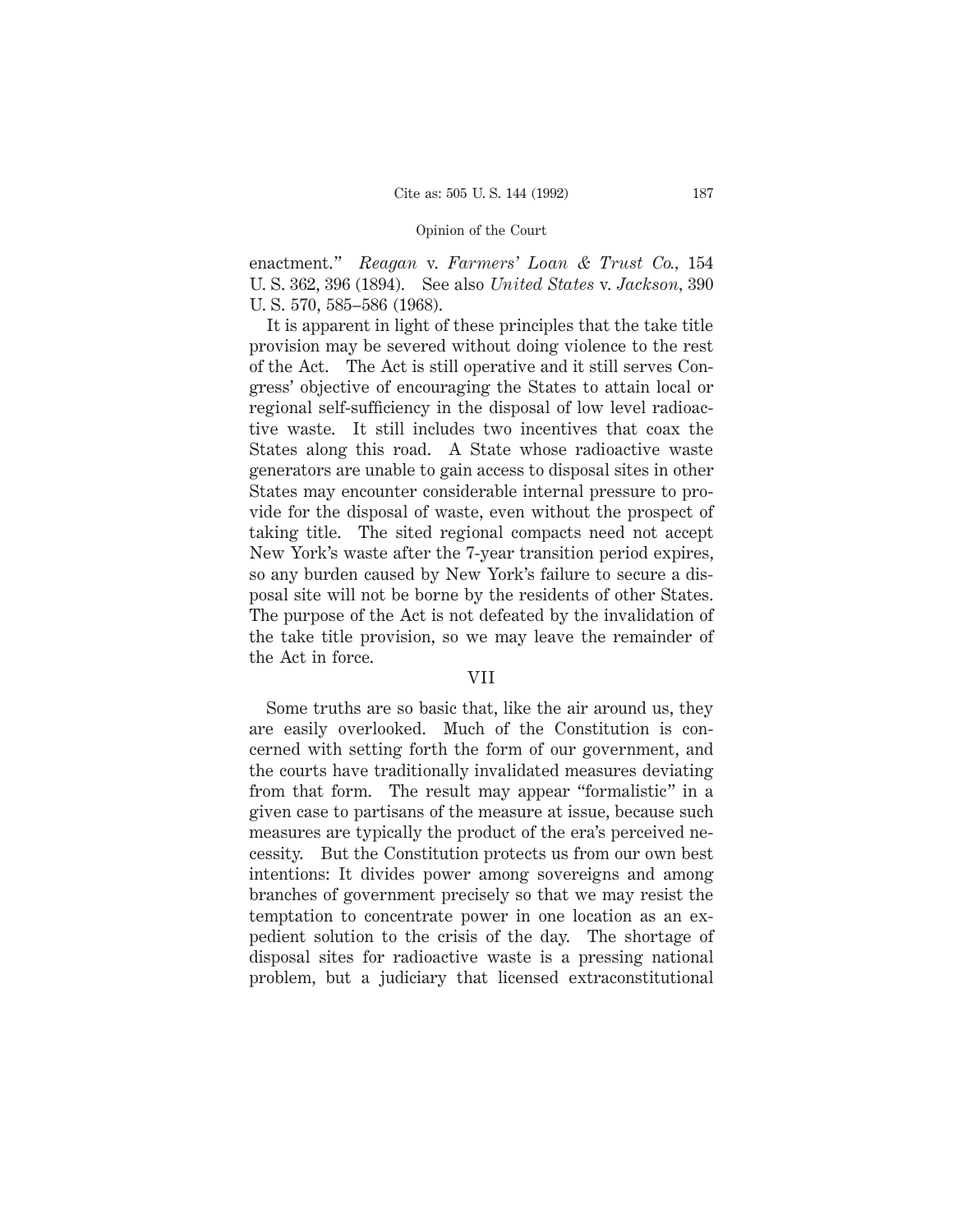enactment." *Reagan* v. *Farmers' Loan & Trust Co.,* 154 U. S. 362, 396 (1894). See also *United States* v. *Jackson,* 390 U. S. 570, 585–586 (1968).

It is apparent in light of these principles that the take title provision may be severed without doing violence to the rest of the Act. The Act is still operative and it still serves Congress' objective of encouraging the States to attain local or regional self-sufficiency in the disposal of low level radioactive waste. It still includes two incentives that coax the States along this road. A State whose radioactive waste generators are unable to gain access to disposal sites in other States may encounter considerable internal pressure to provide for the disposal of waste, even without the prospect of taking title. The sited regional compacts need not accept New York's waste after the 7-year transition period expires, so any burden caused by New York's failure to secure a disposal site will not be borne by the residents of other States. The purpose of the Act is not defeated by the invalidation of the take title provision, so we may leave the remainder of the Act in force.

## VII

Some truths are so basic that, like the air around us, they are easily overlooked. Much of the Constitution is concerned with setting forth the form of our government, and the courts have traditionally invalidated measures deviating from that form. The result may appear "formalistic" in a given case to partisans of the measure at issue, because such measures are typically the product of the era's perceived necessity. But the Constitution protects us from our own best intentions: It divides power among sovereigns and among branches of government precisely so that we may resist the temptation to concentrate power in one location as an expedient solution to the crisis of the day. The shortage of disposal sites for radioactive waste is a pressing national problem, but a judiciary that licensed extraconstitutional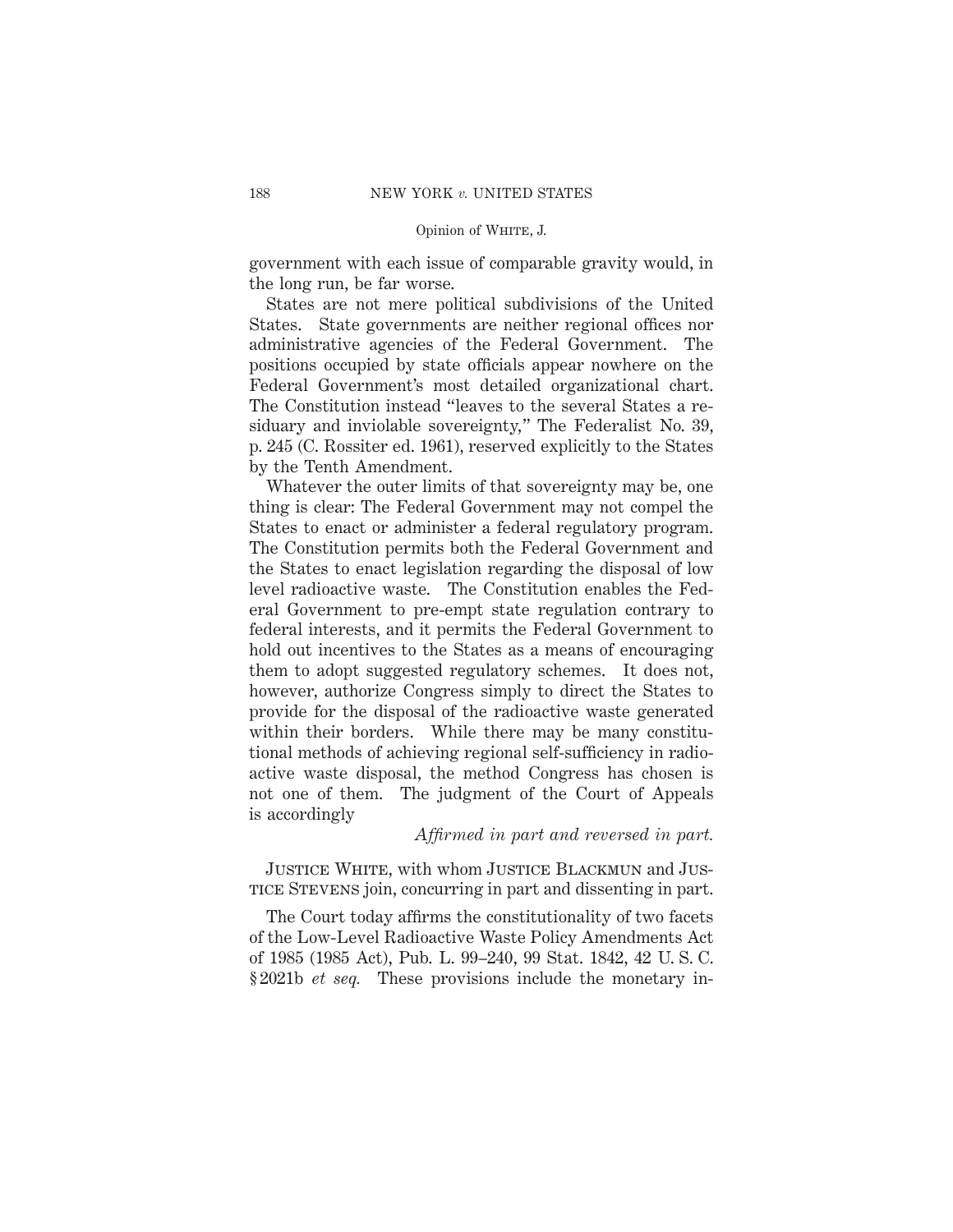government with each issue of comparable gravity would, in the long run, be far worse.

States are not mere political subdivisions of the United States. State governments are neither regional offices nor administrative agencies of the Federal Government. The positions occupied by state officials appear nowhere on the Federal Government's most detailed organizational chart. The Constitution instead "leaves to the several States a residuary and inviolable sovereignty," The Federalist No. 39, p. 245 (C. Rossiter ed. 1961), reserved explicitly to the States by the Tenth Amendment.

Whatever the outer limits of that sovereignty may be, one thing is clear: The Federal Government may not compel the States to enact or administer a federal regulatory program. The Constitution permits both the Federal Government and the States to enact legislation regarding the disposal of low level radioactive waste. The Constitution enables the Federal Government to pre-empt state regulation contrary to federal interests, and it permits the Federal Government to hold out incentives to the States as a means of encouraging them to adopt suggested regulatory schemes. It does not, however, authorize Congress simply to direct the States to provide for the disposal of the radioactive waste generated within their borders. While there may be many constitutional methods of achieving regional self-sufficiency in radioactive waste disposal, the method Congress has chosen is not one of them. The judgment of the Court of Appeals is accordingly

## Affirmed in part and reversed in part.

JUSTICE WHITE, with whom JUSTICE BLACKMUN and JUS-TICE STEVENS join, concurring in part and dissenting in part.

The Court today affirms the constitutionality of two facets of the Low-Level Radioactive Waste Policy Amendments Act of 1985 (1985 Act), Pub. L. 99–240, 99 Stat. 1842, 42 U.S.C.  $§ 2021b$  *et seq.* These provisions include the monetary in-

188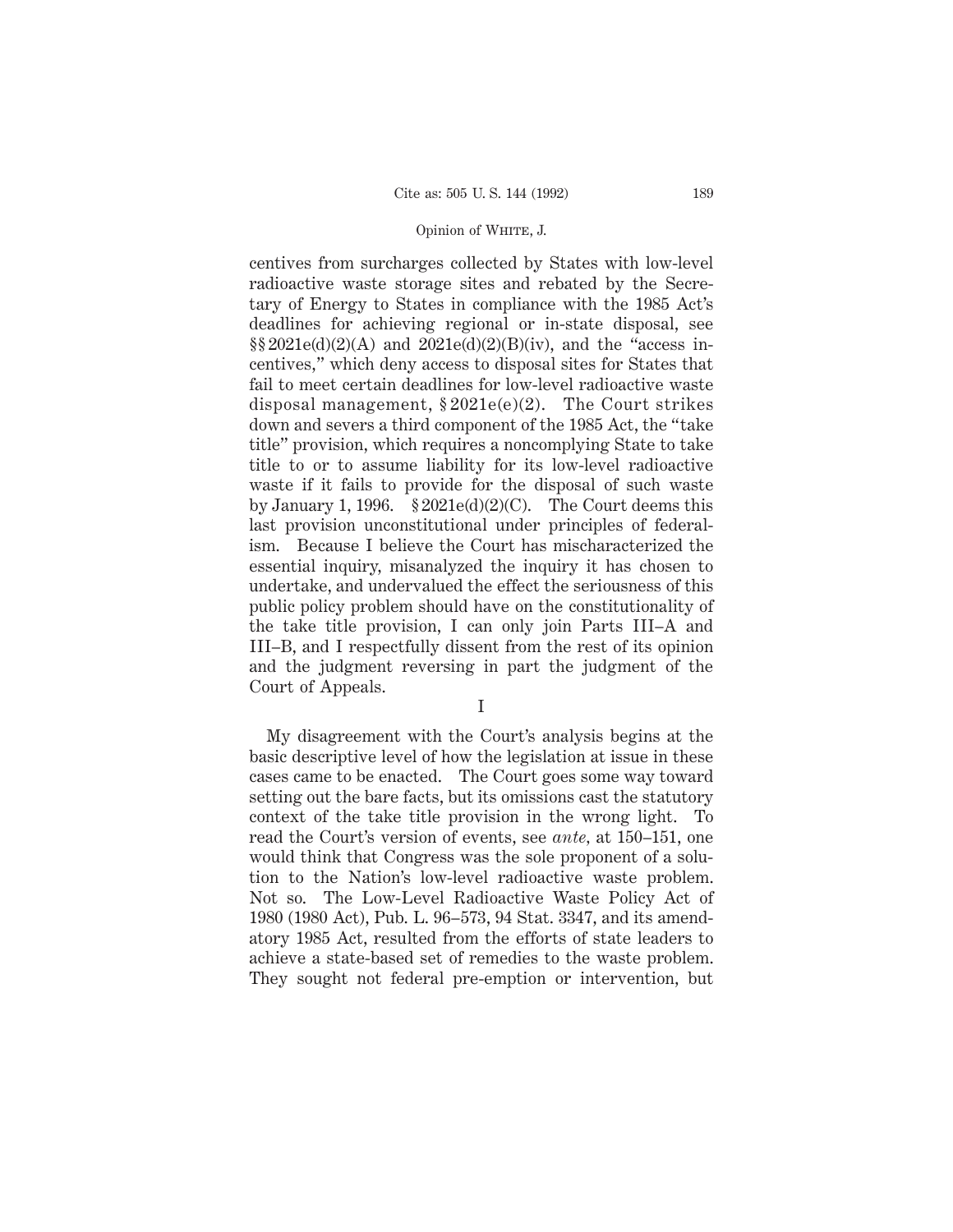centives from surcharges collected by States with low-level radioactive waste storage sites and rebated by the Secretary of Energy to States in compliance with the 1985 Act's deadlines for achieving regional or in-state disposal, see  $\S\S 2021e(d)(2)(A)$  and  $2021e(d)(2)(B)(iv)$ , and the "access incentives," which deny access to disposal sites for States that fail to meet certain deadlines for low-level radioactive waste disposal management, § 2021e(e)(2). The Court strikes down and severs a third component of the 1985 Act, the "take title" provision, which requires a noncomplying State to take title to or to assume liability for its low-level radioactive waste if it fails to provide for the disposal of such waste by January 1, 1996.  $$2021e(d)(2)(C)$ . The Court deems this last provision unconstitutional under principles of federalism. Because I believe the Court has mischaracterized the essential inquiry, misanalyzed the inquiry it has chosen to undertake, and undervalued the effect the seriousness of this public policy problem should have on the constitutionality of the take title provision, I can only join Parts III–A and III–B, and I respectfully dissent from the rest of its opinion and the judgment reversing in part the judgment of the Court of Appeals.

I

My disagreement with the Court's analysis begins at the basic descriptive level of how the legislation at issue in these cases came to be enacted. The Court goes some way toward setting out the bare facts, but its omissions cast the statutory context of the take title provision in the wrong light. To read the Court's version of events, see *ante,* at 150–151, one would think that Congress was the sole proponent of a solution to the Nation's low-level radioactive waste problem. Not so. The Low-Level Radioactive Waste Policy Act of 1980 (1980 Act), Pub. L. 96–573, 94 Stat. 3347, and its amendatory 1985 Act, resulted from the efforts of state leaders to achieve a state-based set of remedies to the waste problem. They sought not federal pre-emption or intervention, but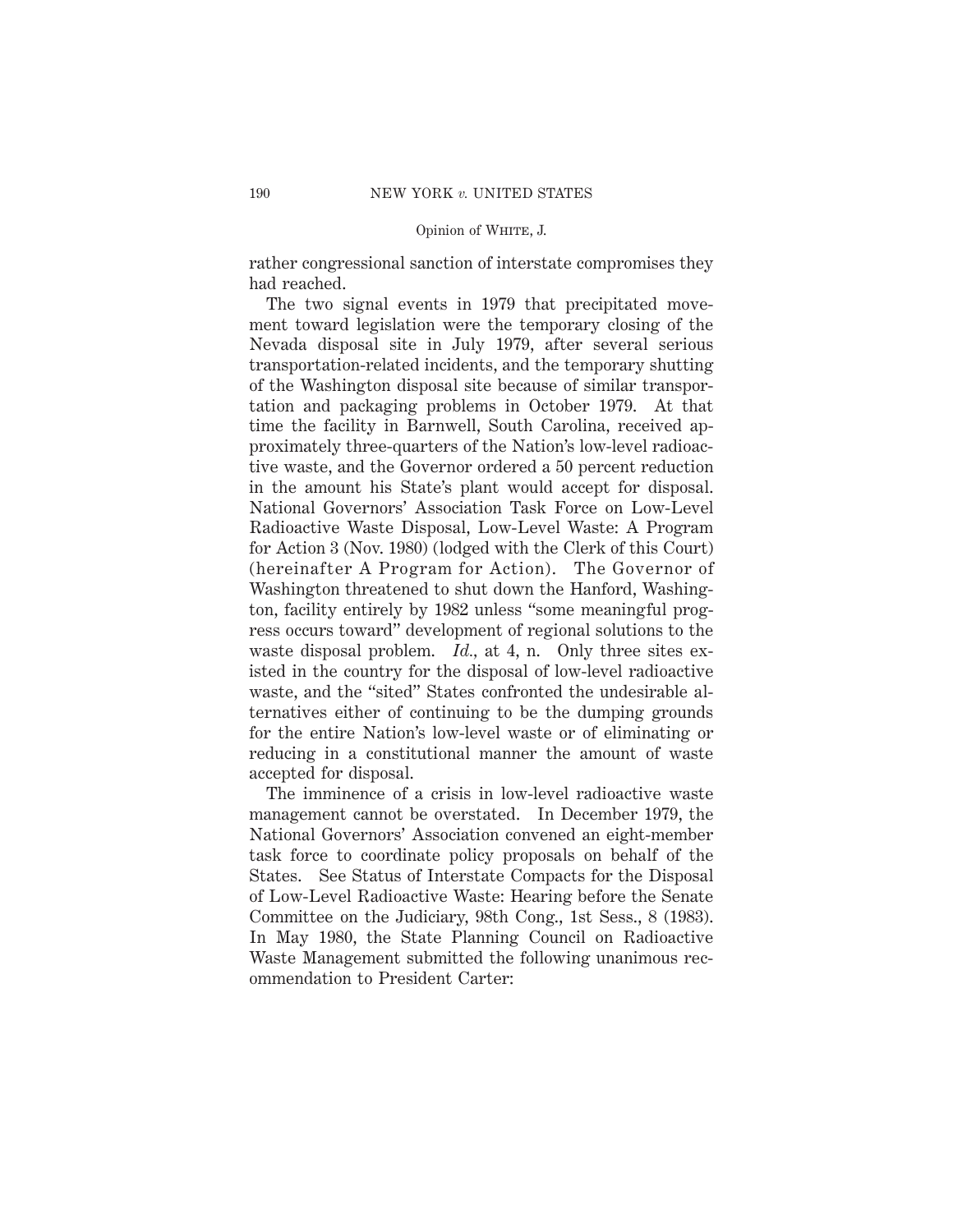rather congressional sanction of interstate compromises they had reached.

The two signal events in 1979 that precipitated movement toward legislation were the temporary closing of the Nevada disposal site in July 1979, after several serious transportation-related incidents, and the temporary shutting of the Washington disposal site because of similar transportation and packaging problems in October 1979. At that time the facility in Barnwell, South Carolina, received approximately three-quarters of the Nation's low-level radioactive waste, and the Governor ordered a 50 percent reduction in the amount his State's plant would accept for disposal. National Governors' Association Task Force on Low-Level Radioactive Waste Disposal, Low-Level Waste: A Program for Action 3 (Nov. 1980) (lodged with the Clerk of this Court) (hereinafter A Program for Action). The Governor of Washington threatened to shut down the Hanford, Washington, facility entirely by 1982 unless "some meaningful progress occurs toward" development of regional solutions to the waste disposal problem. *Id.,* at 4, n. Only three sites existed in the country for the disposal of low-level radioactive waste, and the "sited" States confronted the undesirable alternatives either of continuing to be the dumping grounds for the entire Nation's low-level waste or of eliminating or reducing in a constitutional manner the amount of waste accepted for disposal.

The imminence of a crisis in low-level radioactive waste management cannot be overstated. In December 1979, the National Governors' Association convened an eight-member task force to coordinate policy proposals on behalf of the States. See Status of Interstate Compacts for the Disposal of Low-Level Radioactive Waste: Hearing before the Senate Committee on the Judiciary, 98th Cong., 1st Sess., 8 (1983). In May 1980, the State Planning Council on Radioactive Waste Management submitted the following unanimous recommendation to President Carter: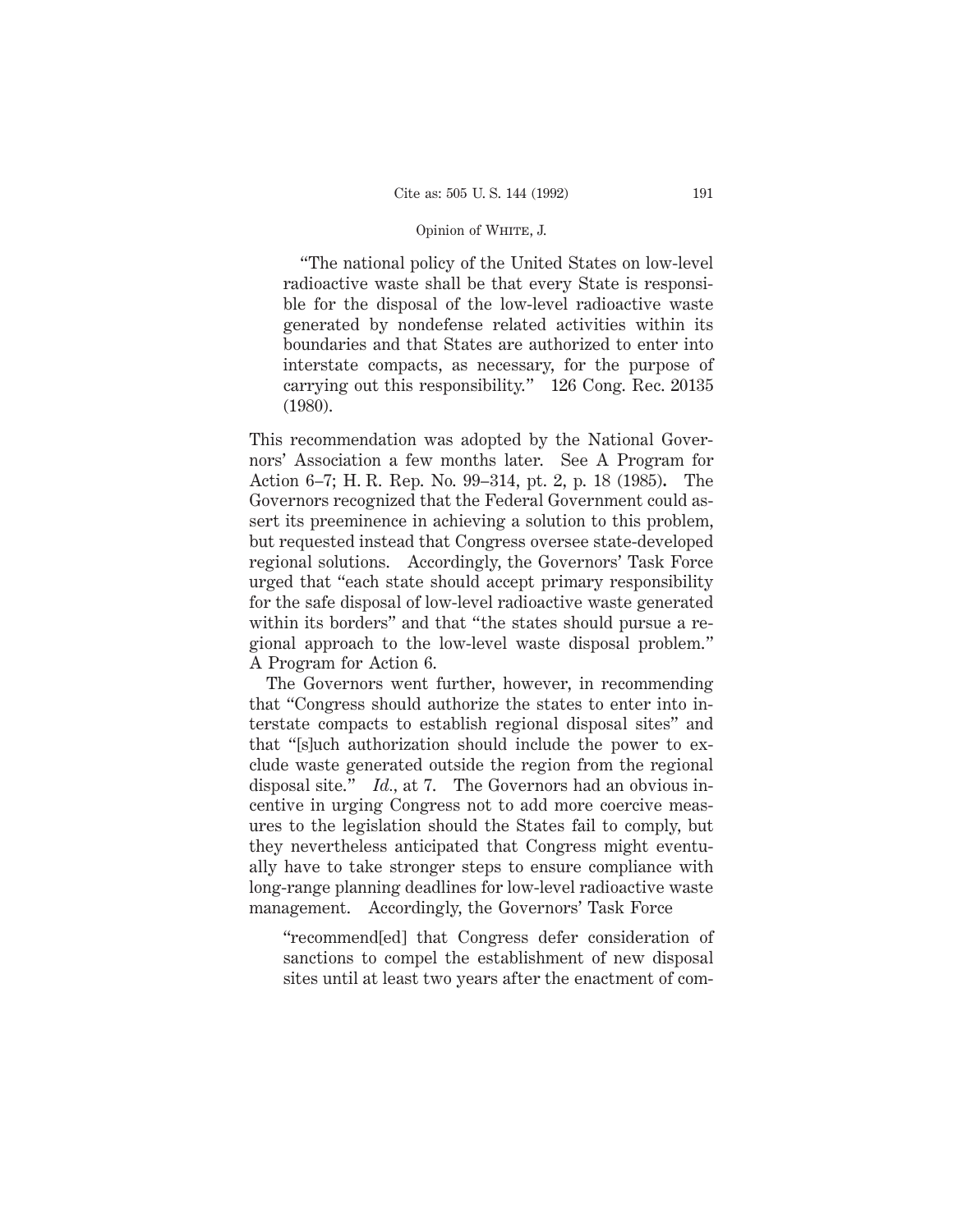"The national policy of the United States on low-level radioactive waste shall be that every State is responsible for the disposal of the low-level radioactive waste generated by nondefense related activities within its boundaries and that States are authorized to enter into interstate compacts, as necessary, for the purpose of carrying out this responsibility." 126 Cong. Rec. 20135 (1980).

This recommendation was adopted by the National Governors' Association a few months later. See A Program for Action 6–7; H. R. Rep. No. 99–314, pt. 2, p. 18 (1985)**.** The Governors recognized that the Federal Government could assert its preeminence in achieving a solution to this problem, but requested instead that Congress oversee state-developed regional solutions. Accordingly, the Governors' Task Force urged that "each state should accept primary responsibility for the safe disposal of low-level radioactive waste generated within its borders" and that "the states should pursue a regional approach to the low-level waste disposal problem." A Program for Action 6.

The Governors went further, however, in recommending that "Congress should authorize the states to enter into interstate compacts to establish regional disposal sites" and that "[s]uch authorization should include the power to exclude waste generated outside the region from the regional disposal site." *Id.,* at 7. The Governors had an obvious incentive in urging Congress not to add more coercive measures to the legislation should the States fail to comply, but they nevertheless anticipated that Congress might eventually have to take stronger steps to ensure compliance with long-range planning deadlines for low-level radioactive waste management. Accordingly, the Governors' Task Force

"recommend[ed] that Congress defer consideration of sanctions to compel the establishment of new disposal sites until at least two years after the enactment of com-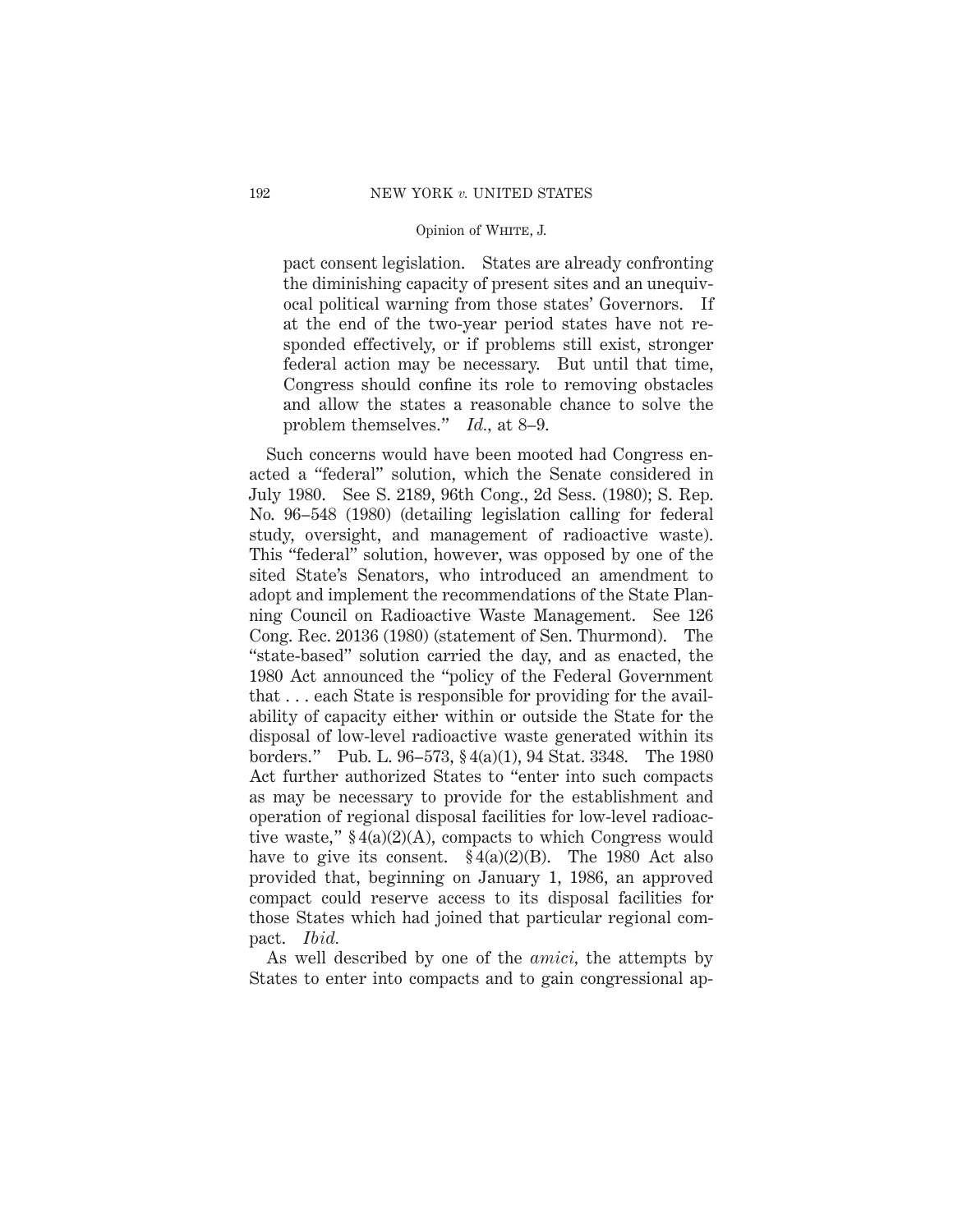pact consent legislation. States are already confronting the diminishing capacity of present sites and an unequivocal political warning from those states' Governors. If at the end of the two-year period states have not responded effectively, or if problems still exist, stronger federal action may be necessary. But until that time, Congress should confine its role to removing obstacles and allow the states a reasonable chance to solve the problem themselves." *Id.,* at 8–9.

Such concerns would have been mooted had Congress enacted a "federal" solution, which the Senate considered in July 1980. See S. 2189, 96th Cong., 2d Sess. (1980); S. Rep. No. 96–548 (1980) (detailing legislation calling for federal study, oversight, and management of radioactive waste). This "federal" solution, however, was opposed by one of the sited State's Senators, who introduced an amendment to adopt and implement the recommendations of the State Planning Council on Radioactive Waste Management. See 126 Cong. Rec. 20136 (1980) (statement of Sen. Thurmond). The "state-based" solution carried the day, and as enacted, the 1980 Act announced the "policy of the Federal Government that . . . each State is responsible for providing for the availability of capacity either within or outside the State for the disposal of low-level radioactive waste generated within its borders." Pub. L. 96–573, § 4(a)(1), 94 Stat. 3348. The 1980 Act further authorized States to "enter into such compacts as may be necessary to provide for the establishment and operation of regional disposal facilities for low-level radioactive waste,"  $\S 4(a)(2)(A)$ , compacts to which Congress would have to give its consent.  $\S 4(a)(2)(B)$ . The 1980 Act also provided that, beginning on January 1, 1986, an approved compact could reserve access to its disposal facilities for those States which had joined that particular regional compact. *Ibid.*

As well described by one of the *amici,* the attempts by States to enter into compacts and to gain congressional ap-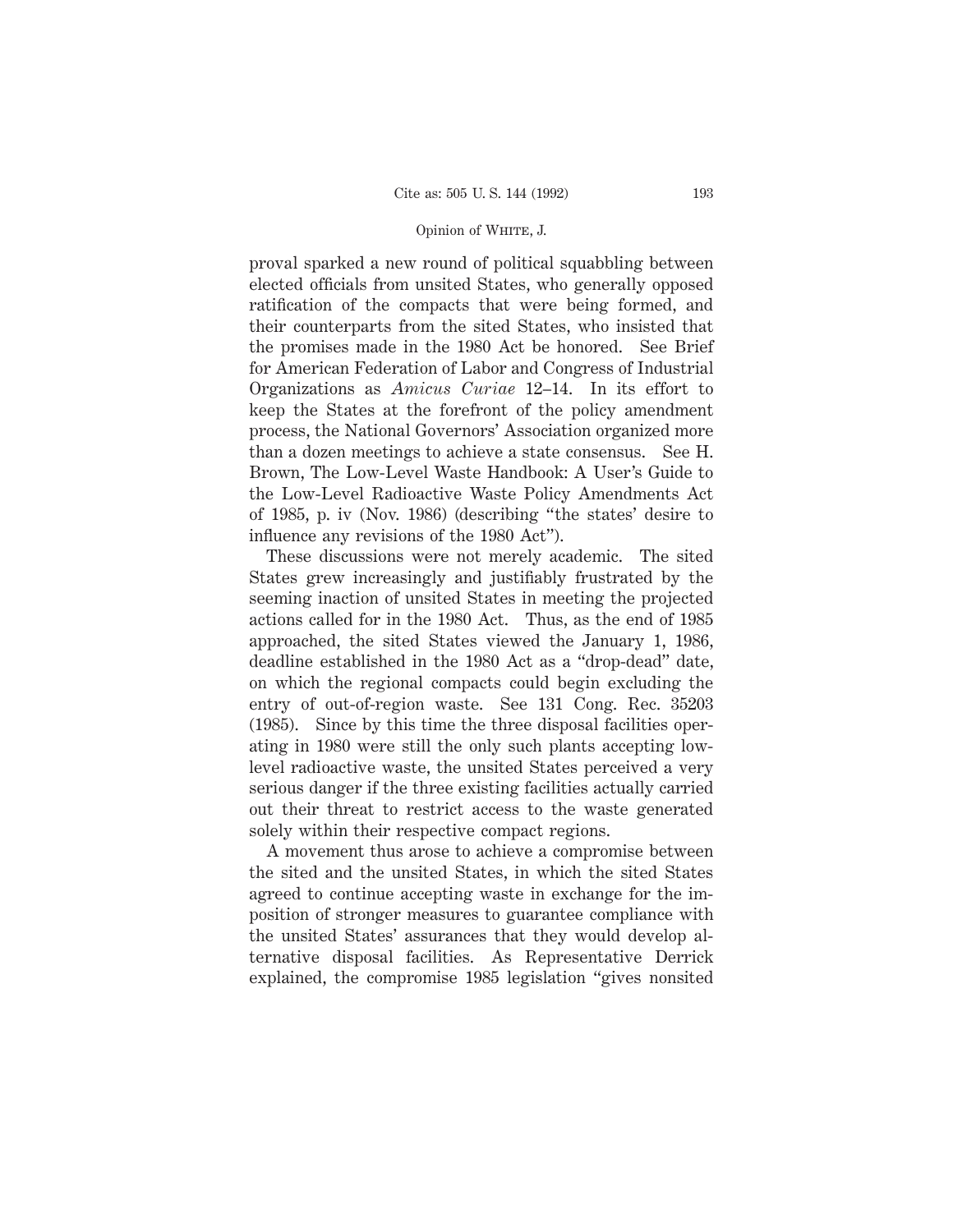proval sparked a new round of political squabbling between elected officials from unsited States, who generally opposed ratification of the compacts that were being formed, and their counterparts from the sited States, who insisted that the promises made in the 1980 Act be honored. See Brief for American Federation of Labor and Congress of Industrial Organizations as *Amicus Curiae* 12–14. In its effort to keep the States at the forefront of the policy amendment process, the National Governors' Association organized more than a dozen meetings to achieve a state consensus. See H. Brown, The Low-Level Waste Handbook: A User's Guide to the Low-Level Radioactive Waste Policy Amendments Act of 1985, p. iv (Nov. 1986) (describing "the states' desire to influence any revisions of the 1980 Act").

These discussions were not merely academic. The sited States grew increasingly and justifiably frustrated by the seeming inaction of unsited States in meeting the projected actions called for in the 1980 Act. Thus, as the end of 1985 approached, the sited States viewed the January 1, 1986, deadline established in the 1980 Act as a "drop-dead" date, on which the regional compacts could begin excluding the entry of out-of-region waste. See 131 Cong. Rec. 35203 (1985). Since by this time the three disposal facilities operating in 1980 were still the only such plants accepting lowlevel radioactive waste, the unsited States perceived a very serious danger if the three existing facilities actually carried out their threat to restrict access to the waste generated solely within their respective compact regions.

A movement thus arose to achieve a compromise between the sited and the unsited States, in which the sited States agreed to continue accepting waste in exchange for the imposition of stronger measures to guarantee compliance with the unsited States' assurances that they would develop alternative disposal facilities. As Representative Derrick explained, the compromise 1985 legislation "gives nonsited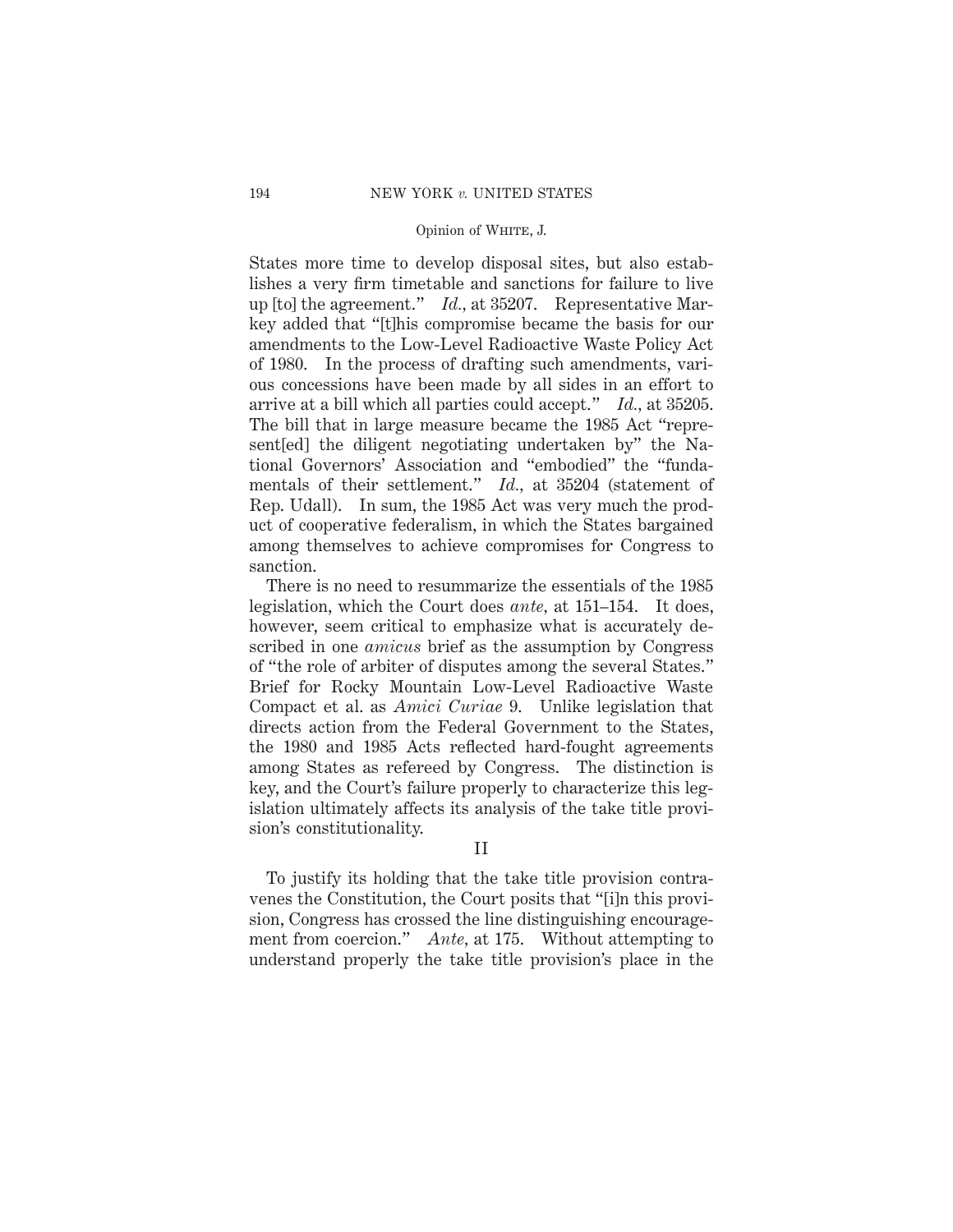States more time to develop disposal sites, but also establishes a very firm timetable and sanctions for failure to live up [to] the agreement." *Id.,* at 35207. Representative Markey added that "[t]his compromise became the basis for our amendments to the Low-Level Radioactive Waste Policy Act of 1980. In the process of drafting such amendments, various concessions have been made by all sides in an effort to arrive at a bill which all parties could accept." *Id.,* at 35205. The bill that in large measure became the 1985 Act "represent[ed] the diligent negotiating undertaken by" the National Governors' Association and "embodied" the "fundamentals of their settlement." *Id.,* at 35204 (statement of Rep. Udall). In sum, the 1985 Act was very much the product of cooperative federalism, in which the States bargained among themselves to achieve compromises for Congress to sanction.

There is no need to resummarize the essentials of the 1985 legislation, which the Court does *ante,* at 151–154. It does, however, seem critical to emphasize what is accurately described in one *amicus* brief as the assumption by Congress of "the role of arbiter of disputes among the several States." Brief for Rocky Mountain Low-Level Radioactive Waste Compact et al. as *Amici Curiae* 9. Unlike legislation that directs action from the Federal Government to the States, the 1980 and 1985 Acts reflected hard-fought agreements among States as refereed by Congress. The distinction is key, and the Court's failure properly to characterize this legislation ultimately affects its analysis of the take title provision's constitutionality.

II

To justify its holding that the take title provision contravenes the Constitution, the Court posits that "[i]n this provision, Congress has crossed the line distinguishing encouragement from coercion." *Ante,* at 175. Without attempting to understand properly the take title provision's place in the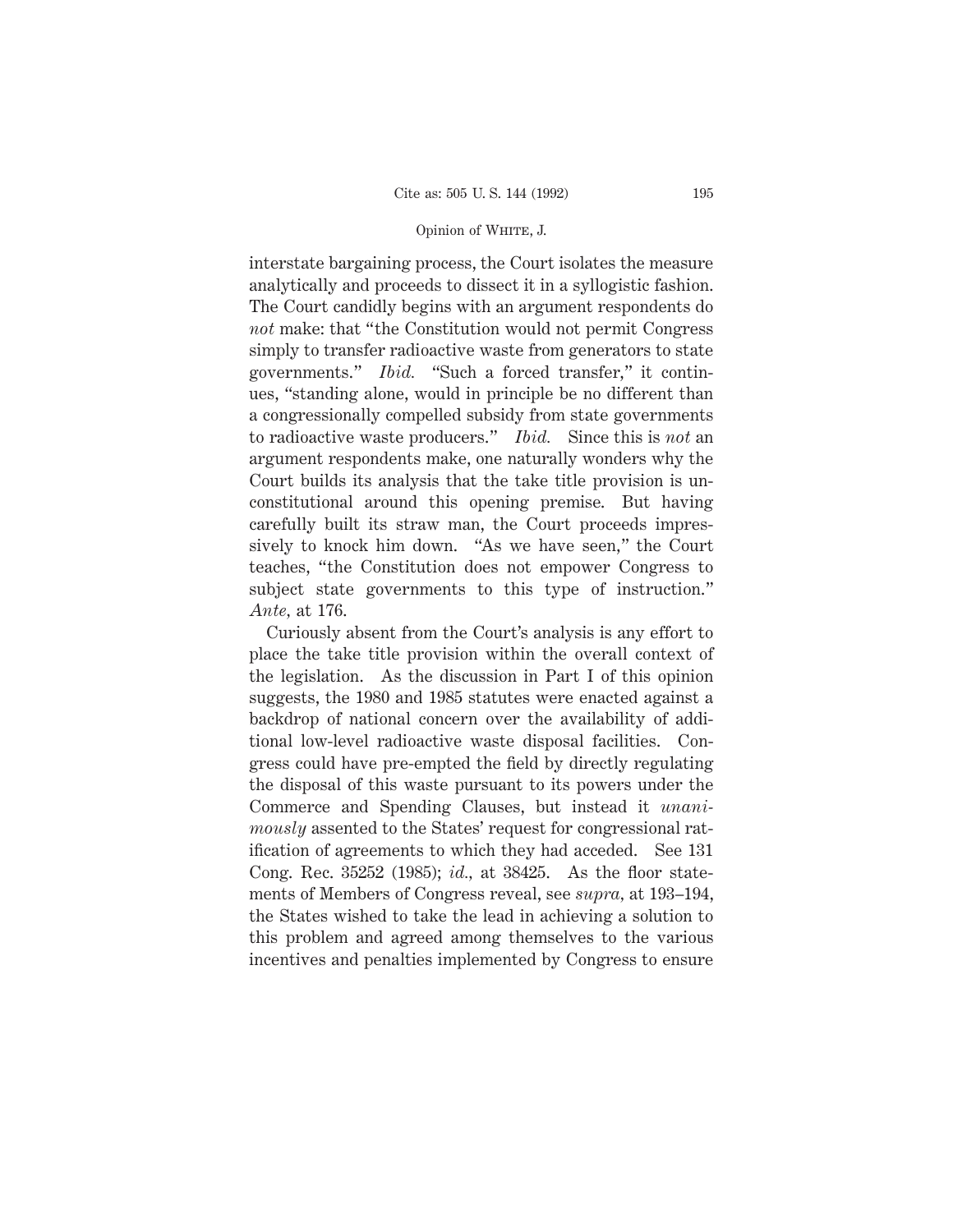interstate bargaining process, the Court isolates the measure analytically and proceeds to dissect it in a syllogistic fashion. The Court candidly begins with an argument respondents do *not* make: that "the Constitution would not permit Congress simply to transfer radioactive waste from generators to state governments." *Ibid.* "Such a forced transfer," it continues, "standing alone, would in principle be no different than a congressionally compelled subsidy from state governments to radioactive waste producers." *Ibid.* Since this is *not* an argument respondents make, one naturally wonders why the Court builds its analysis that the take title provision is unconstitutional around this opening premise. But having carefully built its straw man, the Court proceeds impressively to knock him down. "As we have seen," the Court teaches, "the Constitution does not empower Congress to subject state governments to this type of instruction." *Ante,* at 176.

Curiously absent from the Court's analysis is any effort to place the take title provision within the overall context of the legislation. As the discussion in Part I of this opinion suggests, the 1980 and 1985 statutes were enacted against a backdrop of national concern over the availability of additional low-level radioactive waste disposal facilities. Congress could have pre-empted the field by directly regulating the disposal of this waste pursuant to its powers under the Commerce and Spending Clauses, but instead it *unanimously* assented to the States' request for congressional ratification of agreements to which they had acceded. See 131 Cong. Rec. 35252 (1985); *id.,* at 38425. As the floor statements of Members of Congress reveal, see *supra,* at 193–194, the States wished to take the lead in achieving a solution to this problem and agreed among themselves to the various incentives and penalties implemented by Congress to ensure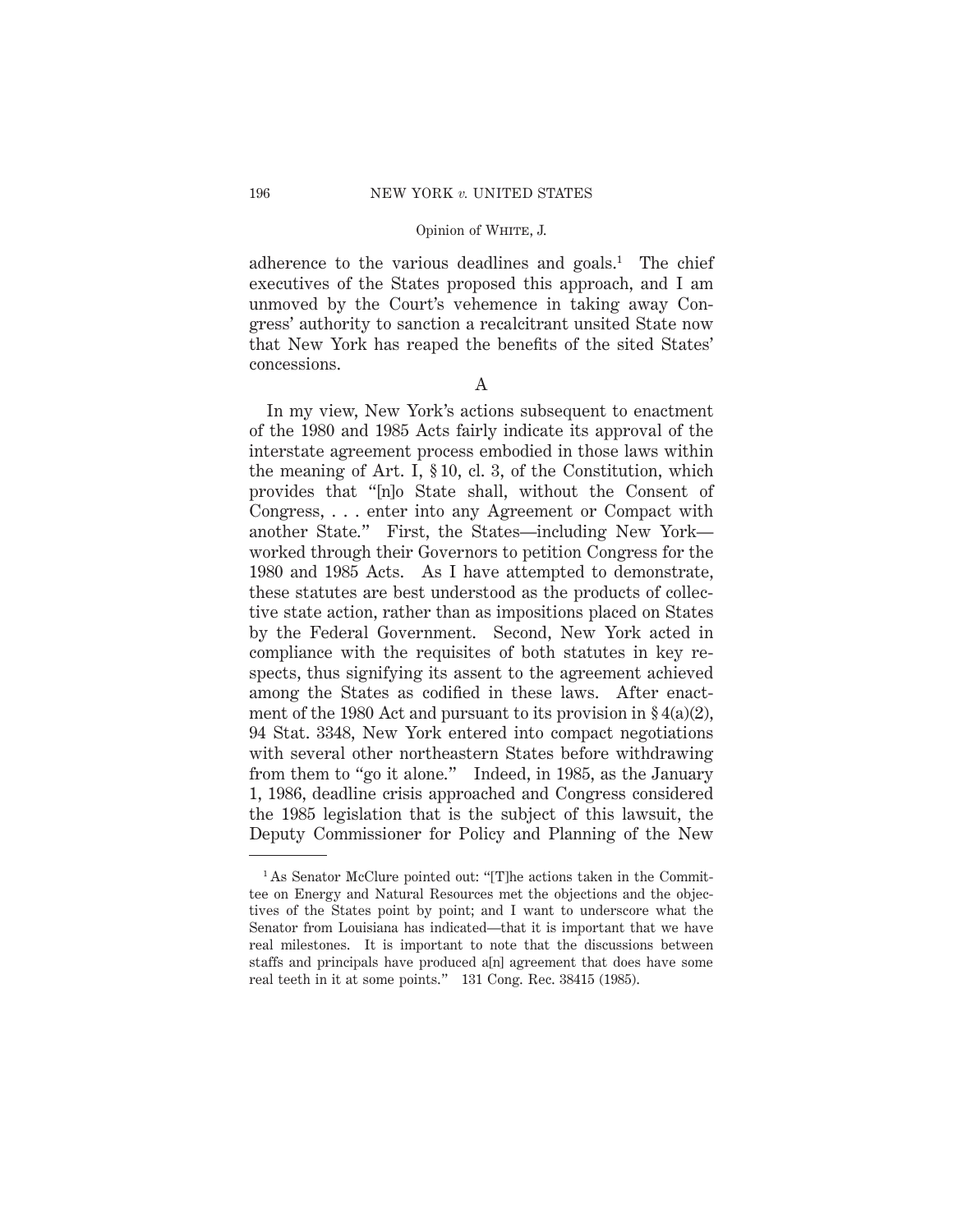adherence to the various deadlines and goals.<sup>1</sup> The chief executives of the States proposed this approach, and I am unmoved by the Court's vehemence in taking away Congress' authority to sanction a recalcitrant unsited State now that New York has reaped the benefits of the sited States' concessions.

A

In my view, New York's actions subsequent to enactment of the 1980 and 1985 Acts fairly indicate its approval of the interstate agreement process embodied in those laws within the meaning of Art. I, § 10, cl. 3, of the Constitution, which provides that "[n]o State shall, without the Consent of Congress,... enter into any Agreement or Compact with another State." First, the States—including New York worked through their Governors to petition Congress for the 1980 and 1985 Acts. As I have attempted to demonstrate, these statutes are best understood as the products of collective state action, rather than as impositions placed on States by the Federal Government. Second, New York acted in compliance with the requisites of both statutes in key respects, thus signifying its assent to the agreement achieved among the States as codified in these laws. After enactment of the 1980 Act and pursuant to its provision in  $\S 4(a)(2)$ , 94 Stat. 3348, New York entered into compact negotiations with several other northeastern States before withdrawing from them to "go it alone." Indeed, in 1985, as the January 1, 1986, deadline crisis approached and Congress considered the 1985 legislation that is the subject of this lawsuit, the Deputy Commissioner for Policy and Planning of the New

<sup>&</sup>lt;sup>1</sup> As Senator McClure pointed out: "[T]he actions taken in the Committee on Energy and Natural Resources met the objections and the objectives of the States point by point; and I want to underscore what the Senator from Louisiana has indicated—that it is important that we have real milestones. It is important to note that the discussions between staffs and principals have produced a[n] agreement that does have some real teeth in it at some points." 131 Cong. Rec. 38415 (1985).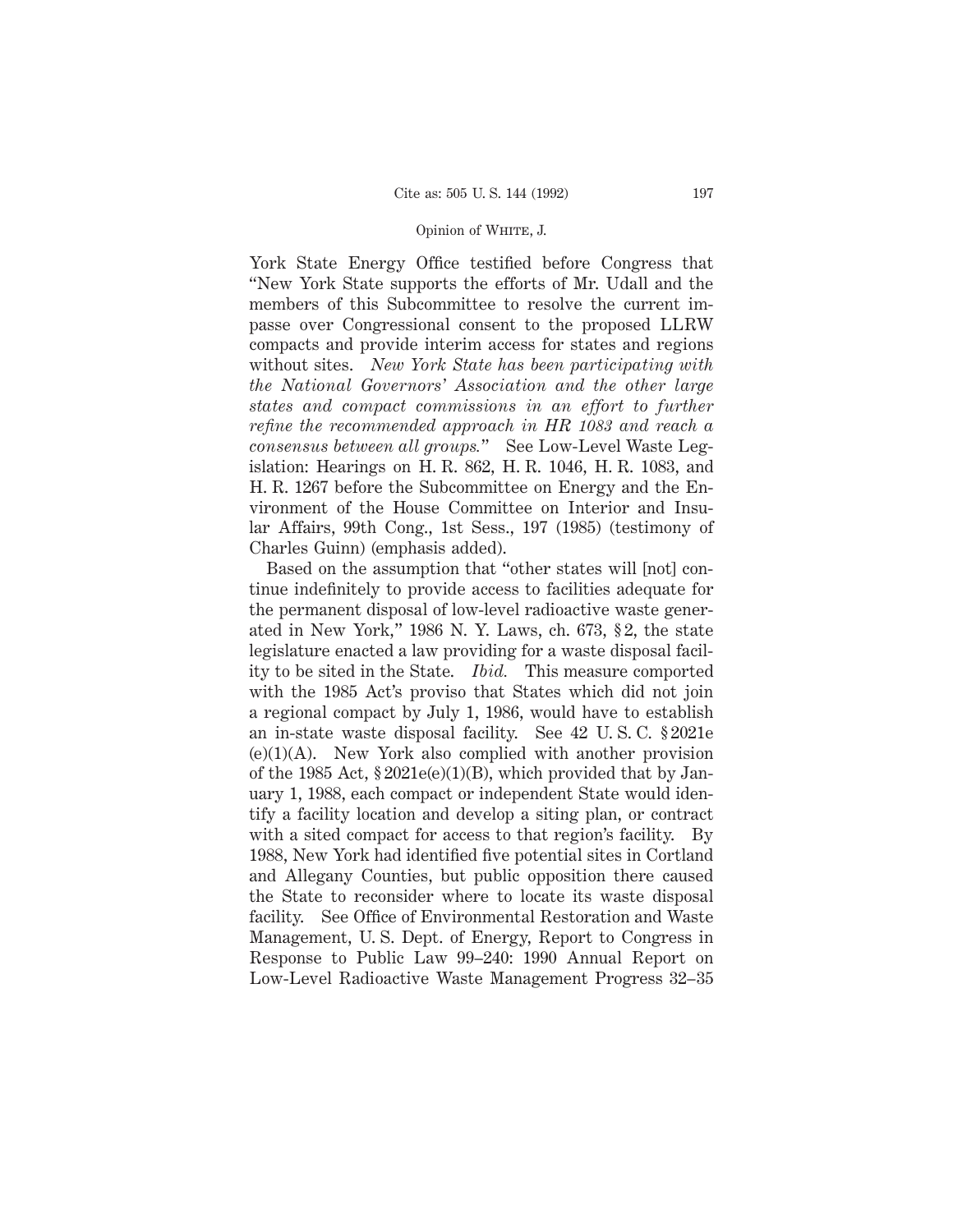York State Energy Office testified before Congress that "New York State supports the efforts of Mr. Udall and the members of this Subcommittee to resolve the current impasse over Congressional consent to the proposed LLRW compacts and provide interim access for states and regions without sites. *New York State has been participating with the National Governors' Association and the other large states and compact commissions in an effort to further refine the recommended approach in HR 1083 and reach a consensus between all groups.*" See Low-Level Waste Legislation: Hearings on H. R. 862, H. R. 1046, H. R. 1083, and H. R. 1267 before the Subcommittee on Energy and the Environment of the House Committee on Interior and Insular Affairs, 99th Cong., 1st Sess., 197 (1985) (testimony of Charles Guinn) (emphasis added).

Based on the assumption that "other states will [not] continue indefinitely to provide access to facilities adequate for the permanent disposal of low-level radioactive waste generated in New York," 1986 N. Y. Laws, ch. 673, § 2, the state legislature enacted a law providing for a waste disposal facility to be sited in the State. *Ibid.* This measure comported with the 1985 Act's proviso that States which did not join a regional compact by July 1, 1986, would have to establish an in-state waste disposal facility. See 42 U. S. C. § 2021e  $(e)(1)(A)$ . New York also complied with another provision of the 1985 Act,  $\S 2021e(e)(1)(B)$ , which provided that by January 1, 1988, each compact or independent State would identify a facility location and develop a siting plan, or contract with a sited compact for access to that region's facility. By 1988, New York had identified five potential sites in Cortland and Allegany Counties, but public opposition there caused the State to reconsider where to locate its waste disposal facility. See Office of Environmental Restoration and Waste Management, U. S. Dept. of Energy, Report to Congress in Response to Public Law 99–240: 1990 Annual Report on Low-Level Radioactive Waste Management Progress 32–35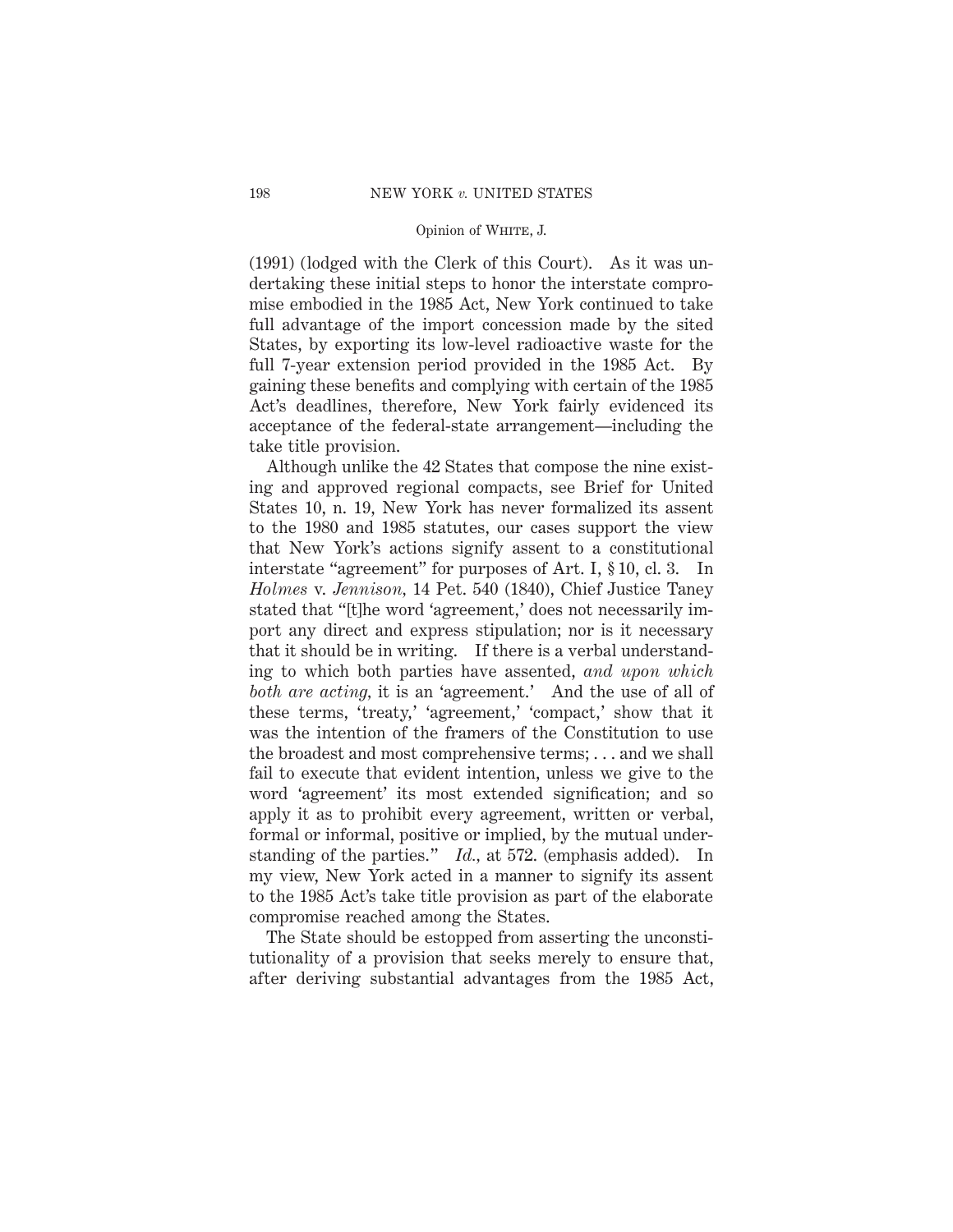(1991) (lodged with the Clerk of this Court). As it was undertaking these initial steps to honor the interstate compromise embodied in the 1985 Act, New York continued to take full advantage of the import concession made by the sited States, by exporting its low-level radioactive waste for the full 7-year extension period provided in the 1985 Act. By gaining these benefits and complying with certain of the 1985 Act's deadlines, therefore, New York fairly evidenced its acceptance of the federal-state arrangement—including the take title provision.

Although unlike the 42 States that compose the nine existing and approved regional compacts, see Brief for United States 10, n. 19, New York has never formalized its assent to the 1980 and 1985 statutes, our cases support the view that New York's actions signify assent to a constitutional interstate "agreement" for purposes of Art. I, § 10, cl. 3. In *Holmes* v. *Jennison,* 14 Pet. 540 (1840), Chief Justice Taney stated that "[t]he word 'agreement,' does not necessarily import any direct and express stipulation; nor is it necessary that it should be in writing. If there is a verbal understanding to which both parties have assented, *and upon which both are acting,* it is an 'agreement.' And the use of all of these terms, 'treaty,' 'agreement,' 'compact,' show that it was the intention of the framers of the Constitution to use the broadest and most comprehensive terms; . . . and we shall fail to execute that evident intention, unless we give to the word 'agreement' its most extended signification; and so apply it as to prohibit every agreement, written or verbal, formal or informal, positive or implied, by the mutual understanding of the parties." *Id.,* at 572. (emphasis added). In my view, New York acted in a manner to signify its assent to the 1985 Act's take title provision as part of the elaborate compromise reached among the States.

The State should be estopped from asserting the unconstitutionality of a provision that seeks merely to ensure that, after deriving substantial advantages from the 1985 Act,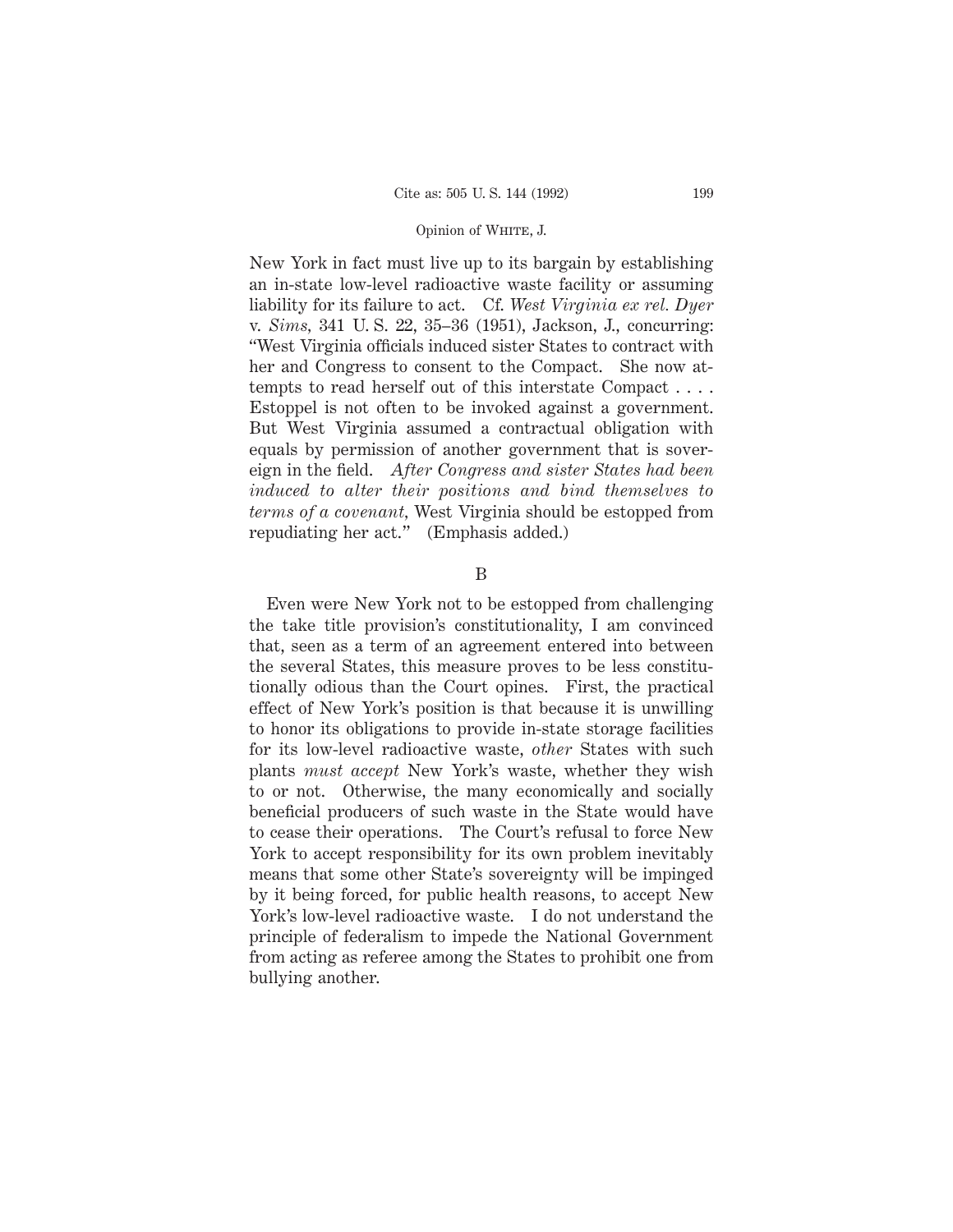New York in fact must live up to its bargain by establishing an in-state low-level radioactive waste facility or assuming liability for its failure to act. Cf. *West Virginia ex rel. Dyer* v. *Sims,* 341 U. S. 22, 35–36 (1951), Jackson, J., concurring: "West Virginia officials induced sister States to contract with her and Congress to consent to the Compact. She now attempts to read herself out of this interstate Compact . . . . Estoppel is not often to be invoked against a government. But West Virginia assumed a contractual obligation with equals by permission of another government that is sovereign in the field. *After Congress and sister States had been induced to alter their positions and bind themselves to terms of a covenant,* West Virginia should be estopped from repudiating her act." (Emphasis added.)

## B

Even were New York not to be estopped from challenging the take title provision's constitutionality, I am convinced that, seen as a term of an agreement entered into between the several States, this measure proves to be less constitutionally odious than the Court opines. First, the practical effect of New York's position is that because it is unwilling to honor its obligations to provide in-state storage facilities for its low-level radioactive waste, *other* States with such plants *must accept* New York's waste, whether they wish to or not. Otherwise, the many economically and socially beneficial producers of such waste in the State would have to cease their operations. The Court's refusal to force New York to accept responsibility for its own problem inevitably means that some other State's sovereignty will be impinged by it being forced, for public health reasons, to accept New York's low-level radioactive waste. I do not understand the principle of federalism to impede the National Government from acting as referee among the States to prohibit one from bullying another.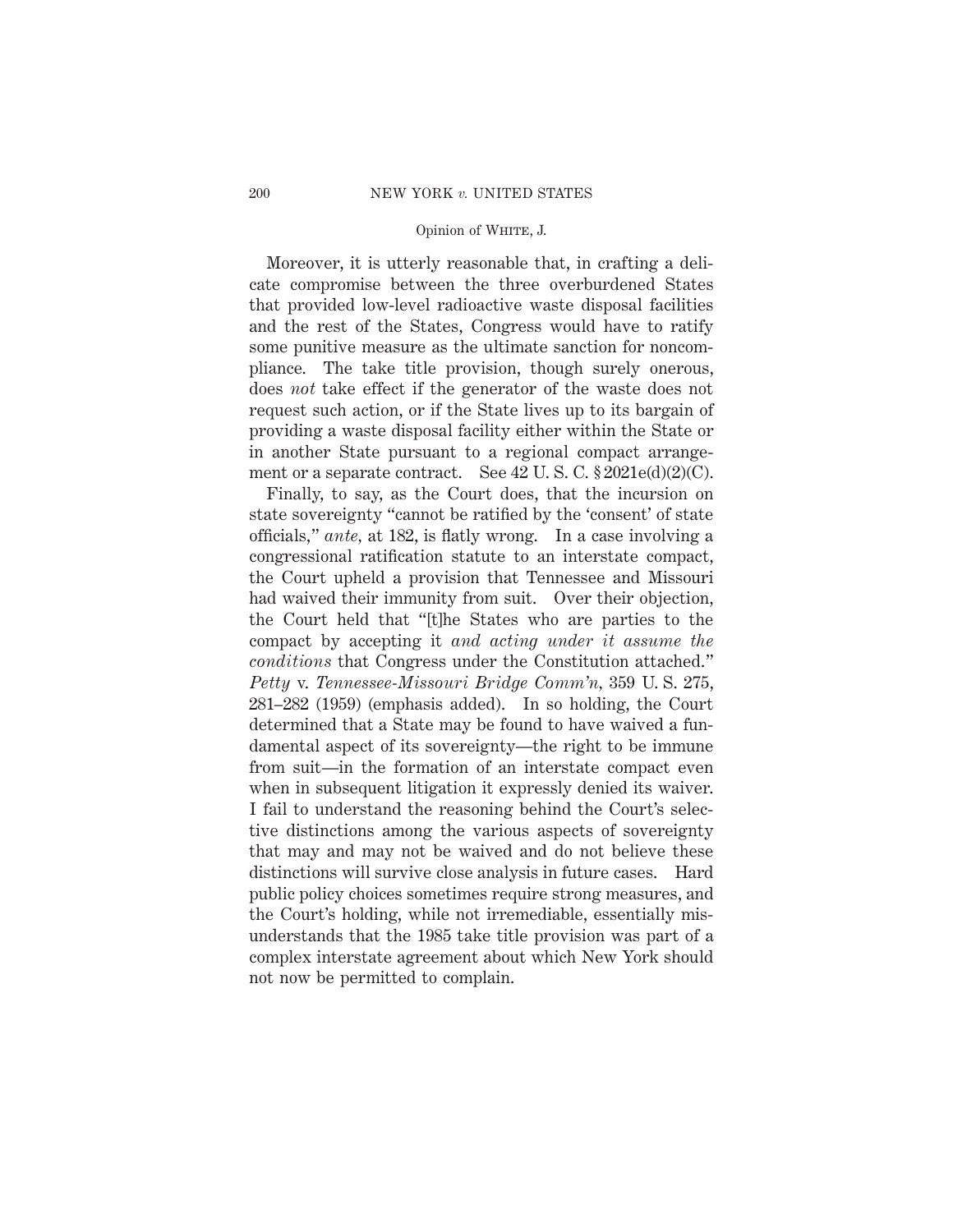Moreover, it is utterly reasonable that, in crafting a delicate compromise between the three overburdened States that provided low-level radioactive waste disposal facilities and the rest of the States, Congress would have to ratify some punitive measure as the ultimate sanction for noncompliance. The take title provision, though surely onerous, does *not* take effect if the generator of the waste does not request such action, or if the State lives up to its bargain of providing a waste disposal facility either within the State or in another State pursuant to a regional compact arrangement or a separate contract. See 42 U.S.C. § 2021e(d)(2)(C).

Finally, to say, as the Court does, that the incursion on state sovereignty "cannot be ratified by the 'consent' of state officials," *ante,* at 182, is flatly wrong. In a case involving a congressional ratification statute to an interstate compact, the Court upheld a provision that Tennessee and Missouri had waived their immunity from suit. Over their objection, the Court held that "[t]he States who are parties to the compact by accepting it *and acting under it assume the conditions* that Congress under the Constitution attached." *Petty* v. *Tennessee-Missouri Bridge Comm'n,* 359 U. S. 275, 281–282 (1959) (emphasis added). In so holding, the Court determined that a State may be found to have waived a fundamental aspect of its sovereignty—the right to be immune from suit—in the formation of an interstate compact even when in subsequent litigation it expressly denied its waiver. I fail to understand the reasoning behind the Court's selective distinctions among the various aspects of sovereignty that may and may not be waived and do not believe these distinctions will survive close analysis in future cases. Hard public policy choices sometimes require strong measures, and the Court's holding, while not irremediable, essentially misunderstands that the 1985 take title provision was part of a complex interstate agreement about which New York should not now be permitted to complain.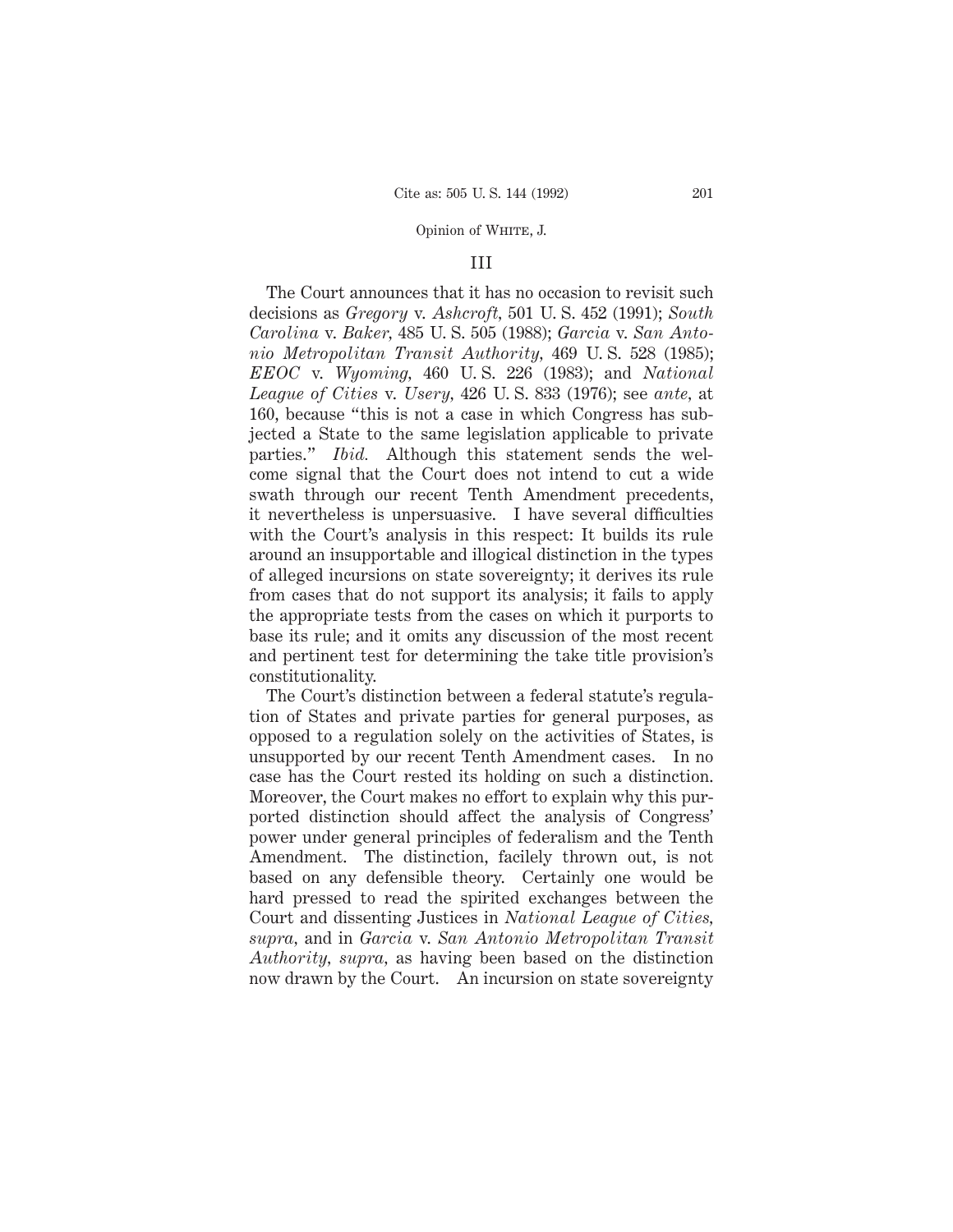## III

The Court announces that it has no occasion to revisit such decisions as *Gregory* v. *Ashcroft,* 501 U. S. 452 (1991); *South Carolina* v. *Baker,* 485 U. S. 505 (1988); *Garcia* v. *San Antonio Metropolitan Transit Authority,* 469 U. S. 528 (1985); *EEOC* v. *Wyoming,* 460 U. S. 226 (1983); and *National League of Cities* v. *Usery,* 426 U. S. 833 (1976); see *ante,* at 160, because "this is not a case in which Congress has subjected a State to the same legislation applicable to private parties." *Ibid.* Although this statement sends the welcome signal that the Court does not intend to cut a wide swath through our recent Tenth Amendment precedents, it nevertheless is unpersuasive. I have several difficulties with the Court's analysis in this respect: It builds its rule around an insupportable and illogical distinction in the types of alleged incursions on state sovereignty; it derives its rule from cases that do not support its analysis; it fails to apply the appropriate tests from the cases on which it purports to base its rule; and it omits any discussion of the most recent and pertinent test for determining the take title provision's constitutionality.

The Court's distinction between a federal statute's regulation of States and private parties for general purposes, as opposed to a regulation solely on the activities of States, is unsupported by our recent Tenth Amendment cases. In no case has the Court rested its holding on such a distinction. Moreover, the Court makes no effort to explain why this purported distinction should affect the analysis of Congress' power under general principles of federalism and the Tenth Amendment. The distinction, facilely thrown out, is not based on any defensible theory. Certainly one would be hard pressed to read the spirited exchanges between the Court and dissenting Justices in *National League of Cities, supra,* and in *Garcia* v. *San Antonio Metropolitan Transit Authority, supra,* as having been based on the distinction now drawn by the Court. An incursion on state sovereignty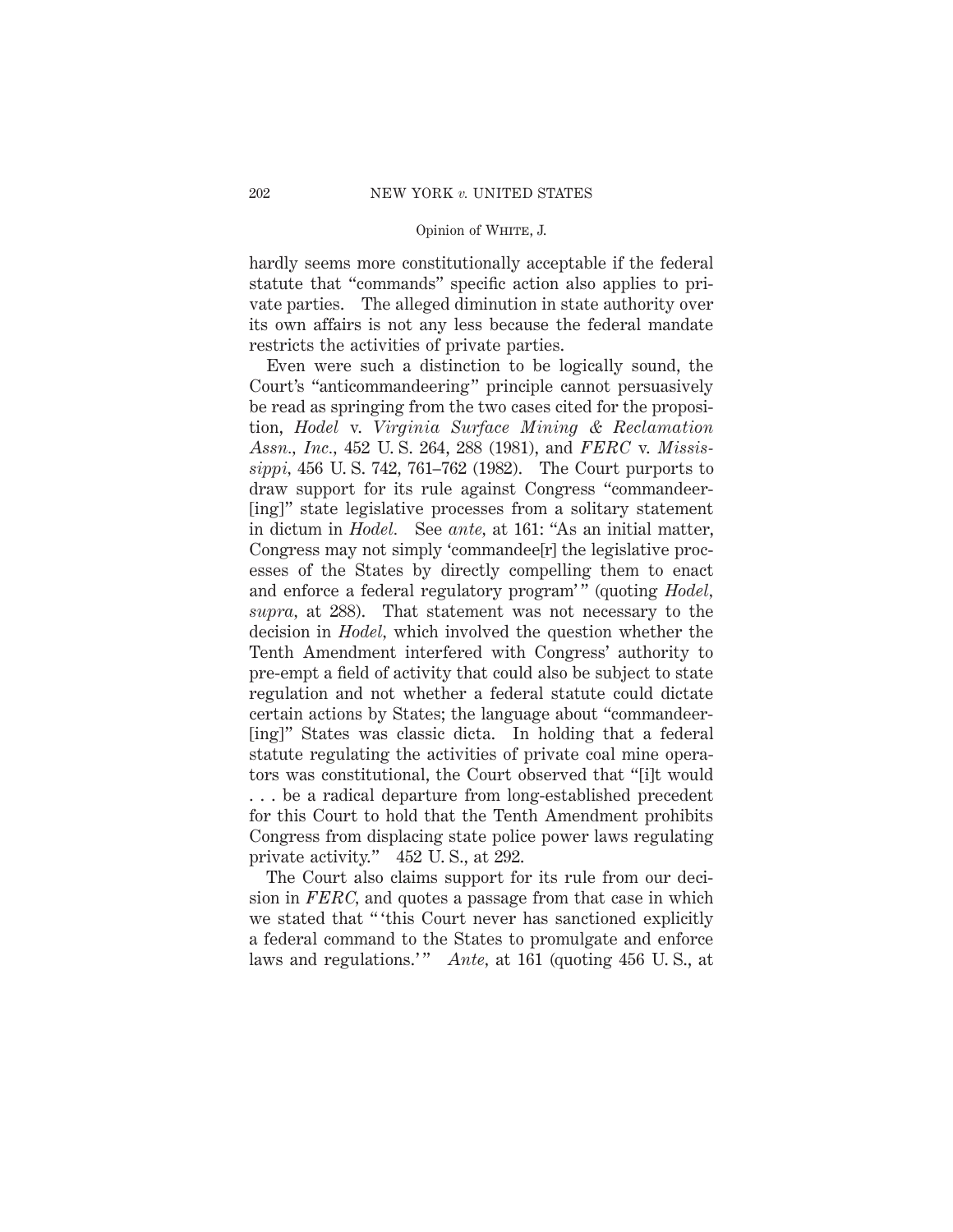hardly seems more constitutionally acceptable if the federal statute that "commands" specific action also applies to private parties. The alleged diminution in state authority over its own affairs is not any less because the federal mandate restricts the activities of private parties.

Even were such a distinction to be logically sound, the Court's "anticommandeering" principle cannot persuasively be read as springing from the two cases cited for the proposition, *Hodel* v. *Virginia Surface Mining & Reclamation Assn., Inc.,* 452 U. S. 264, 288 (1981), and *FERC* v. *Mississippi,* 456 U. S. 742, 761–762 (1982). The Court purports to draw support for its rule against Congress "commandeer- [ing]" state legislative processes from a solitary statement in dictum in *Hodel.* See *ante,* at 161: "As an initial matter, Congress may not simply 'commandee[r] the legislative processes of the States by directly compelling them to enact and enforce a federal regulatory program'" (quoting *Hodel*, *supra,* at 288). That statement was not necessary to the decision in *Hodel,* which involved the question whether the Tenth Amendment interfered with Congress' authority to pre-empt a field of activity that could also be subject to state regulation and not whether a federal statute could dictate certain actions by States; the language about "commandeer- [ing]" States was classic dicta. In holding that a federal statute regulating the activities of private coal mine operators was constitutional, the Court observed that "[i]t would . . . be a radical departure from long-established precedent for this Court to hold that the Tenth Amendment prohibits Congress from displacing state police power laws regulating private activity." 452 U. S., at 292.

The Court also claims support for its rule from our decision in *FERC,* and quotes a passage from that case in which we stated that " this Court never has sanctioned explicitly a federal command to the States to promulgate and enforce laws and regulations.'" *Ante*, at 161 (quoting 456 U.S., at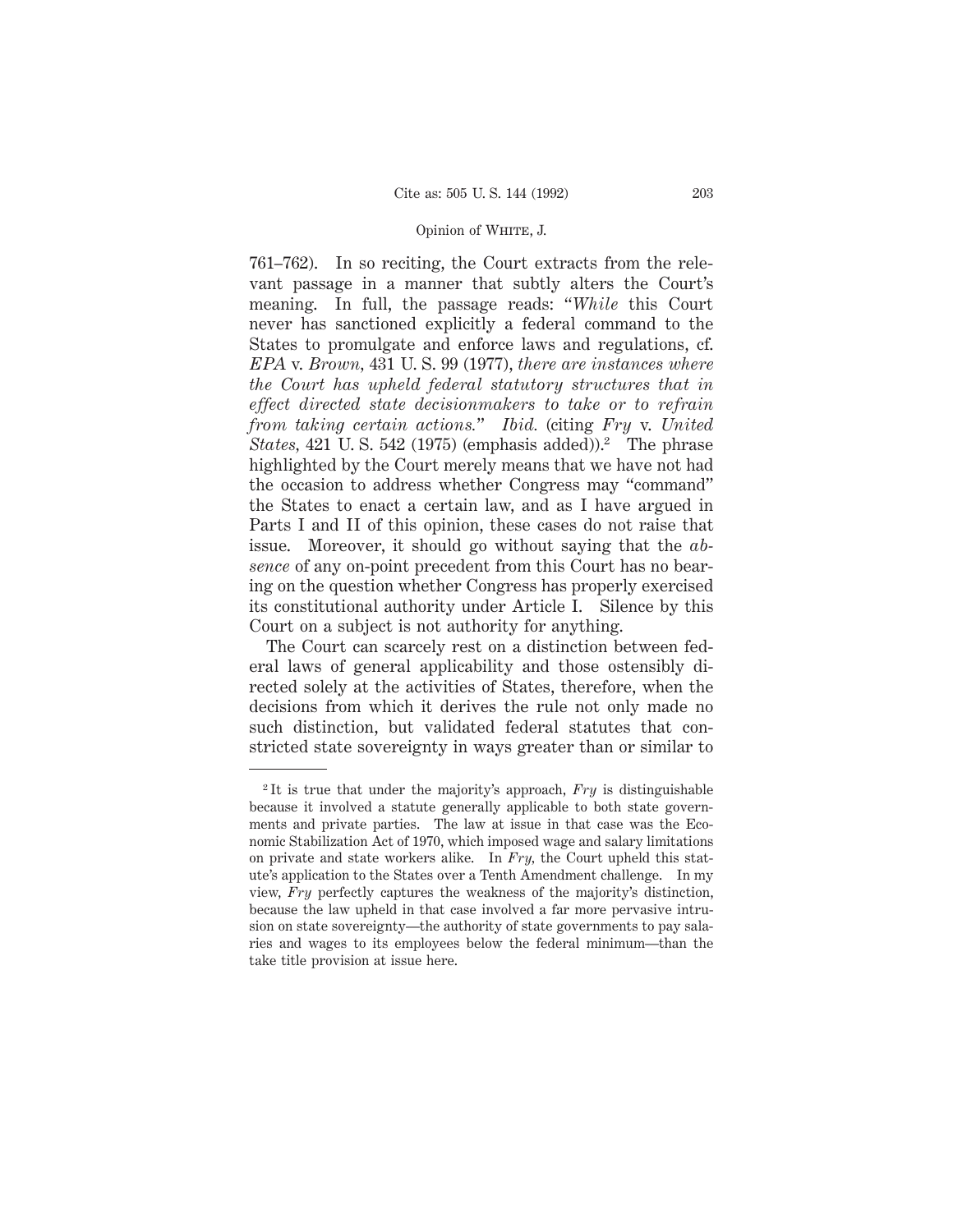761–762). In so reciting, the Court extracts from the relevant passage in a manner that subtly alters the Court's meaning. In full, the passage reads: "*While* this Court never has sanctioned explicitly a federal command to the States to promulgate and enforce laws and regulations, cf. *EPA* v. *Brown,* 431 U. S. 99 (1977), *there are instances where the Court has upheld federal statutory structures that in effect directed state decisionmakers to take or to refrain from taking certain actions.*" *Ibid.* (citing *Fry* v. *United States,* 421 U.S. 542 (1975) (emphasis added)).<sup>2</sup> The phrase highlighted by the Court merely means that we have not had the occasion to address whether Congress may "command" the States to enact a certain law, and as I have argued in Parts I and II of this opinion, these cases do not raise that issue. Moreover, it should go without saying that the *absence* of any on-point precedent from this Court has no bearing on the question whether Congress has properly exercised its constitutional authority under Article I. Silence by this Court on a subject is not authority for anything.

The Court can scarcely rest on a distinction between federal laws of general applicability and those ostensibly directed solely at the activities of States, therefore, when the decisions from which it derives the rule not only made no such distinction, but validated federal statutes that constricted state sovereignty in ways greater than or similar to

<sup>&</sup>lt;sup>2</sup>It is true that under the majority's approach,  $Fry$  is distinguishable because it involved a statute generally applicable to both state governments and private parties. The law at issue in that case was the Economic Stabilization Act of 1970, which imposed wage and salary limitations on private and state workers alike. In *Fry,* the Court upheld this statute's application to the States over a Tenth Amendment challenge. In my view, *Fry* perfectly captures the weakness of the majority's distinction, because the law upheld in that case involved a far more pervasive intrusion on state sovereignty—the authority of state governments to pay salaries and wages to its employees below the federal minimum—than the take title provision at issue here.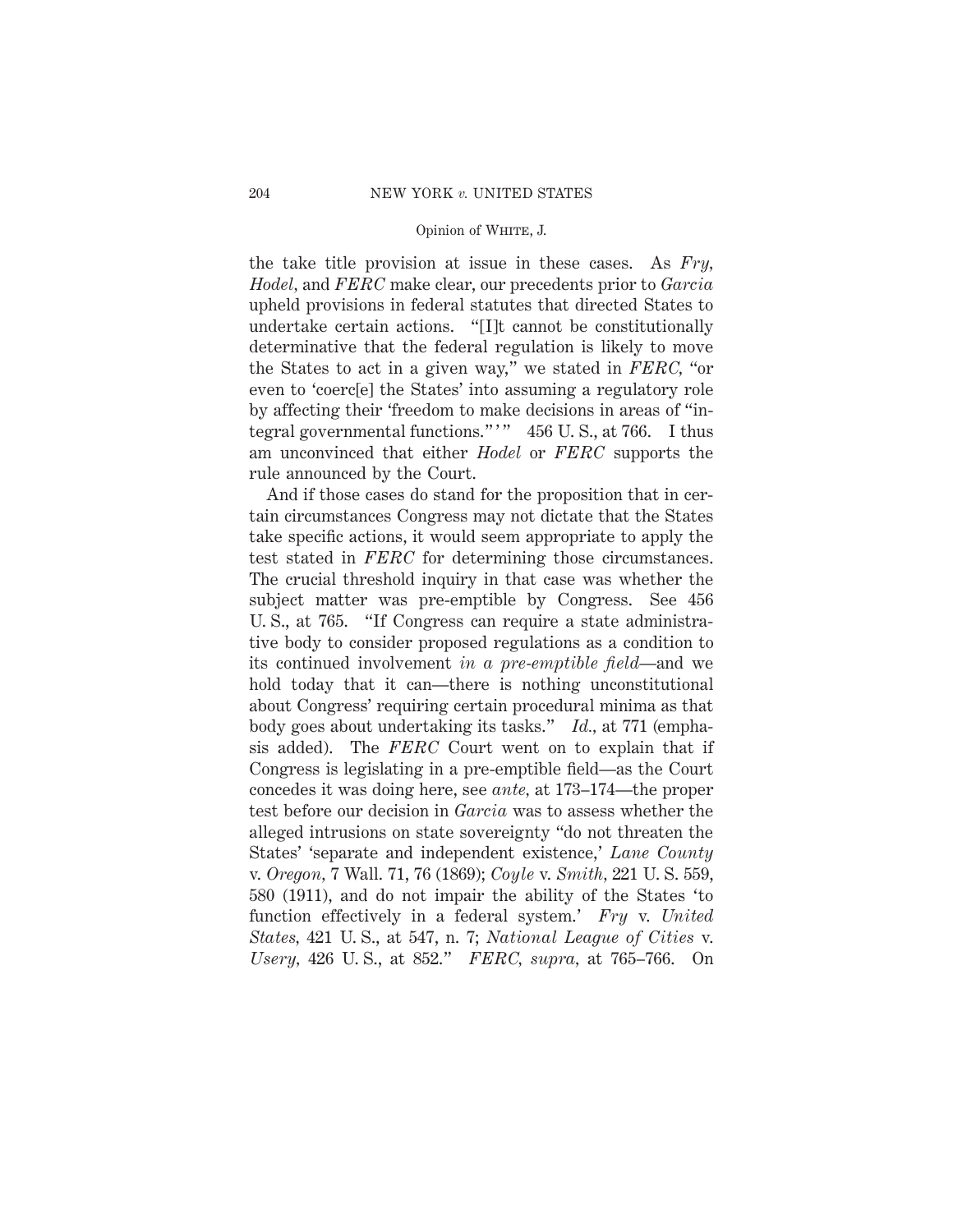the take title provision at issue in these cases. As *Fry, Hodel,* and *FERC* make clear, our precedents prior to *Garcia* upheld provisions in federal statutes that directed States to undertake certain actions. "[I]t cannot be constitutionally determinative that the federal regulation is likely to move the States to act in a given way," we stated in *FERC,* "or even to 'coerc[e] the States' into assuming a regulatory role by affecting their 'freedom to make decisions in areas of "integral governmental functions."" 456 U.S., at 766. I thus am unconvinced that either *Hodel* or *FERC* supports the rule announced by the Court.

And if those cases do stand for the proposition that in certain circumstances Congress may not dictate that the States take specific actions, it would seem appropriate to apply the test stated in *FERC* for determining those circumstances. The crucial threshold inquiry in that case was whether the subject matter was pre-emptible by Congress. See 456 U. S., at 765. "If Congress can require a state administrative body to consider proposed regulations as a condition to its continued involvement *in a pre-emptible field*—and we hold today that it can—there is nothing unconstitutional about Congress' requiring certain procedural minima as that body goes about undertaking its tasks." *Id.,* at 771 (emphasis added). The *FERC* Court went on to explain that if Congress is legislating in a pre-emptible field—as the Court concedes it was doing here, see *ante,* at 173–174—the proper test before our decision in *Garcia* was to assess whether the alleged intrusions on state sovereignty "do not threaten the States' 'separate and independent existence,' *Lane County* v. *Oregon,* 7 Wall. 71, 76 (1869); *Coyle* v. *Smith,* 221 U. S. 559, 580 (1911), and do not impair the ability of the States 'to function effectively in a federal system.' *Fry* v. *United States,* 421 U. S., at 547, n. 7; *National League of Cities* v. *Usery,* 426 U. S., at 852." *FERC, supra,* at 765–766. On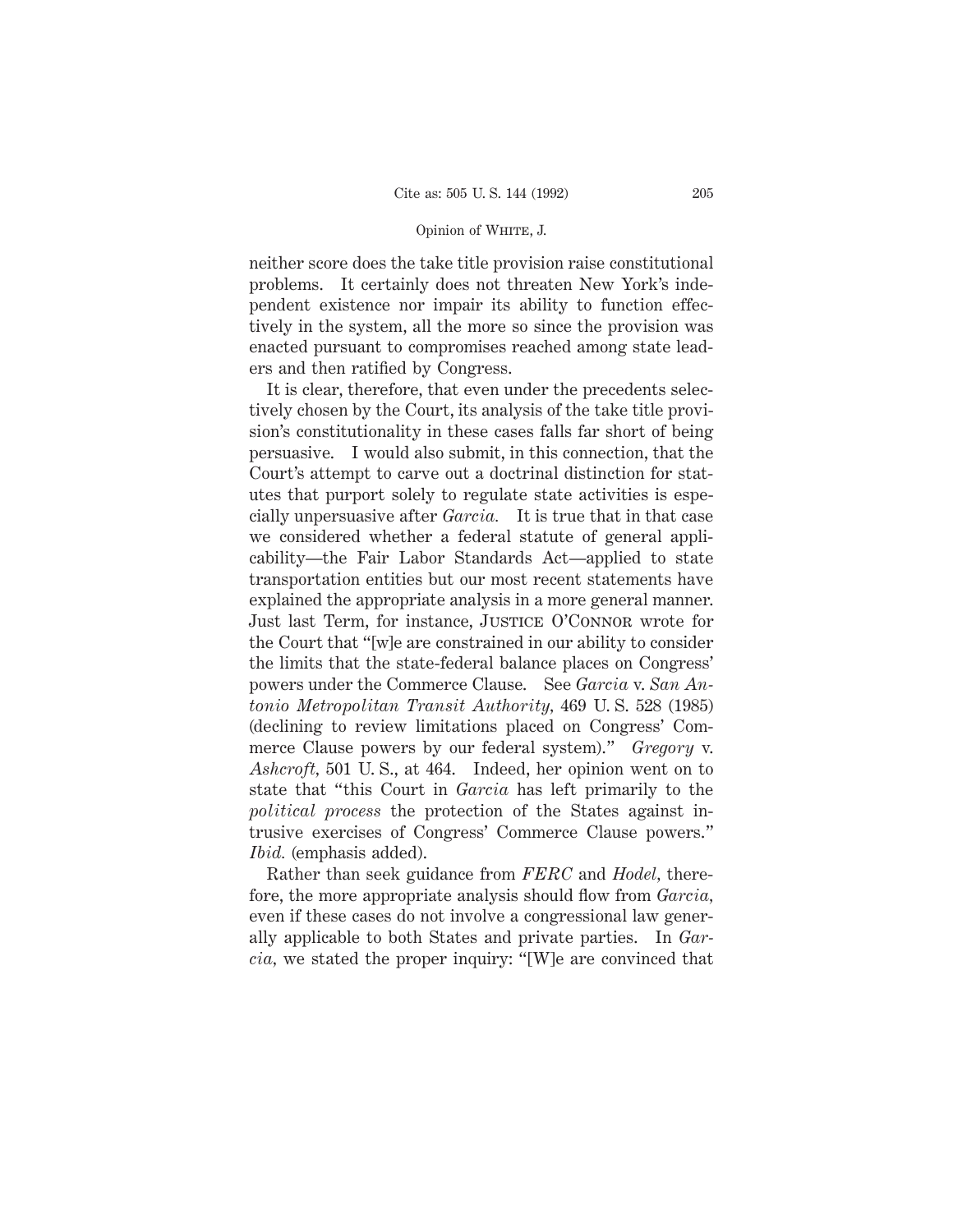neither score does the take title provision raise constitutional problems. It certainly does not threaten New York's independent existence nor impair its ability to function effectively in the system, all the more so since the provision was enacted pursuant to compromises reached among state leaders and then ratified by Congress.

It is clear, therefore, that even under the precedents selectively chosen by the Court, its analysis of the take title provision's constitutionality in these cases falls far short of being persuasive. I would also submit, in this connection, that the Court's attempt to carve out a doctrinal distinction for statutes that purport solely to regulate state activities is especially unpersuasive after *Garcia.* It is true that in that case we considered whether a federal statute of general applicability—the Fair Labor Standards Act—applied to state transportation entities but our most recent statements have explained the appropriate analysis in a more general manner. Just last Term, for instance, JUSTICE O'CONNOR wrote for the Court that "[w]e are constrained in our ability to consider the limits that the state-federal balance places on Congress' powers under the Commerce Clause. See *Garcia* v. *San Antonio Metropolitan Transit Authority,* 469 U. S. 528 (1985) (declining to review limitations placed on Congress' Commerce Clause powers by our federal system)." *Gregory* v. *Ashcroft,* 501 U. S., at 464. Indeed, her opinion went on to state that "this Court in *Garcia* has left primarily to the *political process* the protection of the States against intrusive exercises of Congress' Commerce Clause powers." *Ibid.* (emphasis added).

Rather than seek guidance from *FERC* and *Hodel,* therefore, the more appropriate analysis should flow from *Garcia,* even if these cases do not involve a congressional law generally applicable to both States and private parties. In *Garcia,* we stated the proper inquiry: "[W]e are convinced that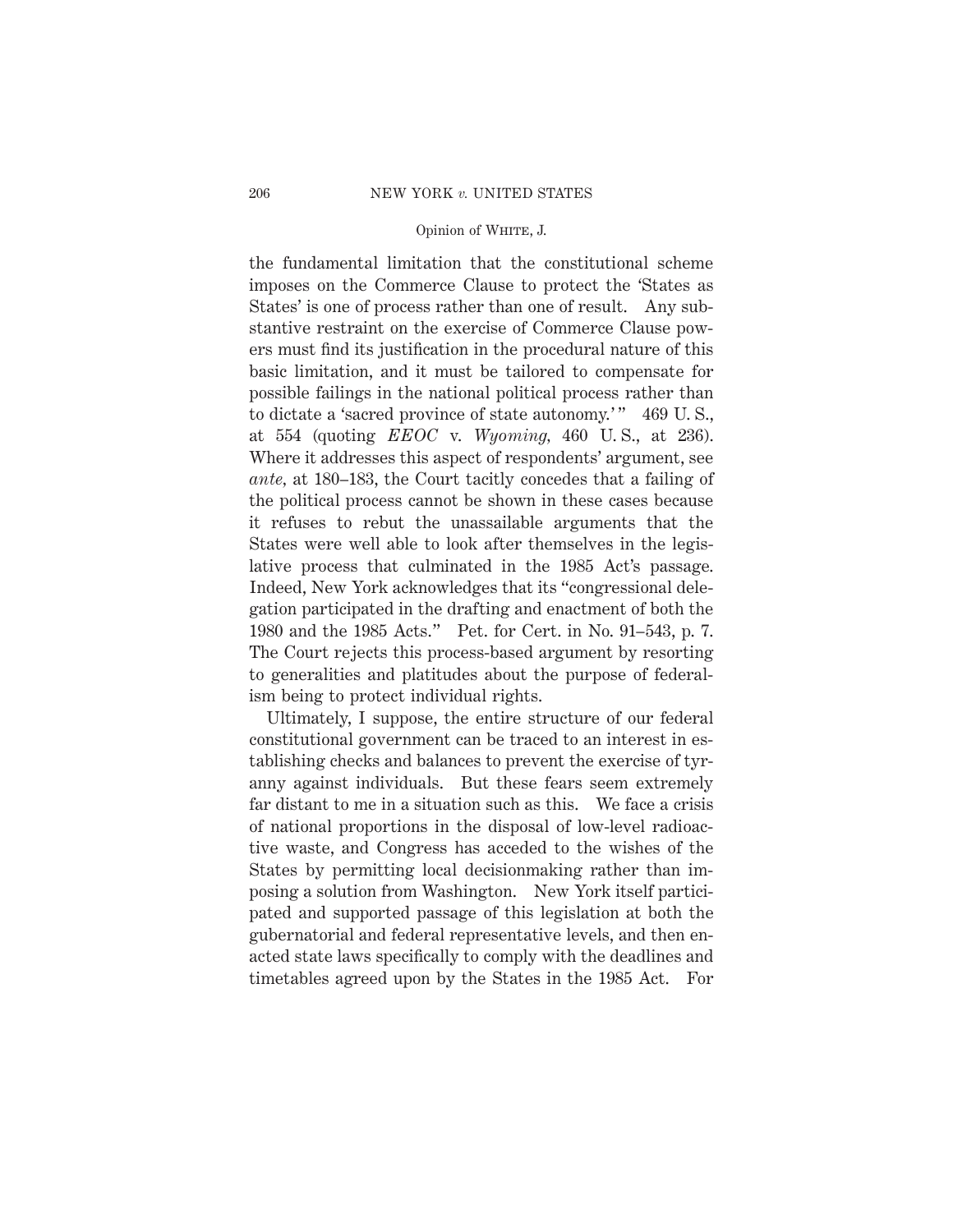the fundamental limitation that the constitutional scheme imposes on the Commerce Clause to protect the 'States as States' is one of process rather than one of result. Any substantive restraint on the exercise of Commerce Clause powers must find its justification in the procedural nature of this basic limitation, and it must be tailored to compensate for possible failings in the national political process rather than to dictate a 'sacred province of state autonomy.'" 469 U.S., at 554 (quoting *EEOC* v. *Wyoming,* 460 U. S., at 236). Where it addresses this aspect of respondents' argument, see *ante,* at 180–183, the Court tacitly concedes that a failing of the political process cannot be shown in these cases because it refuses to rebut the unassailable arguments that the States were well able to look after themselves in the legislative process that culminated in the 1985 Act's passage. Indeed, New York acknowledges that its "congressional delegation participated in the drafting and enactment of both the 1980 and the 1985 Acts." Pet. for Cert. in No. 91–543, p. 7. The Court rejects this process-based argument by resorting to generalities and platitudes about the purpose of federalism being to protect individual rights.

Ultimately, I suppose, the entire structure of our federal constitutional government can be traced to an interest in establishing checks and balances to prevent the exercise of tyranny against individuals. But these fears seem extremely far distant to me in a situation such as this. We face a crisis of national proportions in the disposal of low-level radioactive waste, and Congress has acceded to the wishes of the States by permitting local decisionmaking rather than imposing a solution from Washington. New York itself participated and supported passage of this legislation at both the gubernatorial and federal representative levels, and then enacted state laws specifically to comply with the deadlines and timetables agreed upon by the States in the 1985 Act. For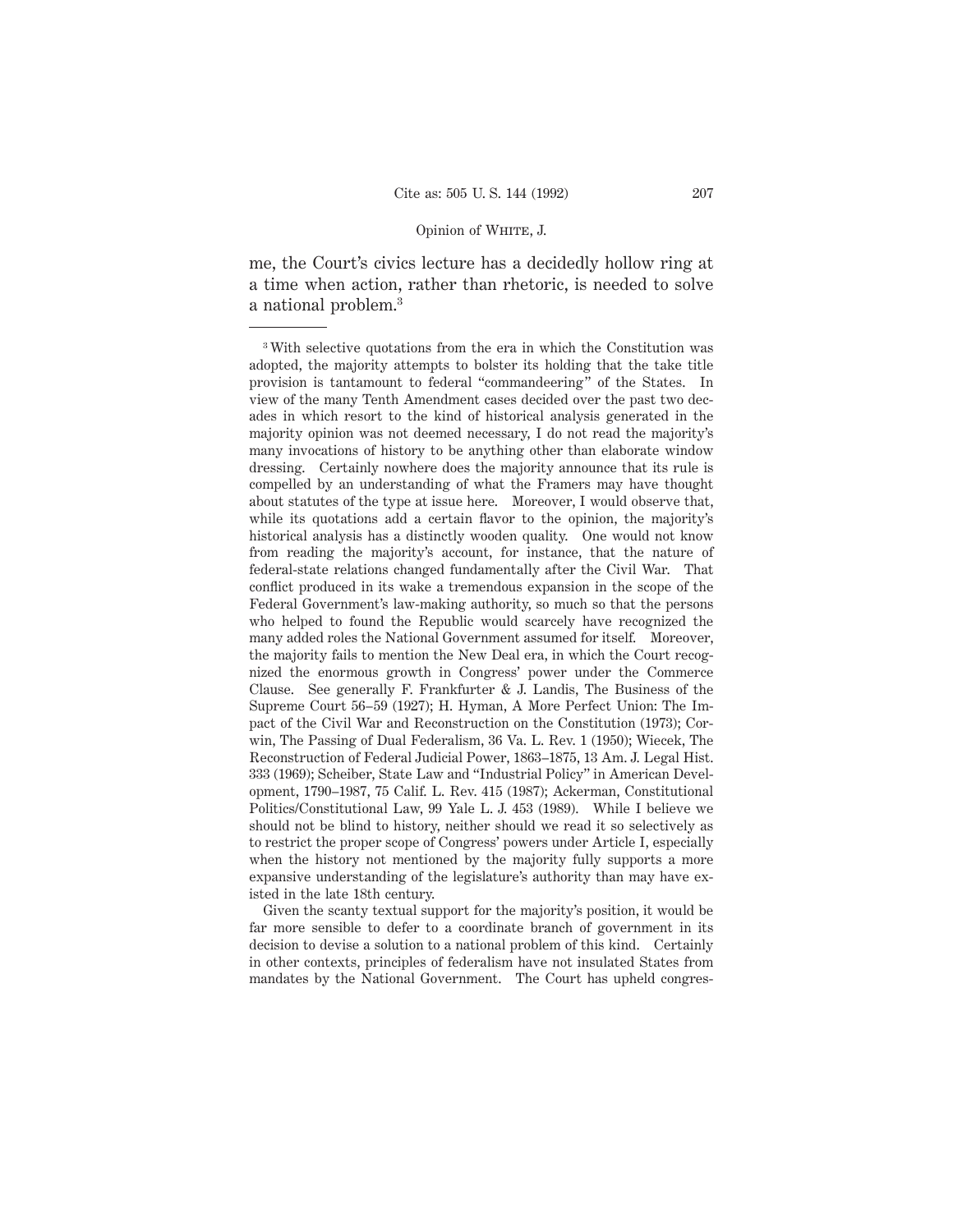me, the Court's civics lecture has a decidedly hollow ring at a time when action, rather than rhetoric, is needed to solve a national problem.<sup>3</sup>

Given the scanty textual support for the majority's position, it would be far more sensible to defer to a coordinate branch of government in its decision to devise a solution to a national problem of this kind. Certainly in other contexts, principles of federalism have not insulated States from mandates by the National Government. The Court has upheld congres-

<sup>&</sup>lt;sup>3</sup> With selective quotations from the era in which the Constitution was adopted, the majority attempts to bolster its holding that the take title provision is tantamount to federal "commandeering" of the States. In view of the many Tenth Amendment cases decided over the past two decades in which resort to the kind of historical analysis generated in the majority opinion was not deemed necessary, I do not read the majority's many invocations of history to be anything other than elaborate window dressing. Certainly nowhere does the majority announce that its rule is compelled by an understanding of what the Framers may have thought about statutes of the type at issue here. Moreover, I would observe that, while its quotations add a certain flavor to the opinion, the majority's historical analysis has a distinctly wooden quality. One would not know from reading the majority's account, for instance, that the nature of federal-state relations changed fundamentally after the Civil War. That conflict produced in its wake a tremendous expansion in the scope of the Federal Government's law-making authority, so much so that the persons who helped to found the Republic would scarcely have recognized the many added roles the National Government assumed for itself. Moreover, the majority fails to mention the New Deal era, in which the Court recognized the enormous growth in Congress' power under the Commerce Clause. See generally F. Frankfurter  $\&$  J. Landis, The Business of the Supreme Court 56–59 (1927); H. Hyman, A More Perfect Union: The Impact of the Civil War and Reconstruction on the Constitution (1973); Corwin, The Passing of Dual Federalism, 36 Va. L. Rev. 1 (1950); Wiecek, The Reconstruction of Federal Judicial Power, 1863-1875, 13 Am. J. Legal Hist. 333 (1969); Scheiber, State Law and "Industrial Policy" in American Development, 1790–1987, 75 Calif. L. Rev. 415 (1987); Ackerman, Constitutional Politics/Constitutional Law, 99 Yale L. J. 453 (1989). While I believe we should not be blind to history, neither should we read it so selectively as to restrict the proper scope of Congress' powers under Article I, especially when the history not mentioned by the majority fully supports a more expansive understanding of the legislature's authority than may have existed in the late 18th century.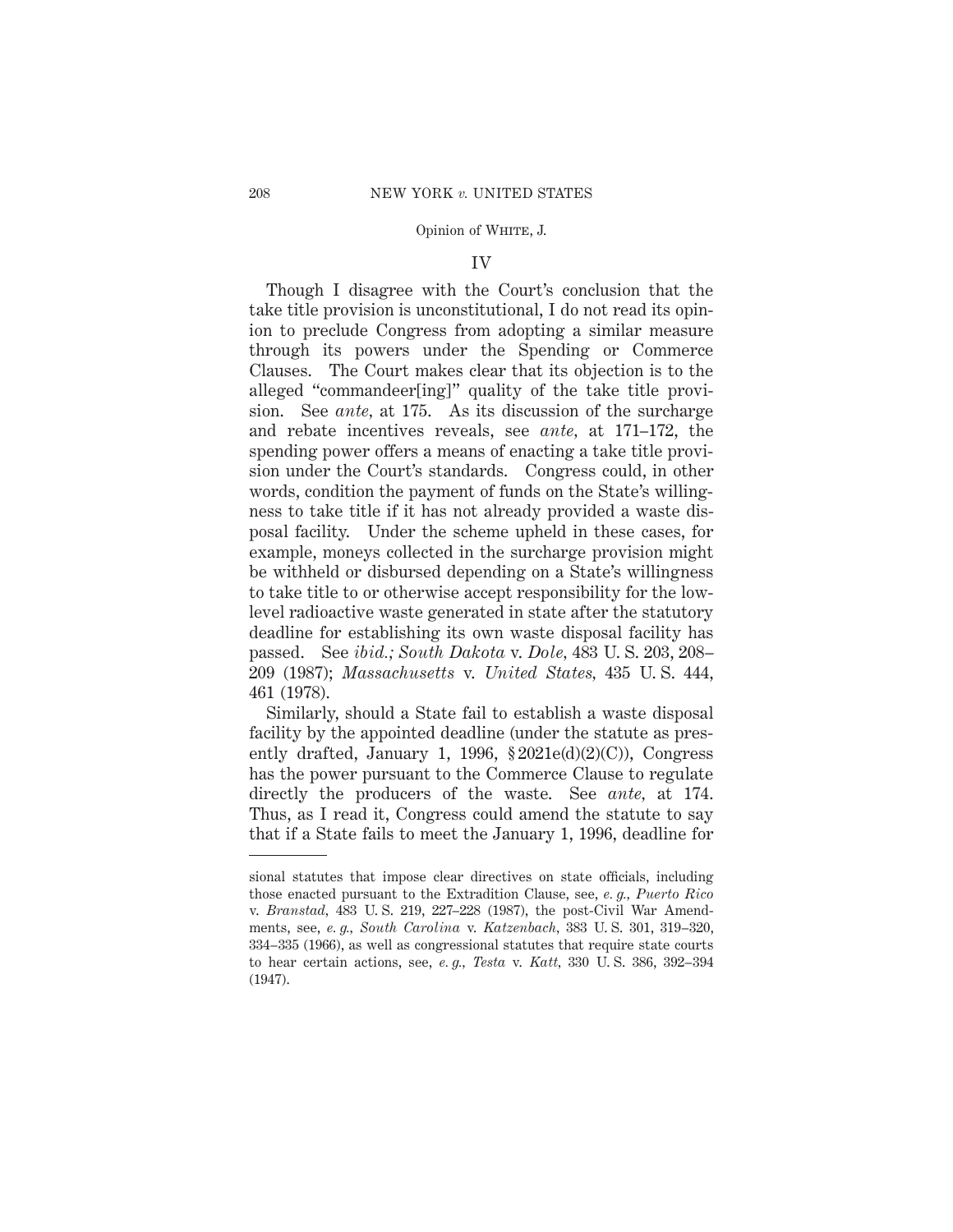## IV

Though I disagree with the Court's conclusion that the take title provision is unconstitutional, I do not read its opinion to preclude Congress from adopting a similar measure through its powers under the Spending or Commerce Clauses. The Court makes clear that its objection is to the alleged "commandeer[ing]" quality of the take title provision. See *ante,* at 175. As its discussion of the surcharge and rebate incentives reveals, see *ante,* at 171–172, the spending power offers a means of enacting a take title provision under the Court's standards. Congress could, in other words, condition the payment of funds on the State's willingness to take title if it has not already provided a waste disposal facility. Under the scheme upheld in these cases, for example, moneys collected in the surcharge provision might be withheld or disbursed depending on a State's willingness to take title to or otherwise accept responsibility for the lowlevel radioactive waste generated in state after the statutory deadline for establishing its own waste disposal facility has passed. See *ibid.; South Dakota* v. *Dole,* 483 U. S. 203, 208– 209 (1987); *Massachusetts* v. *United States,* 435 U. S. 444, 461 (1978).

Similarly, should a State fail to establish a waste disposal facility by the appointed deadline (under the statute as presently drafted, January 1, 1996,  $$2021e(d)(2)(C)$ ), Congress has the power pursuant to the Commerce Clause to regulate directly the producers of the waste. See *ante,* at 174. Thus, as I read it, Congress could amend the statute to say that if a State fails to meet the January 1, 1996, deadline for

sional statutes that impose clear directives on state officials, including those enacted pursuant to the Extradition Clause, see, *e. g., Puerto Rico* v. *Branstad,* 483 U. S. 219, 227–228 (1987), the post-Civil War Amendments, see, *e. g., South Carolina* v. *Katzenbach,* 383 U. S. 301, 319–320, 334–335 (1966), as well as congressional statutes that require state courts to hear certain actions, see, *e. g., Testa* v. *Katt,* 330 U. S. 386, 392–394 (1947).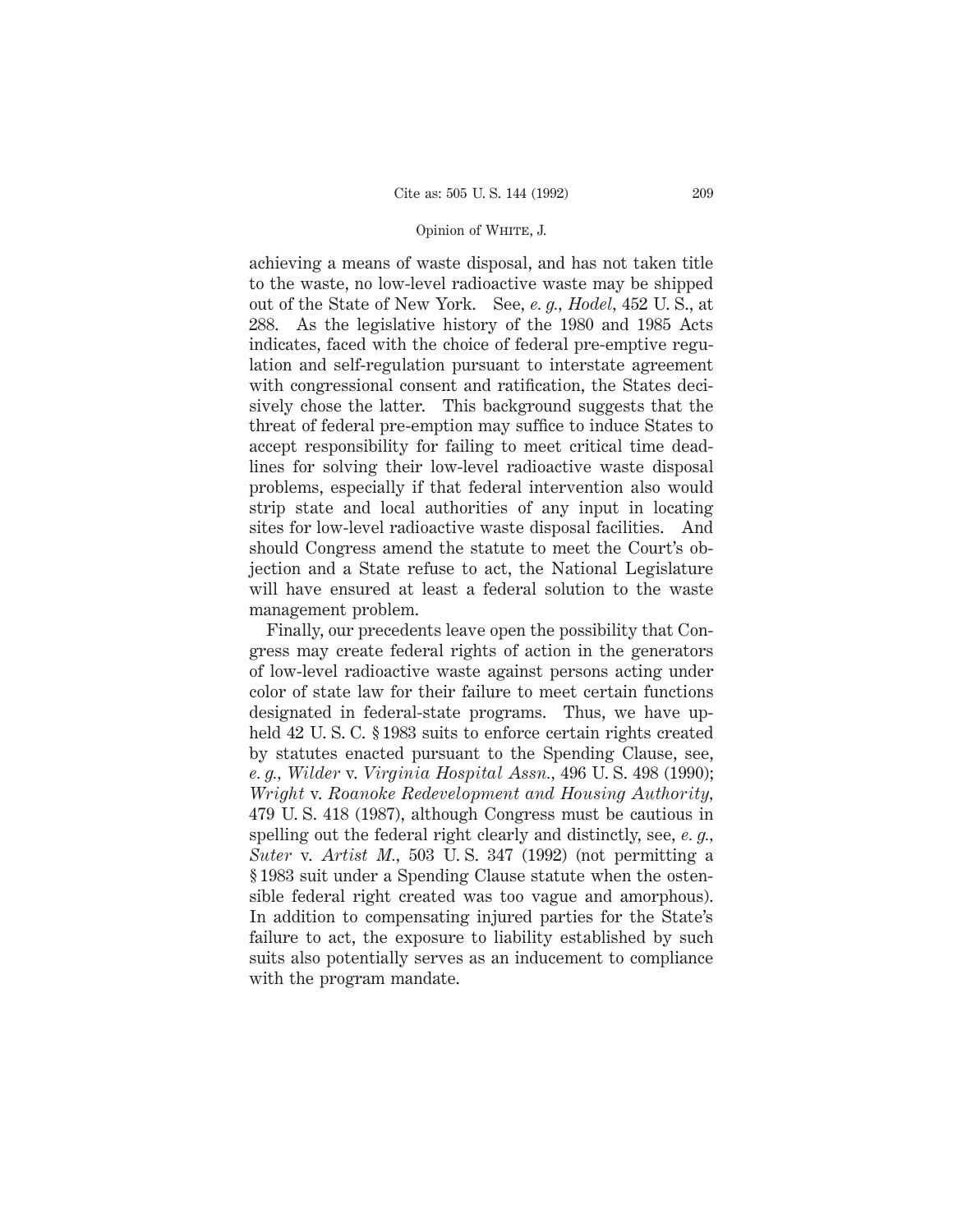achieving a means of waste disposal, and has not taken title to the waste, no low-level radioactive waste may be shipped out of the State of New York. See, *e. g., Hodel,* 452 U. S., at 288. As the legislative history of the 1980 and 1985 Acts indicates, faced with the choice of federal pre-emptive regulation and self-regulation pursuant to interstate agreement with congressional consent and ratification, the States decisively chose the latter. This background suggests that the threat of federal pre-emption may suffice to induce States to accept responsibility for failing to meet critical time deadlines for solving their low-level radioactive waste disposal problems, especially if that federal intervention also would strip state and local authorities of any input in locating sites for low-level radioactive waste disposal facilities. And should Congress amend the statute to meet the Court's objection and a State refuse to act, the National Legislature will have ensured at least a federal solution to the waste management problem.

Finally, our precedents leave open the possibility that Congress may create federal rights of action in the generators of low-level radioactive waste against persons acting under color of state law for their failure to meet certain functions designated in federal-state programs. Thus, we have upheld 42 U.S.C. § 1983 suits to enforce certain rights created by statutes enacted pursuant to the Spending Clause, see, *e. g., Wilder* v. *Virginia Hospital Assn.,* 496 U. S. 498 (1990); *Wright* v. *Roanoke Redevelopment and Housing Authority,* 479 U. S. 418 (1987), although Congress must be cautious in spelling out the federal right clearly and distinctly, see, *e. g., Suter* v. *Artist M.,* 503 U. S. 347 (1992) (not permitting a § 1983 suit under a Spending Clause statute when the ostensible federal right created was too vague and amorphous). In addition to compensating injured parties for the State's failure to act, the exposure to liability established by such suits also potentially serves as an inducement to compliance with the program mandate.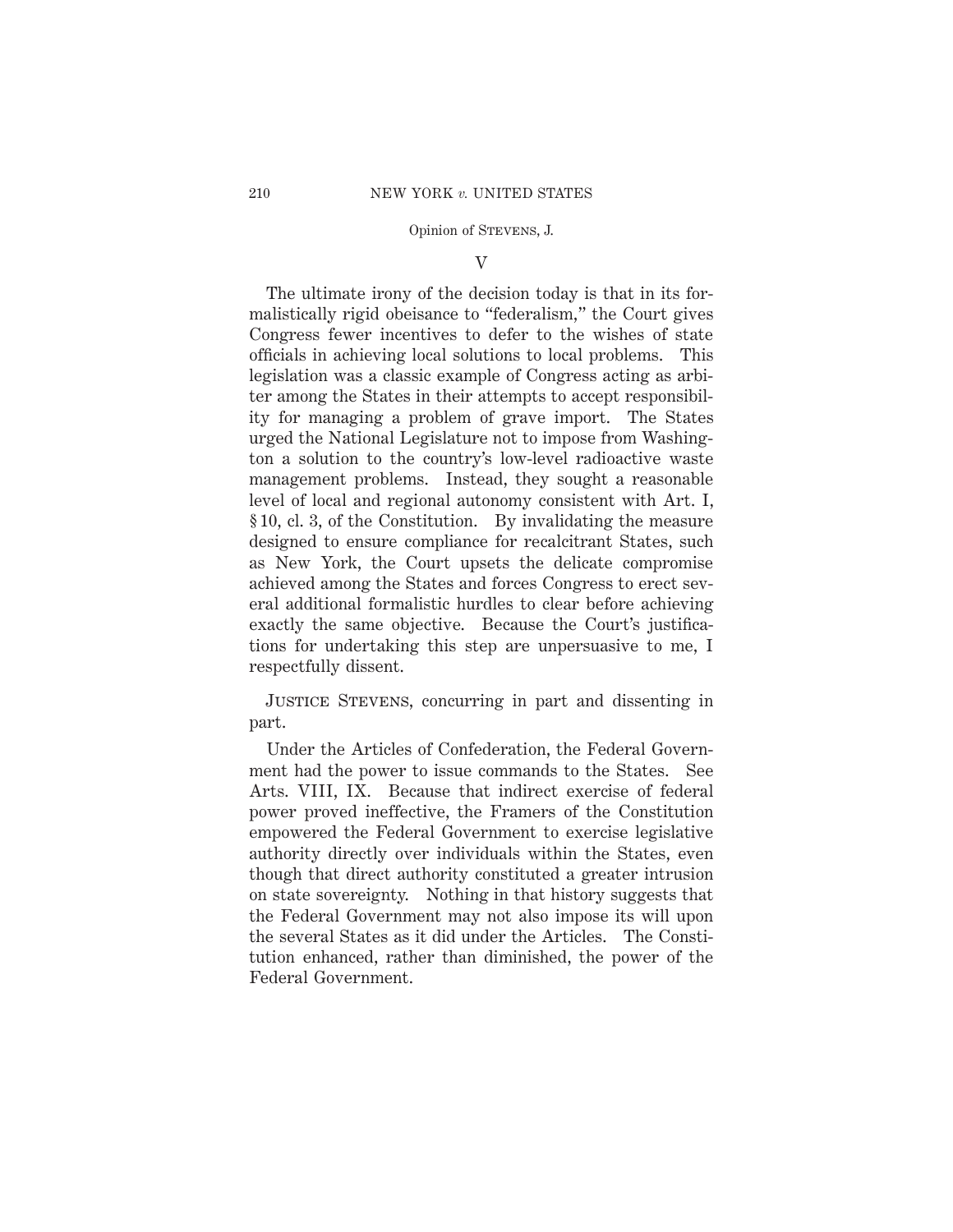#### Opinion of Stevens, J.

## V

The ultimate irony of the decision today is that in its formalistically rigid obeisance to "federalism," the Court gives Congress fewer incentives to defer to the wishes of state officials in achieving local solutions to local problems. This legislation was a classic example of Congress acting as arbiter among the States in their attempts to accept responsibility for managing a problem of grave import. The States urged the National Legislature not to impose from Washington a solution to the country's low-level radioactive waste management problems. Instead, they sought a reasonable level of local and regional autonomy consistent with Art. I, § 10, cl. 3, of the Constitution. By invalidating the measure designed to ensure compliance for recalcitrant States, such as New York, the Court upsets the delicate compromise achieved among the States and forces Congress to erect several additional formalistic hurdles to clear before achieving exactly the same objective. Because the Court's justifications for undertaking this step are unpersuasive to me, I respectfully dissent.

Justice Stevens, concurring in part and dissenting in part.

Under the Articles of Confederation, the Federal Government had the power to issue commands to the States. See Arts. VIII, IX. Because that indirect exercise of federal power proved ineffective, the Framers of the Constitution empowered the Federal Government to exercise legislative authority directly over individuals within the States, even though that direct authority constituted a greater intrusion on state sovereignty. Nothing in that history suggests that the Federal Government may not also impose its will upon the several States as it did under the Articles. The Constitution enhanced, rather than diminished, the power of the Federal Government.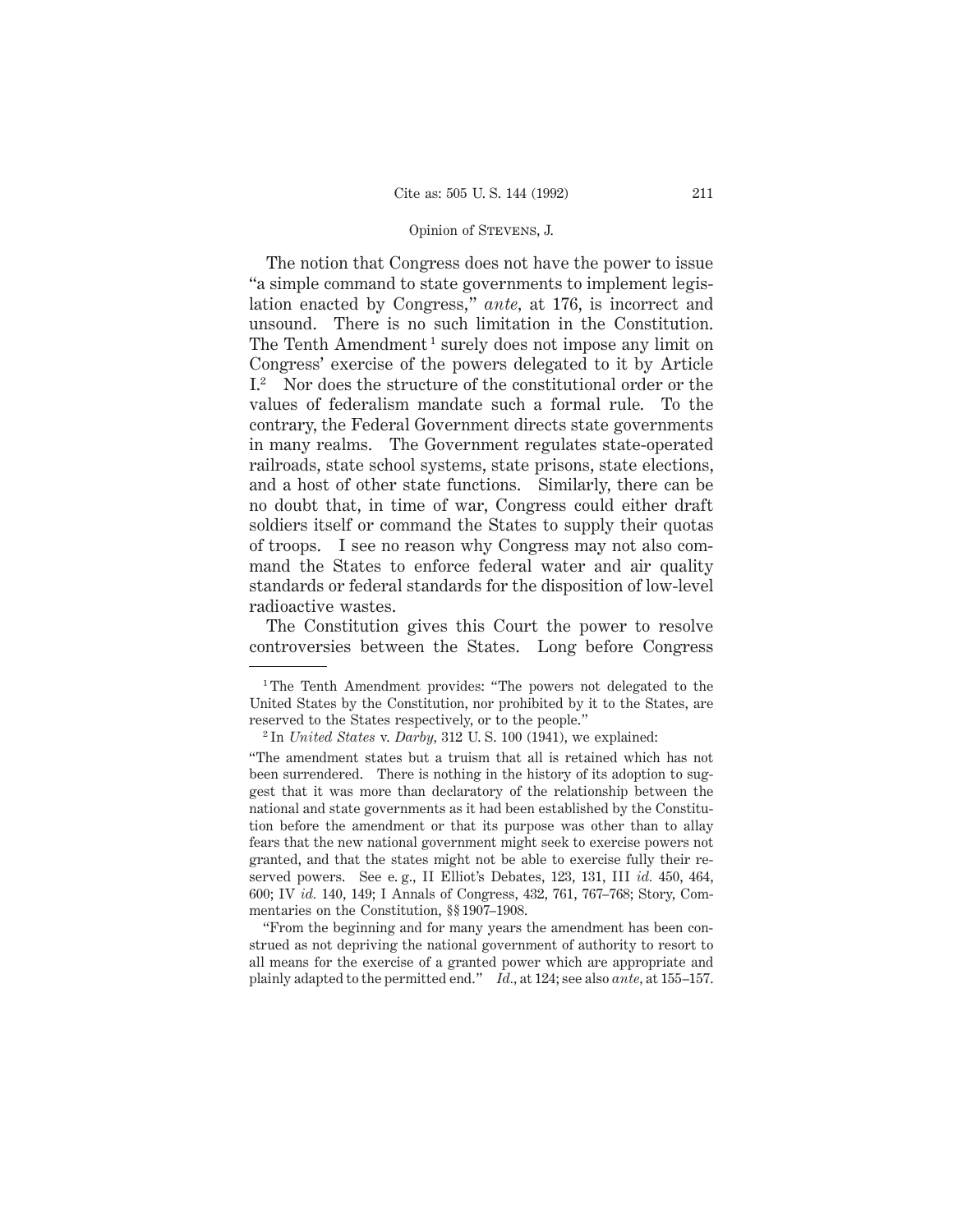#### Opinion of STEVENS, J.

The notion that Congress does not have the power to issue "a simple command to state governments to implement legislation enacted by Congress," ante, at 176, is incorrect and unsound. There is no such limitation in the Constitution. The Tenth Amendment<sup>1</sup> surely does not impose any limit on Congress' exercise of the powers delegated to it by Article  $I^2$  Nor does the structure of the constitutional order or the values of federalism mandate such a formal rule. To the contrary, the Federal Government directs state governments in many realms. The Government regulates state-operated railroads, state school systems, state prisons, state elections, and a host of other state functions. Similarly, there can be no doubt that, in time of war, Congress could either draft soldiers itself or command the States to supply their quotas of troops. I see no reason why Congress may not also command the States to enforce federal water and air quality standards or federal standards for the disposition of low-level radioactive wastes.

The Constitution gives this Court the power to resolve controversies between the States. Long before Congress

"From the beginning and for many years the amendment has been construed as not depriving the national government of authority to resort to all means for the exercise of a granted power which are appropriate and plainly adapted to the permitted end."  $Id.$ , at 124; see also ante, at 155-157.

<sup>&</sup>lt;sup>1</sup>The Tenth Amendment provides: "The powers not delegated to the United States by the Constitution, nor prohibited by it to the States, are reserved to the States respectively, or to the people."

 $2$  In United States v. Darby, 312 U.S. 100 (1941), we explained:

<sup>&</sup>quot;The amendment states but a truism that all is retained which has not been surrendered. There is nothing in the history of its adoption to suggest that it was more than declaratory of the relationship between the national and state governments as it had been established by the Constitution before the amendment or that its purpose was other than to allay fears that the new national government might seek to exercise powers not granted, and that the states might not be able to exercise fully their reserved powers. See e.g., II Elliot's Debates, 123, 131, III id. 450, 464, 600; IV id. 140, 149; I Annals of Congress, 432, 761, 767-768; Story, Commentaries on the Constitution, §§1907–1908.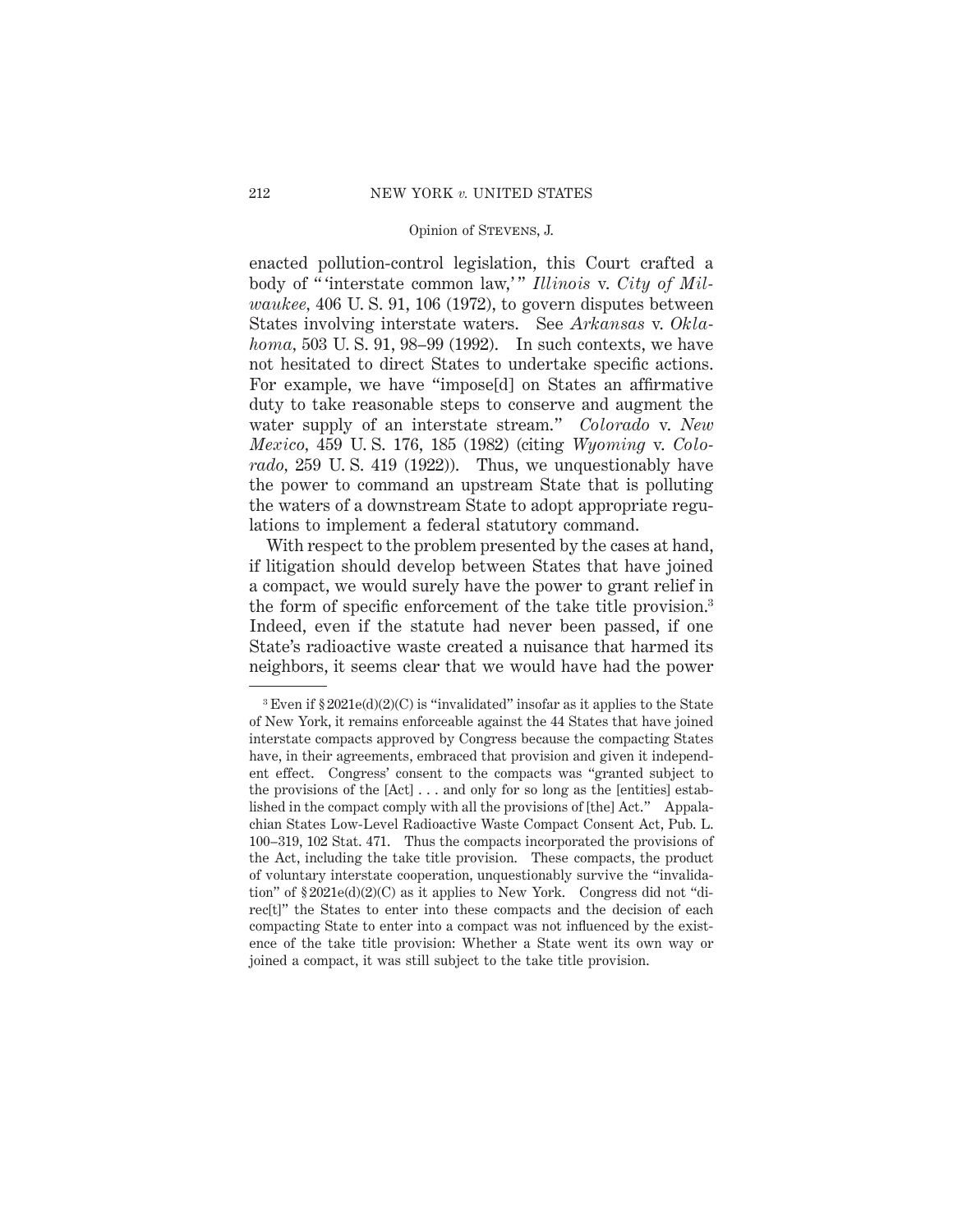## Opinion of Stevens, J.

enacted pollution-control legislation, this Court crafted a body of "interstate common law," *Illinois* v. *City of Milwaukee,* 406 U. S. 91, 106 (1972), to govern disputes between States involving interstate waters. See *Arkansas* v. *Oklahoma,* 503 U. S. 91, 98–99 (1992). In such contexts, we have not hesitated to direct States to undertake specific actions. For example, we have "impose[d] on States an affirmative duty to take reasonable steps to conserve and augment the water supply of an interstate stream." *Colorado* v. *New Mexico,* 459 U. S. 176, 185 (1982) (citing *Wyoming* v. *Colorado,* 259 U. S. 419 (1922)). Thus, we unquestionably have the power to command an upstream State that is polluting the waters of a downstream State to adopt appropriate regulations to implement a federal statutory command.

With respect to the problem presented by the cases at hand, if litigation should develop between States that have joined a compact, we would surely have the power to grant relief in the form of specific enforcement of the take title provision.3 Indeed, even if the statute had never been passed, if one State's radioactive waste created a nuisance that harmed its neighbors, it seems clear that we would have had the power

 $3$  Even if  $\S 2021e(d)(2)(C)$  is "invalidated" insofar as it applies to the State of New York, it remains enforceable against the 44 States that have joined interstate compacts approved by Congress because the compacting States have, in their agreements, embraced that provision and given it independent effect. Congress' consent to the compacts was "granted subject to the provisions of the [Act] . . . and only for so long as the [entities] established in the compact comply with all the provisions of [the] Act." Appalachian States Low-Level Radioactive Waste Compact Consent Act, Pub. L. 100–319, 102 Stat. 471. Thus the compacts incorporated the provisions of the Act, including the take title provision. These compacts, the product of voluntary interstate cooperation, unquestionably survive the "invalidation" of § 2021e(d)(2)(C) as it applies to New York. Congress did not "direc[t]" the States to enter into these compacts and the decision of each compacting State to enter into a compact was not influenced by the existence of the take title provision: Whether a State went its own way or joined a compact, it was still subject to the take title provision.